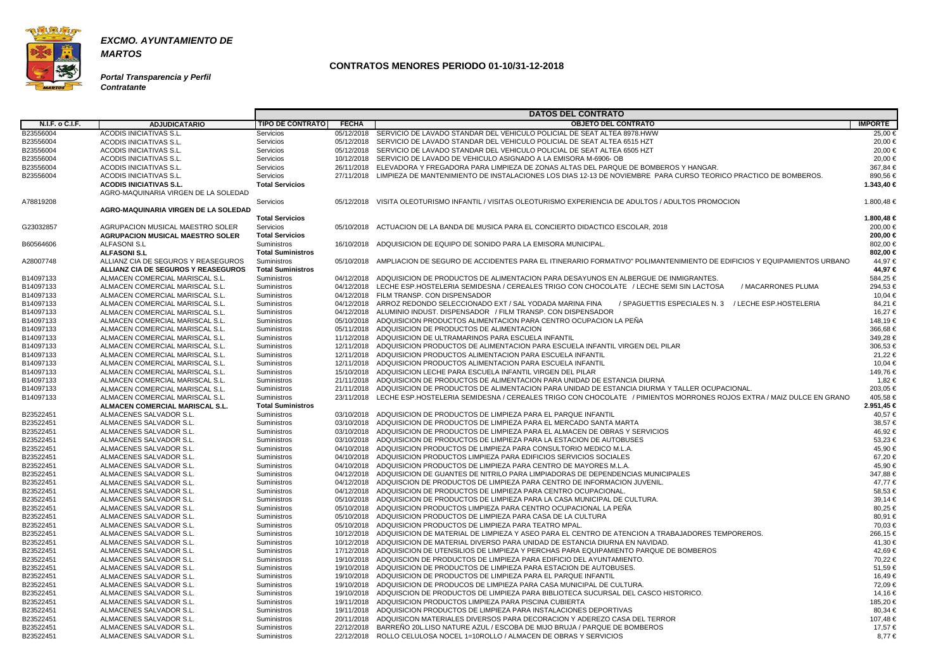

**Portal Transparencia y Perfil Contratante**

|                 |                                            |                          |              | <b>DATOS DEL CONTRATO</b>                                                                                                         |                |
|-----------------|--------------------------------------------|--------------------------|--------------|-----------------------------------------------------------------------------------------------------------------------------------|----------------|
| N.I.F. o C.I.F. | <b>ADJUDICATARIO</b>                       | <b>TIPO DE CONTRATO</b>  | <b>FECHA</b> | <b>OBJETO DEL CONTRATO</b>                                                                                                        | <b>IMPORTE</b> |
| B23556004       | ACODIS INICIATIVAS S.L.                    | Servicios                |              | 05/12/2018 SERVICIO DE LAVADO STANDAR DEL VEHICULO POLICIAL DE SEAT ALTEA 8978.HWW                                                | 25,00 €        |
| B23556004       | ACODIS INICIATIVAS S.L.                    | Servicios                |              | 05/12/2018 SERVICIO DE LAVADO STANDAR DEL VEHICULO POLICIAL DE SEAT ALTEA 6515 HZT                                                | 20,00 €        |
| B23556004       | ACODIS INICIATIVAS S.L.                    | Servicios                |              | 05/12/2018 SERVICIO DE LAVADO STANDAR DEL VEHICULO POLICIAL DE SEAT ALTEA 6505 HZT                                                | 20,00 €        |
| B23556004       | ACODIS INICIATIVAS S.L.                    | Servicios                |              | 10/12/2018 SERVICIO DE LAVADO DE VEHICULO ASIGNADO A LA EMISORA M-6906- OB                                                        | 20.00 €        |
| B23556004       | ACODIS INICIATIVAS S.L.                    | Servicios                |              | 26/11/2018 ELEVADORA Y FREGADORA PARA LIMPIEZA DE ZONAS ALTAS DEL PARQUE DE BOMBEROS Y HANGAR.                                    | 367,84 €       |
| B23556004       | ACODIS INICIATIVAS S.L.                    | <b>Servicios</b>         |              | 27/11/2018 LIMPIEZA DE MANTENIMIENTO DE INSTALACIONES LOS DIAS 12-13 DE NOVIEMBRE PARA CURSO TEORICO PRACTICO DE BOMBEROS.        | 890,56 €       |
|                 | <b>ACODIS INICIATIVAS S.L.</b>             | <b>Total Servicios</b>   |              |                                                                                                                                   | 1.343,40 €     |
|                 | AGRO-MAQUINARIA VIRGEN DE LA SOLEDAD       |                          |              |                                                                                                                                   |                |
| A78819208       |                                            | Servicios                | 05/12/2018   | VISITA OLEOTURISMO INFANTIL / VISITAS OLEOTURISMO EXPERIENCIA DE ADULTOS / ADULTOS PROMOCION                                      | 1.800,48 €     |
|                 | AGRO-MAQUINARIA VIRGEN DE LA SOLEDAD       |                          |              |                                                                                                                                   |                |
|                 |                                            | <b>Total Servicios</b>   |              |                                                                                                                                   | 1.800,48 €     |
| G23032857       | AGRUPACION MUSICAL MAESTRO SOLER           | <b>Servicios</b>         |              | 05/10/2018 ACTUACION DE LA BANDA DE MUSICA PARA EL CONCIERTO DIDACTICO ESCOLAR, 2018                                              | 200,00 €       |
|                 | <b>AGRUPACION MUSICAL MAESTRO SOLER</b>    | <b>Total Servicios</b>   |              |                                                                                                                                   | 200.00 €       |
| B60564606       | <b>ALFASONI S.L</b>                        | <b>Suministros</b>       |              | 16/10/2018 ADQUISICION DE EQUIPO DE SONIDO PARA LA EMISORA MUNICIPAL.                                                             | 802,00 €       |
|                 | <b>ALFASONI S.L</b>                        | <b>Total Suministros</b> |              |                                                                                                                                   | 802,00 €       |
| A28007748       | ALLIANZ CIA DE SEGUROS Y REASEGUROS        | <b>Suministros</b>       |              | 05/10/2018 AMPLIACION DE SEGURO DE ACCIDENTES PARA EL ITINERARIO FORMATIVO" POLIMANTENIMIENTO DE EDIFICIOS Y EQUIPAMIENTOS URBANO | 44.97 €        |
|                 | <b>ALLIANZ CIA DE SEGUROS Y REASEGUROS</b> | <b>Total Suministros</b> |              |                                                                                                                                   | 44,97 €        |
| B14097133       | ALMACEN COMERCIAL MARISCAL S.L.            | Suministros              |              | 04/12/2018 ADQUISICION DE PRODUCTOS DE ALIMENTACION PARA DESAYUNOS EN ALBERGUE DE INMIGRANTES.                                    | 584,25 €       |
| B14097133       | ALMACEN COMERCIAL MARISCAL S.L.            | <b>Suministros</b>       |              | 04/12/2018 LECHE ESP.HOSTELERIA SEMIDESNA / CEREALES TRIGO CON CHOCOLATE / LECHE SEMI SIN LACTOSA<br>/ MACARRONES PLUMA           | 294,53 €       |
| B14097133       | ALMACEN COMERCIAL MARISCAL S.L.            | <b>Suministros</b>       |              | 04/12/2018 FILM TRANSP, CON DISPENSADOR                                                                                           | 10,04 €        |
| B14097133       | ALMACEN COMERCIAL MARISCAL S.L.            |                          |              | 04/12/2018 ARROZ REDONDO SELECCIONADO EXT / SAL YODADA MARINA FINA<br>/ SPAGUETTIS ESPECIALES N. 3<br>/ LECHE ESP.HOSTELERIA      | 84.21 €        |
|                 |                                            | Suministros              |              | 04/12/2018 ALUMINIO INDUST, DISPENSADOR / FILM TRANSP, CON DISPENSADOR                                                            | 16.27 €        |
| B14097133       | ALMACEN COMERCIAL MARISCAL S.L.            | Suministros              |              |                                                                                                                                   |                |
| B14097133       | ALMACEN COMERCIAL MARISCAL S.L.            | Suministros              |              | 05/10/2018 ADQUISICION PRODUCTOS ALIMENTACION PARA CENTRO OCUPACION LA PEÑA                                                       | 148,19€        |
| B14097133       | ALMACEN COMERCIAL MARISCAL S.L.            | <b>Suministros</b>       |              | 05/11/2018 ADQUISICION DE PRODUCTOS DE ALIMENTACION<br>11/12/2018 ADQUISICION DE ULTRAMARINOS PARA ESCUELA INFANTIL               | 366,68€        |
| B14097133       | ALMACEN COMERCIAL MARISCAL S.L.            | Suministros              |              |                                                                                                                                   | 349,28€        |
| B14097133       | ALMACEN COMERCIAL MARISCAL S.L.            | Suministros              |              | 12/11/2018 ADQUISICION PRODUCTOS DE ALIMENTACION PARA ESCUELA INFANTIL VIRGEN DEL PILAR                                           | 306,53 €       |
| B14097133       | ALMACEN COMERCIAL MARISCAL S.L.            | Suministros              |              | 12/11/2018 ADQUISICION PRODUCTOS ALIMENTACION PARA ESCUELA INFANTIL                                                               | 21.22 €        |
| B14097133       | ALMACEN COMERCIAL MARISCAL S.L.            | <b>Suministros</b>       |              | 12/11/2018 ADQUISICION PRODUCTOS ALIMENTACION PARA ESCUELA INFANTIL                                                               | 10,04 €        |
| B14097133       | ALMACEN COMERCIAL MARISCAL S.L.            | Suministros              |              | 15/10/2018 ADQUISICION LECHE PARA ESCUELA INFANTIL VIRGEN DEL PILAR                                                               | 149,76 €       |
| B14097133       | ALMACEN COMERCIAL MARISCAL S.L.            | Suministros              |              | 21/11/2018 ADQUISICION DE PRODUCTOS DE ALIMENTACION PARA UNIDAD DE ESTANCIA DIURNA                                                | 1,82 €         |
| B14097133       | ALMACEN COMERCIAL MARISCAL S.L.            | <b>Suministros</b>       |              | 21/11/2018 ADQUISICION DE PRODUCTOS DE ALIMENTACION PARA UNIDAD DE ESTANCIA DIURMA Y TALLER OCUPACIONAL.                          | 203,05 €       |
| B14097133       | ALMACEN COMERCIAL MARISCAL S.L.            | Suministros              |              | 23/11/2018 LECHE ESP.HOSTELERIA SEMIDESNA / CEREALES TRIGO CON CHOCOLATE / PIMIENTOS MORRONES ROJOS EXTRA / MAIZ DULCE EN GRANO   | 405,58€        |
|                 | ALMACEN COMERCIAL MARISCAL S.L.            | <b>Total Suministros</b> |              |                                                                                                                                   | 2.951,45 €     |
| B23522451       | ALMACENES SALVADOR S.L.                    | Suministros              |              | 03/10/2018 ADQUISICION DE PRODUCTOS DE LIMPIEZA PARA EL PARQUE INFANTIL                                                           | 40,57 €        |
| B23522451       | ALMACENES SALVADOR S.L.                    | Suministros              |              | 03/10/2018 ADQUISICION DE PRODUCTOS DE LIMPIEZA PARA EL MERCADO SANTA MARTA                                                       | 38.57 €        |
| B23522451       | ALMACENES SALVADOR S.L.                    | Suministros              |              | 03/10/2018 ADQUISICION DE PRODUCTOS DE LIMPIEZA PARA EL ALMACEN DE OBRAS Y SERVICIOS                                              | 46,92€         |
| B23522451       | ALMACENES SALVADOR S.L.                    | Suministros              |              | 03/10/2018 ADQUISICION DE PRODUCTOS DE LIMPIEZA PARA LA ESTACION DE AUTOBUSES                                                     | 53,23 €        |
| B23522451       | ALMACENES SALVADOR S.L.                    | Suministros              |              | 04/10/2018 ADQUISICION PRODUCTOS DE LIMPIEZA PARA CONSULTORIO MEDICO M.L.A.                                                       | 45,90 €        |
| B23522451       | ALMACENES SALVADOR S.L.                    | Suministros              |              | 04/10/2018 ADQUISICION PRODUCTOS LIMPIEZA PARA EDIFICIOS SERVICIOS SOCIALES                                                       | 67,20€         |
| B23522451       | ALMACENES SALVADOR S.L.                    | Suministros              |              | 04/10/2018 ADQUISICION PRODUCTOS DE LIMPIEZA PARA CENTRO DE MAYORES M.L.A.                                                        | 45.90 €        |
| B23522451       | ALMACENES SALVADOR S.L.                    | <b>Suministros</b>       |              | 04/12/2018 ADQUISICION DE GUANTES DE NITRILO PARA LIMPIADORAS DE DEPENDENCIAS MUNICIPALES                                         | 347,88 €       |
| B23522451       | ALMACENES SALVADOR S.L.                    | <b>Suministros</b>       |              | 04/12/2018 ADQUISCION DE PRODUCTOS DE LIMPIEZA PARA CENTRO DE INFORMACION JUVENIL.                                                | 47,77 €        |
| B23522451       | ALMACENES SALVADOR S.L.                    | <b>Suministros</b>       |              | 04/12/2018 ADQUISICION DE PRODUCTOS DE LIMPIEZA PARA CENTRO OCUPACIONAL.                                                          | 58,53 €        |
| B23522451       | ALMACENES SALVADOR S.L.                    | Suministros              |              | 05/10/2018 ADQUISICION DE PRODUCTOS DE LIMPIEZA PARA LA CASA MUNICIPAL DE CULTURA.                                                | 39,14 €        |
| B23522451       | ALMACENES SALVADOR S.L.                    | Suministros              |              | 05/10/2018 ADQUISICION PRODUCTOS LIMPIEZA PARA CENTRO OCUPACIONAL LA PENA                                                         | 80,25 €        |
| B23522451       | ALMACENES SALVADOR S.L.                    | Suministros              |              | 05/10/2018 ADQUISICION PRODUCTOS DE LIMPIEZA PARA CASA DE LA CULTURA                                                              | 80,91 €        |
| B23522451       | ALMACENES SALVADOR S.L.                    | <b>Suministros</b>       |              | 05/10/2018 ADQUISICION PRODUCTOS DE LIMPIEZA PARA TEATRO MPAL.                                                                    | 70,03 €        |
| B23522451       | ALMACENES SALVADOR S.L.                    | Suministros              |              | 10/12/2018 ADQUISICION DE MATERIAL DE LIMPIEZA Y ASEO PARA EL CENTRO DE ATENCION A TRABAJADORES TEMPOREROS.                       | 266,15 €       |
| B23522451       | ALMACENES SALVADOR S.L.                    | <b>Suministros</b>       |              | 10/12/2018 ADQUISICION DE MATERIAL DIVERSO PARA UNIDAD DE ESTANCIA DIURNA EN NAVIDAD.                                             | 41,30 €        |
| B23522451       | ALMACENES SALVADOR S.L.                    | Suministros              |              | 17/12/2018 ADQUISICION DE UTENSILIOS DE LIMPIEZA Y PERCHAS PARA EQUIPAMIENTO PARQUE DE BOMBEROS                                   | 42,69€         |
| B23522451       | ALMACENES SALVADOR S.L.                    | <b>Suministros</b>       |              | 19/10/2018 ADQUISCION DE PRODUCTOS DE LIMPIEZA PARA EDIFICIO DEL AYUNTAMIENTO.                                                    | 70,22 €        |
| B23522451       | ALMACENES SALVADOR S.L.                    | <b>Suministros</b>       |              | 19/10/2018 ADQUISICION DE PRODUCTOS DE LIMPIEZA PARA ESTACION DE AUTOBUSES.                                                       | 51,59€         |
| B23522451       | ALMACENES SALVADOR S.L.                    | Suministros              |              | 19/10/2018 ADQUISICION DE PRODUCTOS DE LIMPIEZA PARA EL PARQUE INFANTIL                                                           | 16,49 €        |
| B23522451       | ALMACENES SALVADOR S.L.                    | <b>Suministros</b>       |              | 19/10/2018 ADQUISICION DE PRODUCOS DE LIMPIEZA PARA CASA MUNICIPAL DE CULTURA.                                                    | 72,09€         |
| B23522451       | ALMACENES SALVADOR S.L.                    | <b>Suministros</b>       |              | 19/10/2018 ADQUISCION DE PRODUCTOS DE LIMPIEZA PARA BIBLIOTECA SUCURSAL DEL CASCO HISTORICO.                                      | 14,16 €        |
| B23522451       | ALMACENES SALVADOR S.L.                    | <b>Suministros</b>       |              | 19/11/2018 ADQUISICION PRODUCTOS LIMPIEZA PARA PISCINA CUBIERTA                                                                   | 185,20 €       |
| B23522451       | ALMACENES SALVADOR S.L.                    | Suministros              |              | 19/11/2018 ADQUISICION PRODUCTOS DE LIMPIEZA PARA INSTALACIONES DEPORTIVAS                                                        | 80,34 €        |
| B23522451       | ALMACENES SALVADOR S.L.                    | Suministros              |              | 20/11/2018 ADQUISICON MATERIALES DIVERSOS PARA DECORACION Y ADEREZO CASA DEL TERROR                                               | 107,48 €       |
| B23522451       | ALMACENES SALVADOR S.L.                    | Suministros              |              | 22/12/2018 BARREÑO 20L.LISO NATURE AZUL / ESCOBA DE MIJO BRUJA / PARQUE DE BOMBEROS                                               | 17,57 €        |
| B23522451       | ALMACENES SALVADOR S.L.                    | <b>Suministros</b>       |              | 22/12/2018 ROLLO CELULOSA NOCEL 1=10ROLLO / ALMACEN DE OBRAS Y SERVICIOS                                                          | 8,77 €         |
|                 |                                            |                          |              |                                                                                                                                   |                |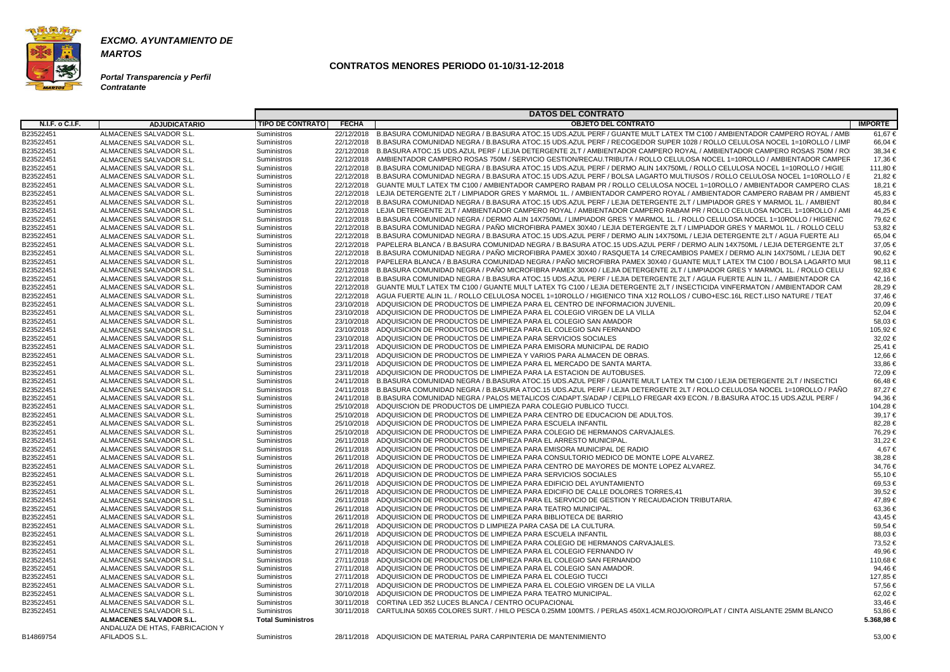

**Portal Transparencia y Perfil Contratante**

|                        |                                 |                          |              | <b>DATOS DEL CONTRATO</b>                                                                                                           |                |
|------------------------|---------------------------------|--------------------------|--------------|-------------------------------------------------------------------------------------------------------------------------------------|----------------|
| <b>N.I.F. o C.I.F.</b> | <b>ADJUDICATARIO</b>            | <b>TIPO DE CONTRATO</b>  | <b>FECHA</b> | <b>OBJETO DEL CONTRATO</b>                                                                                                          | <b>IMPORTE</b> |
| B23522451              | ALMACENES SALVADOR S.L.         | Suministros              | 22/12/2018   | B.BASURA COMUNIDAD NEGRA / B.BASURA ATOC.15 UDS.AZUL PERF / GUANTE MULT LATEX TM C100 / AMBIENTADOR CAMPERO ROYAL / AMB             | 61,67€         |
| B23522451              | ALMACENES SALVADOR S.L.         | Suministros              | 22/12/2018   | B.BASURA COMUNIDAD NEGRA / B.BASURA ATOC.15 UDS.AZUL PERF / RECOGEDOR SUPER 1028 / ROLLO CELULOSA NOCEL 1=10ROLLO / LIMF            | 66,04 €        |
| B23522451              | ALMACENES SALVADOR S.L.         | <b>Suministros</b>       |              | 22/12/2018 B.BASURA ATOC.15 UDS.AZUL PERF / LEJIA DETERGENTE 2LT / AMBIENTADOR CAMPERO ROYAL / AMBIENTADOR CAMPERO ROSAS 750M / RO  | $38.34 \in$    |
|                        |                                 |                          |              | AMBIENTADOR CAMPERO ROSAS 750M / SERVICIO GESTION/RECAU.TRIBUTA / ROLLO CELULOSA NOCEL 1=10ROLLO / AMBIENTADOR CAMPER               |                |
| B23522451              | ALMACENES SALVADOR S.L.         | <b>Suministros</b>       | 22/12/2018   |                                                                                                                                     | 17,36 €        |
| B23522451              | ALMACENES SALVADOR S.L.         | Suministros              | 22/12/2018   | B.BASURA COMUNIDAD NEGRA / B.BASURA ATOC.15 UDS.AZUL PERF / DERMO ALIN 14X750ML / ROLLO CELULOSA NOCEL 1=10ROLLO / HIGIE            | 111,80 €       |
| B23522451              | ALMACENES SALVADOR S.L.         | Suministros              | 22/12/2018   | B.BASURA COMUNIDAD NEGRA / B.BASURA ATOC.15 UDS.AZUL PERF / BOLSA LAGARTO MULTIUSOS / ROLLO CELULOSA NOCEL 1=10ROLLO / E            | 21,82 €        |
| B23522451              | ALMACENES SALVADOR S.L.         | Suministros              | 22/12/2018   | GUANTE MULT LATEX TM C100 / AMBIENTADOR CAMPERO RABAM PR / ROLLO CELULOSA NOCEL 1=10ROLLO / AMBIENTADOR CAMPERO CLAS                | 18,21 €        |
| B23522451              | ALMACENES SALVADOR S.L.         | <b>Suministros</b>       | 22/12/2018   | LEJIA DETERGENTE 2LT / LIMPIADOR GRES Y MARMOL 1L. / AMBIENTADOR CAMPERO ROYAL / AMBIENTADOR CAMPERO RABAM PR / AMBIENT             | 45.83 €        |
| B23522451              | ALMACENES SALVADOR S.L.         | Suministros              | 22/12/2018   | B.BASURA COMUNIDAD NEGRA / B.BASURA ATOC.15 UDS.AZUL PERF / LEJIA DETERGENTE 2LT / LIMPIADOR GRES Y MARMOL 1L. / AMBIENT            | $80,84 \in$    |
| B23522451              | ALMACENES SALVADOR S.L.         | Suministros              | 22/12/2018   | LEJIA DETERGENTE 2LT / AMBIENTADOR CAMPERO ROYAL / AMBIENTADOR CAMPERO RABAM PR / ROLLO CELULOSA NOCEL 1=10ROLLO / AMI              | 44.25 €        |
| B23522451              | ALMACENES SALVADOR S.L.         | Suministros              | 22/12/2018   | B.BASURA COMUNIDAD NEGRA / DERMO ALIN 14X750ML / LIMPIADOR GRES Y MARMOL 1L. / ROLLO CELULOSA NOCEL 1=10ROLLO / HIGIENIC            | 79.62 €        |
| B23522451              | ALMACENES SALVADOR S.L.         | <b>Suministros</b>       | 22/12/2018   | B.BASURA COMUNIDAD NEGRA / PAÑO MICROFIBRA PAMEX 30X40 / LEJIA DETERGENTE 2LT / LIMPIADOR GRES Y MARMOL 1L. / ROLLO CELU            | 53,82 €        |
| B23522451              | ALMACENES SALVADOR S.L.         | <b>Suministros</b>       |              | 22/12/2018 B.BASURA COMUNIDAD NEGRA / B.BASURA ATOC.15 UDS.AZUL PERF / DERMO ALIN 14X750ML / LEJIA DETERGENTE 2LT / AGUA FUERTE ALI | 65,04 €        |
| B23522451              | ALMACENES SALVADOR S.L.         | Suministros              | 22/12/2018   | PAPELERA BLANCA / B.BASURA COMUNIDAD NEGRA / B.BASURA ATOC.15 UDS.AZUL PERF / DERMO ALIN 14X750ML / LEJIA DETERGENTE 2LT            | 37,05 €        |
| B23522451              | ALMACENES SALVADOR S.L.         | Suministros              | 22/12/2018   | B.BASURA COMUNIDAD NEGRA / PAÑO MICROFIBRA PAMEX 30X40 / RASQUETA 14 C/RECAMBIOS PAMEX / DERMO ALIN 14X750ML / LEJIA DET            | 90.62 €        |
| B23522451              | ALMACENES SALVADOR S.L.         | <b>Suministros</b>       | 22/12/2018   | PAPELERA BLANCA / B.BASURA COMUNIDAD NEGRA / PAÑO MICROFIBRA PAMEX 30X40 / GUANTE MULT LATEX TM C100 / BOLSA LAGARTO MUI            | 98.11 €        |
| B23522451              | ALMACENES SALVADOR S.L.         | <b>Suministros</b>       |              | 22/12/2018 B.BASURA COMUNIDAD NEGRA / PAÑO MICROFIBRA PAMEX 30X40 / LEJIA DETERGENTE 2LT / LIMPIADOR GRES Y MARMOL 1L. / ROLLO CELU | 92.83 $\in$    |
| B23522451              | ALMACENES SALVADOR S.L.         | <b>Suministros</b>       | 22/12/2018   | B.BASURA COMUNIDAD NEGRA / B.BASURA ATOC.15 UDS.AZUL PERF / LEJIA DETERGENTE 2LT / AGUA FUERTE ALIN 1L. / AMBIENTADOR CA            | 42,16€         |
| B23522451              | ALMACENES SALVADOR S.L.         | Suministros              | 22/12/2018   | GUANTE MULT LATEX TM C100 / GUANTE MULT LATEX TG C100 / LEJIA DETERGENTE 2LT / INSECTICIDA VINFERMATON / AMBIENTADOR CAM            | 28,29€         |
| B23522451              | ALMACENES SALVADOR S.L.         | Suministros              | 22/12/2018   | AGUA FUERTE ALIN 1L. / ROLLO CELULOSA NOCEL 1=10ROLLO / HIGIENICO TINA X12 ROLLOS / CUBO+ESC.16L RECT.LISO NATURE / TEAT            | 37,46€         |
| B23522451              | ALMACENES SALVADOR S.L.         | <b>Suministros</b>       | 23/10/2018   | ADQUISICION DE PRODUCTOS DE LIMPIEZA PARA EL CENTRO DE INFORMACION JUVENIL.                                                         | 20,09€         |
| B23522451              | ALMACENES SALVADOR S.L.         |                          |              | 23/10/2018 ADQUISICION DE PRODUCTOS DE LIMPIEZA PARA EL COLEGIO VIRGEN DE LA VILLA                                                  | 52,04 €        |
|                        |                                 | <b>Suministros</b>       |              |                                                                                                                                     |                |
| B23522451              | ALMACENES SALVADOR S.L.         | Suministros              |              | 23/10/2018 ADQUISICION DE PRODUCTOS DE LIMPIEZA PARA EL COLEGIO SAN AMADOR                                                          | 58,03 €        |
| B23522451              | ALMACENES SALVADOR S.L.         | Suministros              | 23/10/2018   | ADQUISICION DE PRODUCTOS DE LIMPIEZA PARA EL COLEGIO SAN FERNANDO                                                                   | 105,92€        |
| B23522451              | ALMACENES SALVADOR S.L          | <b>Suministros</b>       | 23/10/2018   | ADQUISICION DE PRODUCTOS DE LIMPIEZA PARA SERVICIOS SOCIALES                                                                        | 32,02 €        |
| B23522451              | ALMACENES SALVADOR S.L.         | <b>Suministros</b>       | 23/11/2018   | ADQUISICION DE PRODUCTOS DE LIMPIEZA PARA EMISORA MUNICIPAL DE RADIO                                                                | 25,41 €        |
| B23522451              | ALMACENES SALVADOR S.L.         | Suministros              |              | 23/11/2018 ADQUISICION DE PRODUCTOS DE LIMPIEZA Y VARIOS PARA ALMACEN DE OBRAS.                                                     | 12.66 €        |
| B23522451              | ALMACENES SALVADOR S.L.         | Suministros              | 23/11/2018   | ADQUISICION DE PRODUCTOS DE LIMPIEZA PARA EL MERCADO DE SANTA MARTA.                                                                | 33,86 €        |
| B23522451              | ALMACENES SALVADOR S.L.         | Suministros              | 23/11/2018   | ADQUISICION DE PRODUCTOS DE LIMPIEZA PARA LA ESTACION DE AUTOBUSES.                                                                 | 72,09€         |
| B23522451              | ALMACENES SALVADOR S.L.         | Suministros              | 24/11/2018   | B.BASURA COMUNIDAD NEGRA / B.BASURA ATOC.15 UDS.AZUL PERF / GUANTE MULT LATEX TM C100 / LEJIA DETERGENTE 2LT / INSECTICI            | 66.48€         |
| B23522451              | ALMACENES SALVADOR S.L.         | Suministros              | 24/11/2018   | B.BASURA COMUNIDAD NEGRA / B.BASURA ATOC.15 UDS.AZUL PERF / LEJIA DETERGENTE 2LT / ROLLO CELULOSA NOCEL 1=10ROLLO / PAÑO            | 87,27€         |
| B23522451              | ALMACENES SALVADOR S.L.         | Suministros              | 24/11/2018   | B.BASURA COMUNIDAD NEGRA / PALOS METALICOS C/ADAPT.S/ADAP / CEPILLO FREGAR 4X9 ECON. / B.BASURA ATOC.15 UDS.AZUL PERF /             | 94,36€         |
| B23522451              | ALMACENES SALVADOR S.L.         | Suministros              | 25/10/2018   | ADQUISCION DE PRODUCTOS DE LIMPIEZA PARA COLEGIO PUBLICO TUCCI.                                                                     | 104,28 €       |
| B23522451              | ALMACENES SALVADOR S.L.         | Suministros              | 25/10/2018   | ADQUISICION DE PRODUCTOS DE LIMPIEZA PARA CENTRO DE EDUCACION DE ADULTOS.                                                           | 39,17€         |
| B23522451              | ALMACENES SALVADOR S.L.         | <b>Suministros</b>       | 25/10/2018   | ADQUISICION DE PRODUCTOS DE LIMPIEZA PARA ESCUELA INFANTIL                                                                          | 82,28€         |
| B23522451              | ALMACENES SALVADOR S.L.         | Suministros              | 25/10/2018   | ADQUISICION DE PRODUCTOS DE LIMPIEZA PARA COLEGIO DE HERMANOS CARVAJALES.                                                           | 76,29€         |
| B23522451              | ALMACENES SALVADOR S.L.         | Suministros              |              | 26/11/2018 ADQUISICION DE PRODUCTOS DE LIMPIEZA PARA EL ARRESTO MUNICIPAL.                                                          | 31,22 €        |
| B23522451              | ALMACENES SALVADOR S.L.         | Suministros              | 26/11/2018   | ADQUISICION DE PRODUCTOS DE LIMPIEZA PARA EMISORA MUNICIPAL DE RADIO                                                                | 4.67 €         |
| B23522451              | ALMACENES SALVADOR S.L.         | <b>Suministros</b>       |              | 26/11/2018 ADQUISICION DE PRODUCTOS DE LIMPIEZA PARA CONSULTORIO MEDICO DE MONTE LOPE ALVAREZ.                                      | 38,28 €        |
| B23522451              | ALMACENES SALVADOR S.L          | Suministros              |              | 26/11/2018 ADQUISICION DE PRODUCTOS DE LIMPIEZA PARA CENTRO DE MAYORES DE MONTE LOPEZ ALVAREZ                                       | 34,76 €        |
| B23522451              | ALMACENES SALVADOR S.L.         | <b>Suministros</b>       |              | 26/11/2018 ADQUISICION DE PRODUCTOS DE LIMPIEZA PARA SERVICIOS SOCIALES                                                             | 55,10 €        |
| B23522451              | ALMACENES SALVADOR S.L.         | Suministros              |              | 26/11/2018 ADQUISICION DE PRODUCTOS DE LIMPIEZA PARA EDIFICIO DEL AYUNTAMIENTO                                                      | 69,53 €        |
| B23522451              | ALMACENES SALVADOR S.L.         | Suministros              |              | 26/11/2018 ADQUISICION DE PRODUCTOS DE LIMPIEZA PARA EDICIFIO DE CALLE DOLORES TORRES.41                                            | 39,52 €        |
| B23522451              | ALMACENES SALVADOR S.L.         | Suministros              |              | 26/11/2018 ADQUISICION DE PRODUCTOS DE LIMPIEZA PARA EL SERVICIO DE GESTION Y RECAUDACION TRIBUTARIA.                               | 47,89€         |
|                        |                                 |                          |              |                                                                                                                                     |                |
| B23522451              | ALMACENES SALVADOR S.L.         | Suministros              |              | 26/11/2018 ADQUISICION DE PRODUCTOS DE LIMPIEZA PARA TEATRO MUNICIPAL.                                                              | 63,36€         |
| B23522451              | ALMACENES SALVADOR S.L.         | Suministros              |              | 26/11/2018 ADQUISICION DE PRODUCTOS DE LIMPIEZA PARA BIBLIOTECA DE BARRIO                                                           | 43,45 €        |
| B23522451              | ALMACENES SALVADOR S.L.         | Suministros              |              | 26/11/2018 ADQUISICION DE PRODUCTOS D LIMPIEZA PARA CASA DE LA CULTURA.                                                             | 59,54 €        |
| B23522451              | ALMACENES SALVADOR S.L.         | Suministros              |              | 26/11/2018 ADQUISICION DE PRODUCTOS DE LIMPIEZA PARA ESCUELA INFANTIL                                                               | 88,03 €        |
| B23522451              | ALMACENES SALVADOR S.L.         | Suministros              |              | 26/11/2018 ADQUISICION DE PRODUCTOS DE LIMPIEZA PARA COLEGIO DE HERMANOS CARVAJALES.                                                | 73,52 €        |
| B23522451              | ALMACENES SALVADOR S.L.         | Suministros              |              | 27/11/2018 ADQUISICION DE PRODUCTOS DE LIMPIEZA PARA EL COLEGIO FERNANDO IV                                                         | 49,96 €        |
| B23522451              | ALMACENES SALVADOR S.L.         | Suministros              |              | 27/11/2018 ADQUISICION DE PRODUCTOS DE LIMPIEZA PARA EL COLEGIO SAN FERNANDO                                                        | 110,68 €       |
| B23522451              | ALMACENES SALVADOR S.L.         | Suministros              |              | 27/11/2018 ADQUISICION DE PRODUCTOS DE LIMPIEZA PARA EL COLEGIO SAN AMADOR.                                                         | 94,46 €        |
| B23522451              | ALMACENES SALVADOR S.L.         | Suministros              |              | 27/11/2018 ADQUISICION DE PRODUCTOS DE LIMPIEZA PARA EL COLEGIO TUCCI                                                               | 127,85 €       |
| B23522451              | ALMACENES SALVADOR S.L.         | Suministros              |              | 27/11/2018 ADQUISICION DE PRODUCTOS DE LIMPIEZA PARA EL COLEGIO VIRGEN DE LA VILLA                                                  | 57,56 €        |
| B23522451              | ALMACENES SALVADOR S.L.         | Suministros              |              | 30/10/2018 ADQUISICION DE PRODUCTOS DE LIMPIEZA PARA TEATRO MUNICIPAL.                                                              | 62,02€         |
| B23522451              | ALMACENES SALVADOR S.L.         | Suministros              |              | 30/11/2018 CORTINA LED 352 LUCES BLANCA / CENTRO OCUPACIONAL                                                                        | 33,46 €        |
| B23522451              | ALMACENES SALVADOR S.L.         | Suministros              |              | 30/11/2018 CARTULINA 50X65 COLORES SURT. / HILO PESCA 0.25MM 100MTS. / PERLAS 450X1.4CM.ROJO/ORO/PLAT / CINTA AISLANTE 25MM BLANCO  | 53,86 €        |
|                        | ALMACENES SALVADOR S.L.         | <b>Total Suministros</b> |              |                                                                                                                                     | 5.368,98 €     |
|                        | ANDALUZA DE HTAS, FABRICACION Y |                          |              |                                                                                                                                     |                |
| B14869754              | AFILADOS S.L.                   | Suministros              |              | 28/11/2018 ADQUISICION DE MATERIAL PARA CARPINTERIA DE MANTENIMIENTO                                                                | 53,00 €        |
|                        |                                 |                          |              |                                                                                                                                     |                |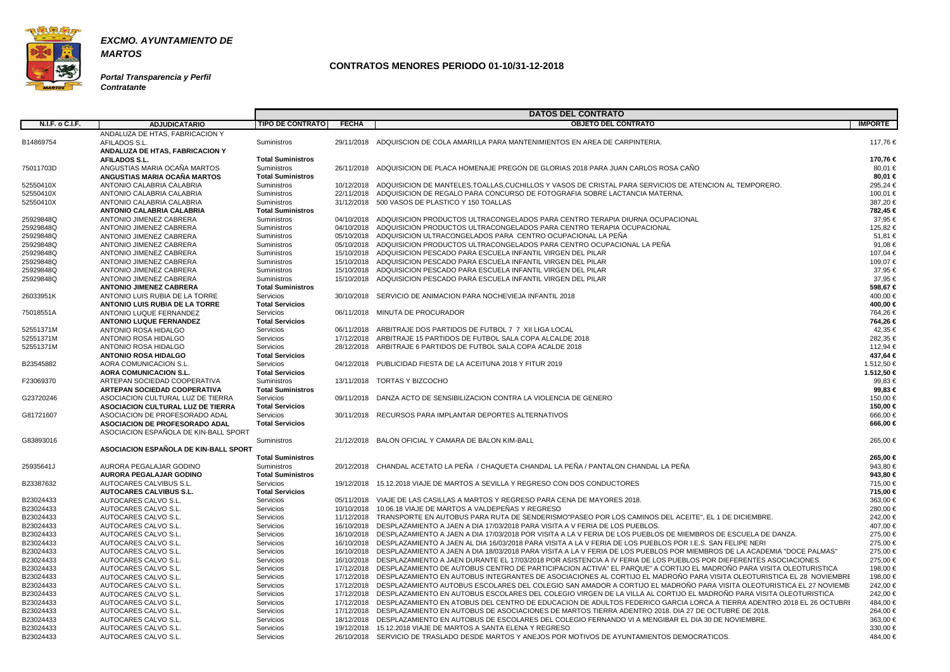

**Portal Transparencia y Perfil Contratante**

|                        |                                                               |                                     |              | <b>DATOS DEL CONTRATO</b>                                                                                                           |                          |
|------------------------|---------------------------------------------------------------|-------------------------------------|--------------|-------------------------------------------------------------------------------------------------------------------------------------|--------------------------|
| <b>N.I.F. o C.I.F.</b> | <b>ADJUDICATARIO</b>                                          | <b>TIPO DE CONTRATO</b>             | <b>FECHA</b> | <b>OBJETO DEL CONTRATO</b>                                                                                                          | <b>IMPORTE</b>           |
|                        | ANDALUZA DE HTAS, FABRICACION Y                               |                                     |              |                                                                                                                                     |                          |
| B14869754              | AFILADOS S.L.                                                 | <b>Suministros</b>                  |              | 29/11/2018 ADQUISCION DE COLA AMARILLA PARA MANTENIMIENTOS EN AREA DE CARPINTERIA.                                                  | 117,76€                  |
|                        | ANDALUZA DE HTAS, FABRICACION Y                               |                                     |              |                                                                                                                                     |                          |
|                        | <b>AFILADOS S.L.</b>                                          | <b>Total Suministros</b>            |              |                                                                                                                                     | 170,76 €                 |
| 75011703D              | ANGUSTIAS MARIA OCAÑA MARTOS                                  | <b>Suministros</b>                  |              | 26/11/2018 ADQUISICION DE PLACA HOMENAJE PREGON DE GLORIAS 2018 PARA JUAN CARLOS ROSA CANO                                          | 80,01 €                  |
|                        | ANGUSTIAS MARIA OCAÑA MARTOS                                  | <b>Total Suministros</b>            |              |                                                                                                                                     | 80,01 €                  |
| 52550410X              | ANTONIO CALABRIA CALABRIA                                     | Suministros                         |              | 10/12/2018 ADQUISICION DE MANTELES, TOALLAS, CUCHILLOS Y VASOS DE CRISTAL PARA SERVICIOS DE ATENCION AL TEMPORERO.                  | 295,24 €                 |
| 52550410X              | ANTONIO CALABRIA CALABRIA                                     | <b>Suministros</b>                  |              | 22/11/2018 ADQUISICION DE REGALO PARA CONCURSO DE FOTOGRAFIA SOBRE LACTANCIA MATERNA.                                               | 100,01 €                 |
| 52550410X              | ANTONIO CALABRIA CALABRIA                                     | <b>Suministros</b>                  |              | 31/12/2018 500 VASOS DE PLASTICO Y 150 TOALLAS                                                                                      | 387,20€                  |
|                        | <b>ANTONIO CALABRIA CALABRIA</b>                              | <b>Total Suministros</b>            |              |                                                                                                                                     | 782,45 €                 |
| 25929848Q              | ANTONIO JIMENEZ CABRERA                                       | <b>Suministros</b>                  |              | 04/10/2018 ADQUISICION PRODUCTOS ULTRACONGELADOS PARA CENTRO TERAPIA DIURNA OCUPACIONAL                                             | 37,95 €                  |
| 25929848Q              | ANTONIO JIMENEZ CABRERA                                       | <b>Suministros</b>                  |              | 04/10/2018 ADQUISICION PRODUCTOS ULTRACONGELADOS PARA CENTRO TERAPIA OCUPACIONAL                                                    | 125,82 €                 |
| 25929848Q              | ANTONIO JIMENEZ CABRERA                                       | Suministros                         |              | 05/10/2018 ADQUISICION ULTRACONGELADOS PARA CENTRO OCUPACIONAL LA PEÑA                                                              | 51,81 €                  |
| 25929848Q              | ANTONIO JIMENEZ CABRERA                                       | Suministros                         |              | 05/10/2018 ADQUISICION PRODUCTOS ULTRACONGELADOS PARA CENTRO OCUPACIONAL LA PEÑA                                                    | 91,08 €                  |
| 25929848Q              | ANTONIO JIMENEZ CABRERA                                       | Suministros                         |              | 15/10/2018 ADQUISICION PESCADO PARA ESCUELA INFANTIL VIRGEN DEL PILAR                                                               | 107,04 €                 |
| 25929848Q              | ANTONIO JIMENEZ CABRERA                                       | Suministros                         |              | 15/10/2018 ADQUISICION PESCADO PARA ESCUELA INFANTIL VIRGEN DEL PILAR                                                               | 109,07€                  |
| 25929848Q              | ANTONIO JIMENEZ CABRERA                                       | Suministros                         | 15/10/2018   | ADQUISICION PESCADO PARA ESCUELA INFANTIL VIRGEN DEL PILAR                                                                          | 37,95 €                  |
| 25929848Q              | ANTONIO JIMENEZ CABRERA                                       | <b>Suministros</b>                  | 15/10/2018   | ADQUISICION PESCADO PARA ESCUELA INFANTIL VIRGEN DEL PILAR                                                                          | 37,95 €                  |
|                        | <b>ANTONIO JIMENEZ CABRERA</b>                                | <b>Total Suministros</b>            |              |                                                                                                                                     | 598,67 €                 |
| 26033951K              | ANTONIO LUIS RUBIA DE LA TORRE                                | Servicios                           |              | 30/10/2018 SERVICIO DE ANIMACION PARA NOCHEVIEJA INFANTIL 2018                                                                      | 400,00 €                 |
|                        | <b>ANTONIO LUIS RUBIA DE LA TORRE</b>                         | <b>Total Servicios</b>              |              |                                                                                                                                     | 400,00 €                 |
| 75018551A              | ANTONIO LUQUE FERNANDEZ                                       | Servicios                           |              | 06/11/2018 MINUTA DE PROCURADOR                                                                                                     | 764,26 €                 |
|                        | <b>ANTONIO LUQUE FERNANDEZ</b>                                | <b>Total Servicios</b>              |              |                                                                                                                                     | 764,26 €                 |
| 52551371M              | ANTONIO ROSA HIDALGO                                          | Servicios                           |              | 06/11/2018 ARBITRAJE DOS PARTIDOS DE FUTBOL 7 7 XII LIGA LOCAL                                                                      | 42,35 €                  |
| 52551371M              | ANTONIO ROSA HIDALGO                                          | Servicios                           |              | 17/12/2018 ARBITRAJE 15 PARTIDOS DE FUTBOL SALA COPA ALCALDE 2018                                                                   | 282,35 €                 |
| 52551371M              | ANTONIO ROSA HIDALGO                                          | Servicios                           | 28/12/2018   | ARBITRAJE 6 PARTIDOS DE FUTBOL SALA COPA ACALDE 2018                                                                                | 112,94 €                 |
|                        | <b>ANTONIO ROSA HIDALGO</b>                                   | <b>Total Servicios</b>              |              |                                                                                                                                     | 437,64 €                 |
| B23545882              | AORA COMUNICACION S.L.                                        | Servicios<br><b>Total Servicios</b> |              | 04/12/2018 PUBLICIDAD FIESTA DE LA ACEITUNA 2018 Y FITUR 2019                                                                       | 1.512,50 €<br>1.512,50 € |
|                        | <b>AORA COMUNICACION S.L.</b><br>ARTEPAN SOCIEDAD COOPERATIVA | Suministros                         |              | 13/11/2018 TORTAS Y BIZCOCHO                                                                                                        | 99,83 €                  |
| F23069370              | <b>ARTEPAN SOCIEDAD COOPERATIVA</b>                           | <b>Total Suministros</b>            |              |                                                                                                                                     | 99,83 €                  |
| G23720246              | ASOCIACION CULTURAL LUZ DE TIERRA                             | <b>Servicios</b>                    |              | 09/11/2018 DANZA ACTO DE SENSIBILIZACION CONTRA LA VIOLENCIA DE GENERO                                                              | 150,00 €                 |
|                        | <b>ASOCIACION CULTURAL LUZ DE TIERRA</b>                      | <b>Total Servicios</b>              |              |                                                                                                                                     | 150,00 €                 |
| G81721607              | ASOCIACION DE PROFESORADO ADAL                                | Servicios                           |              | 30/11/2018 RECURSOS PARA IMPLANTAR DEPORTES ALTERNATIVOS                                                                            | 666,00€                  |
|                        | <b>ASOCIACION DE PROFESORADO ADAL</b>                         | <b>Total Servicios</b>              |              |                                                                                                                                     | 666,00 €                 |
|                        | ASOCIACION ESPAÑOLA DE KIN-BALL SPORT                         |                                     |              |                                                                                                                                     |                          |
| G83893016              |                                                               | <b>Suministros</b>                  |              | 21/12/2018 BALON OFICIAL Y CAMARA DE BALON KIM-BALL                                                                                 | 265,00 €                 |
|                        | ASOCIACION ESPAÑOLA DE KIN-BALL SPORT                         |                                     |              |                                                                                                                                     |                          |
|                        |                                                               | <b>Total Suministros</b>            |              |                                                                                                                                     | 265,00 €                 |
| 25935641J              | AURORA PEGALAJAR GODINO                                       | Suministros                         |              | 20/12/2018 CHANDAL ACETATO LA PEÑA / CHAQUETA CHANDAL LA PEÑA / PANTALON CHANDAL LA PEÑA                                            | 943,80 €                 |
|                        | <b>AURORA PEGALAJAR GODINO</b>                                | <b>Total Suministros</b>            |              |                                                                                                                                     | 943,80 €                 |
| B23387632              | AUTOCARES CALVIBUS S.L.                                       | Servicios                           |              | 19/12/2018 15.12.2018 VIAJE DE MARTOS A SEVILLA Y REGRESO CON DOS CONDUCTORES                                                       | 715,00 €                 |
|                        | <b>AUTOCARES CALVIBUS S.L.</b>                                | <b>Total Servicios</b>              |              |                                                                                                                                     | 715,00 €                 |
| B23024433              | AUTOCARES CALVO S.L.                                          | Servicios                           |              | 05/11/2018 VIAJE DE LAS CASILLAS A MARTOS Y REGRESO PARA CENA DE MAYORES 2018.                                                      | 363,00 €                 |
| B23024433              | AUTOCARES CALVO S.L.                                          | Servicios                           |              | 10/10/2018  10.06.18 VIAJE DE MARTOS A VALDEPEÑAS Y REGRESO                                                                         | 280,00 €                 |
| B23024433              | AUTOCARES CALVO S.L.                                          | Servicios                           |              | 11/12/2018 TRANSPORTE EN AUTOBUS PARA RUTA DE SENDERISMO"PASEO POR LOS CAMINOS DEL ACEITE", EL 1 DE DICIEMBRE.                      | 242,00 €                 |
| B23024433              | AUTOCARES CALVO S.L.                                          | Servicios                           |              | 16/10/2018 DESPLAZAMIENTO A JAEN A DIA 17/03/2018 PARA VISITA A V FERIA DE LOS PUEBLOS.                                             | 407,00 €                 |
| B23024433              | AUTOCARES CALVO S.L.                                          | Servicios                           |              | 16/10/2018 DESPLAZAMIENTO A JAEN A DIA 17/03/2018 POR VISITA A LA V FERIA DE LOS PUEBLOS DE MIEMBROS DE ESCUELA DE DANZA.           | 275,00 €                 |
| B23024433              | AUTOCARES CALVO S.L.                                          | Servicios                           | 16/10/2018   | DESPLAZAMIENTO A JAEN AL DIA 16/03/2018 PARA VISITA A LA V FERIA DE LOS PUEBLOS POR I.E.S. SAN FELIPE NERI                          | 275,00 €                 |
| B23024433              | AUTOCARES CALVO S.L.                                          | Servicios                           |              | 16/10/2018 DESPLAZAMIENTO A JAEN A DIA 18/03/2018 PARA VISITA A LA V FERIA DE LOS PUEBLOS POR MIEMBROS DE LA ACADEMIA "DOCE PALMAS" | 275,00 €                 |
| B23024433              | AUTOCARES CALVO S.L.                                          | Servicios                           |              | 16/10/2018 DESPLAZAMIENTO A JAEN DURANTE EL 17/03/2018 POR ASISTENCIA A IV FERIA DE LOS PUEBLOS POR DIEFERENTES ASOCIACIONES.       | 275,00 €                 |
| B23024433              | AUTOCARES CALVO S.L.                                          | Servicios                           |              | 17/12/2018 DESPLAZAMIENTO DE AUTOBUS CENTRO DE PARTICIPACION ACTIVA" EL PARQUE" A CORTIJO EL MADROÑO PARA VISITA OLEOTURISTICA      | 198,00 €                 |
| B23024433              | AUTOCARES CALVO S.L.                                          | Servicios                           | 17/12/2018   | DESPLAZAMIENTO EN AUTOBUS INTEGRANTES DE ASOCIACIONES AL CORTIJO EL MADROÑO PARA VISITA OLEOTURISTICA EL 28 NOVIEMBRE               | 198,00 €                 |
| B23024433              | AUTOCARES CALVO S.L.                                          | Servicios                           |              | 17/12/2018 DESPLAZAMIENTO AUTOBUS ESCOLARES DEL COLEGIO SAN AMADOR A CORTIJO EL MADROÑO PARA VISITA OLEOTURISTICA EL 27 NOVIEMBI    | 242,00 €                 |
| B23024433              | AUTOCARES CALVO S.L.                                          | Servicios                           |              | 17/12/2018 DESPLAZAMIENTO EN AUTOBUS ESCOLARES DEL COLEGIO VIRGEN DE LA VILLA AL CORTIJO EL MADROÑO PARA VISITA OLEOTURISTICA       | 242,00 €                 |
| B23024433              | AUTOCARES CALVO S.L.                                          | Servicios                           |              | 17/12/2018 DESPLAZAMIENTO EN ATOBUS DEL CENTRO DE EDUCACION DE ADULTOS FEDERICO GARCIA LORCA A TIERRA ADENTRO 2018 EL 26 OCTUBRI    | 484,00 €                 |
| B23024433              | AUTOCARES CALVO S.L.                                          | Servicios                           |              | 17/12/2018 DESPLAZAMIENTO EN AUTOBUS DE ASOCIACIONES DE MARTOS TIERRA ADENTRO 2018. DIA 27 DE OCTUBRE DE 2018.                      | 264,00 €                 |
| B23024433              | AUTOCARES CALVO S.L.                                          | Servicios                           | 18/12/2018   | DESPLAZAMIENTO EN AUTOBUS DE ESCOLARES DEL COLEGIO FERNANDO VI A MENGIBAR EL DIA 30 DE NOVIEMBRE.                                   | 363,00 €                 |
| B23024433              | AUTOCARES CALVO S.L.                                          | Servicios                           |              | 19/12/2018 15.12.2018 VIAJE DE MARTOS A SANTA ELENA Y REGRESO                                                                       | 330,00 €                 |
| B23024433              | AUTOCARES CALVO S.L.                                          | Servicios                           |              | 26/10/2018 SERVICIO DE TRASLADO DESDE MARTOS Y ANEJOS POR MOTIVOS DE AYUNTAMIENTOS DEMOCRATICOS.                                    | 484,00 €                 |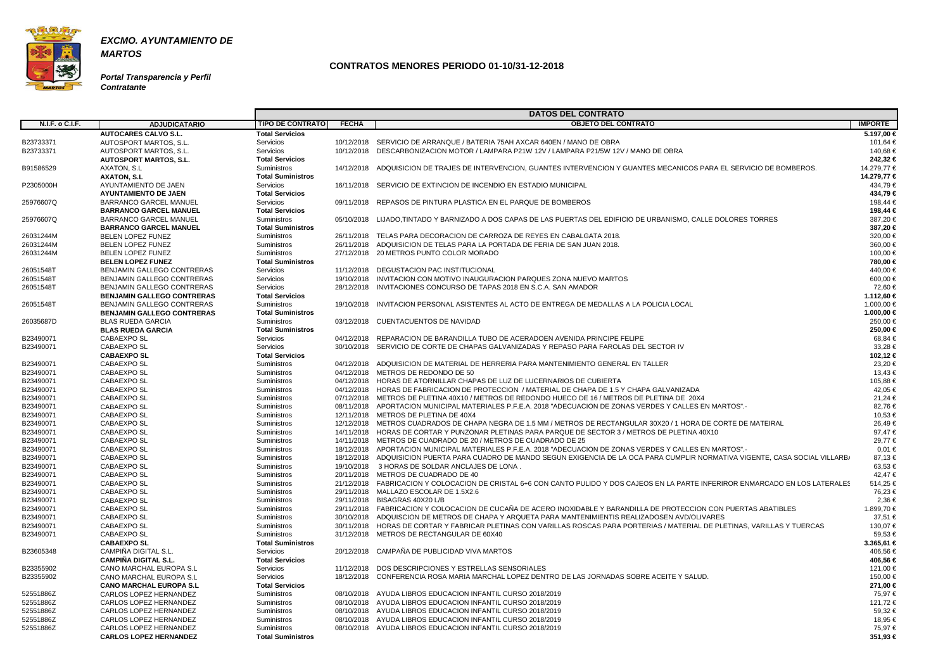

**Portal Transparencia y Perfil Contratante**

|                        |                                            |                                     |              | <b>DATOS DEL CONTRATO</b>                                                                                                         |                |
|------------------------|--------------------------------------------|-------------------------------------|--------------|-----------------------------------------------------------------------------------------------------------------------------------|----------------|
| <b>N.I.F. o C.I.F.</b> | <b>ADJUDICATARIO</b>                       | <b>TIPO DE CONTRATO</b>             | <b>FECHA</b> | <b>OBJETO DEL CONTRATO</b>                                                                                                        | <b>IMPORTE</b> |
|                        | <b>AUTOCARES CALVO S.L.</b>                | <b>Total Servicios</b>              |              |                                                                                                                                   | 5.197,00 €     |
| B23733371              | AUTOSPORT MARTOS, S.L.                     | Servicios                           |              | 10/12/2018 SERVICIO DE ARRANQUE / BATERIA 75AH AXCAR 640EN / MANO DE OBRA                                                         | 101,64 €       |
| B23733371              | AUTOSPORT MARTOS, S.L.                     | Servicios                           |              | 10/12/2018 DESCARBONIZACION MOTOR / LAMPARA P21W 12V / LAMPARA P21/5W 12V / MANO DE OBRA                                          | 140,68 €       |
|                        | <b>AUTOSPORT MARTOS, S.L.</b>              | <b>Total Servicios</b>              |              |                                                                                                                                   | 242,32 €       |
| B91586529              | AXATON, S.L.                               | Suministros                         |              | 14/12/2018 ADQUISICION DE TRAJES DE INTERVENCION, GUANTES INTERVENCION Y GUANTES MECANICOS PARA EL SERVICIO DE BOMBEROS.          | 14.279,77 €    |
|                        | <b>AXATON, S.L</b>                         | <b>Total Suministros</b>            |              |                                                                                                                                   | 14.279,77 €    |
| P2305000H              | AYUNTAMIENTO DE JAEN                       | Servicios                           |              | 16/11/2018 SERVICIO DE EXTINCION DE INCENDIO EN ESTADIO MUNICIPAL                                                                 | 434,79 €       |
|                        | <b>AYUNTAMIENTO DE JAEN</b>                | <b>Total Servicios</b>              |              |                                                                                                                                   | 434,79 €       |
| 25976607Q              | <b>BARRANCO GARCEL MANUEL</b>              | Servicios                           |              | 09/11/2018 REPASOS DE PINTURA PLASTICA EN EL PARQUE DE BOMBEROS                                                                   | 198.44 €       |
|                        | <b>BARRANCO GARCEL MANUEL</b>              | <b>Total Servicios</b>              |              |                                                                                                                                   | 198,44 €       |
| 25976607Q              | <b>BARRANCO GARCEL MANUEL</b>              | Suministros                         |              | 05/10/2018 LIJADO,TINTADO Y BARNIZADO A DOS CAPAS DE LAS PUERTAS DEL EDIFICIO DE URBANISMO, CALLE DOLORES TORRES                  | 387,20€        |
|                        | <b>BARRANCO GARCEL MANUEL</b>              | <b>Total Suministros</b>            |              |                                                                                                                                   | 387,20 €       |
| 26031244M              | <b>BELEN LOPEZ FUNEZ</b>                   | Suministros                         |              | 26/11/2018 TELAS PARA DECORACION DE CARROZA DE REYES EN CABALGATA 2018.                                                           | 320,00 €       |
| 26031244M              | <b>BELEN LOPEZ FUNEZ</b>                   | Suministros                         |              | 26/11/2018 ADQUISICION DE TELAS PARA LA PORTADA DE FERIA DE SAN JUAN 2018.                                                        | 360,00 €       |
| 26031244M              | <b>BELEN LOPEZ FUNEZ</b>                   | Suministros                         |              | 27/12/2018 20 METROS PUNTO COLOR MORADO                                                                                           | 100,00 €       |
|                        | <b>BELEN LOPEZ FUNEZ</b>                   | <b>Total Suministros</b>            |              |                                                                                                                                   | 780,00 €       |
| 26051548T              | <b>BENJAMIN GALLEGO CONTRERAS</b>          | Servicios                           |              | 11/12/2018 DEGUSTACION PAC INSTITUCIONAL                                                                                          | 440,00 €       |
| 26051548T              | BENJAMIN GALLEGO CONTRERAS                 | Servicios                           |              | 19/10/2018 INVITACION CON MOTIVO INAUGURACION PARQUES ZONA NUEVO MARTOS                                                           | 600,00 €       |
| 26051548T              | <b>BENJAMIN GALLEGO CONTRERAS</b>          | Servicios                           |              | 28/12/2018 INVITACIONES CONCURSO DE TAPAS 2018 EN S.C.A. SAN AMADOR                                                               | 72,60 €        |
|                        | <b>BENJAMIN GALLEGO CONTRERAS</b>          | <b>Total Servicios</b>              |              |                                                                                                                                   | 1.112,60 €     |
| 26051548T              | BENJAMIN GALLEGO CONTRERAS                 | Suministros                         |              | 19/10/2018 INVITACION PERSONAL ASISTENTES AL ACTO DE ENTREGA DE MEDALLAS A LA POLICIA LOCAL                                       | 1.000,00 €     |
|                        | <b>BENJAMIN GALLEGO CONTRERAS</b>          | <b>Total Suministros</b>            |              |                                                                                                                                   | 1.000,00 €     |
| 26035687D              | <b>BLAS RUEDA GARCIA</b>                   | Suministros                         |              | 03/12/2018 CUENTACUENTOS DE NAVIDAD                                                                                               | 250,00 €       |
|                        | <b>BLAS RUEDA GARCIA</b>                   | <b>Total Suministros</b>            |              |                                                                                                                                   | 250,00 €       |
| B23490071              | <b>CABAEXPO SL</b>                         | Servicios                           |              | 04/12/2018 REPARACION DE BARANDILLA TUBO DE ACERADOEN AVENIDA PRINCIPE FELIPE                                                     | 68,84 €        |
| B23490071              | <b>CABAEXPO SL</b>                         | Servicios                           |              | 30/10/2018 SERVICIO DE CORTE DE CHAPAS GALVANIZADAS Y REPASO PARA FAROLAS DEL SECTOR IV                                           | 33,28€         |
|                        | <b>CABAEXPO SL</b>                         | <b>Total Servicios</b>              |              |                                                                                                                                   | 102,12 €       |
| B23490071              | CABAEXPO SL                                | Suministros                         |              | 04/12/2018 ADQUISICION DE MATERIAL DE HERRERIA PARA MANTENIMIENTO GENERAL EN TALLER                                               | 23,20€         |
| B23490071              | <b>CABAEXPO SL</b>                         | Suministros                         |              | 04/12/2018 METROS DE REDONDO DE 50                                                                                                | 13,43 €        |
| B23490071              | <b>CABAEXPO SL</b>                         | Suministros                         |              | 04/12/2018 HORAS DE ATORNILLAR CHAPAS DE LUZ DE LUCERNARIOS DE CUBIERTA                                                           | 105,88 €       |
| B23490071              | CABAEXPO SL                                | Suministros                         |              | 04/12/2018 HORAS DE FABRICACION DE PROTECCION / MATERIAL DE CHAPA DE 1.5 Y CHAPA GALVANIZADA                                      | 42,05 €        |
| B23490071              | CABAEXPO SL                                | Suministros                         |              | 07/12/2018 METROS DE PLETINA 40X10 / METROS DE REDONDO HUECO DE 16 / METROS DE PLETINA DE 20X4                                    | 21,24 €        |
| B23490071              | CABAEXPO SL                                | Suministros                         |              | 08/11/2018 APORTACION MUNICIPAL MATERIALES P.F.E.A. 2018 "ADECUACION DE ZONAS VERDES Y CALLES EN MARTOS".-                        | 82,76€         |
| B23490071              | <b>CABAEXPO SL</b>                         | Suministros                         |              | 12/11/2018 METROS DE PLETINA DE 40X4                                                                                              | 10,53 €        |
| B23490071              | <b>CABAEXPO SL</b>                         | Suministros                         |              | 12/12/2018 METROS CUADRADOS DE CHAPA NEGRA DE 1.5 MM / METROS DE RECTANGULAR 30X20 / 1 HORA DE CORTE DE MATEIRAL                  | 26,49€         |
| B23490071              | CABAEXPO SL                                | Suministros                         |              | 14/11/2018 HORAS DE CORTAR Y PUNZONAR PLETINAS PARA PARQUE DE SECTOR 3 / METROS DE PLETINA 40X10                                  | 97,47€         |
| B23490071              | <b>CABAEXPO SL</b>                         | Suministros                         |              | 14/11/2018 METROS DE CUADRADO DE 20 / METROS DE CUADRADO DE 25                                                                    | 29,77 €        |
| B23490071              | <b>CABAEXPO SL</b>                         | Suministros                         |              | 18/12/2018 APORTACION MUNICIPAL MATERIALES P.F.E.A. 2018 "ADECUACION DE ZONAS VERDES Y CALLES EN MARTOS".-                        | $0,01 \in$     |
| B23490071              | <b>CABAEXPO SL</b>                         | Suministros                         |              | 18/12/2018 ADQUISICION PUERTA PARA CUADRO DE MANDO SEGUN EXIGENCIA DE LA OCA PARA CUMPLIR NORMATIVA VIGENTE, CASA SOCIAL VILLARB/ | 87,13€         |
| B23490071              | CABAEXPO SL                                | Suministros                         |              | 19/10/2018 3 HORAS DE SOLDAR ANCLAJES DE LONA.                                                                                    | 63,53€         |
| B23490071              | <b>CABAEXPO SL</b>                         | Suministros                         |              | 20/11/2018 METROS DE CUADRADO DE 40                                                                                               | 42,47€         |
| B23490071              | CABAEXPO SL                                | Suministros                         |              | 21/12/2018 FABRICACION Y COLOCACION DE CRISTAL 6+6 CON CANTO PULIDO Y DOS CAJEOS EN LA PARTE INFERIROR ENMARCADO EN LOS LATERALES | 514,25€        |
| B23490071              | CABAEXPO SL                                | Suministros                         |              | 29/11/2018 MALLAZO ESCOLAR DE 1.5X2.6                                                                                             | 76,23 €        |
| B23490071              | CABAEXPO SL                                | Suministros                         |              | 29/11/2018 BISAGRAS 40X20 L/B                                                                                                     | 2,36 €         |
| B23490071              | <b>CABAEXPO SL</b>                         | Suministros                         |              | 29/11/2018 FABRICACION Y COLOCACION DE CUCAÑA DE ACERO INOXIDABLE Y BARANDILLA DE PROTECCION CON PUERTAS ABATIBLES                | 1.899,70 €     |
| B23490071              | <b>CABAEXPO SL</b>                         | Suministros                         |              | 30/10/2018 ADQUISCION DE METROS DE CHAPA Y ARQUETA PARA MANTENIMIENTIS REALIZADOSEN AVD/OLIVARES                                  | 37,51 €        |
|                        | <b>CABAEXPO SL</b>                         |                                     |              | 30/11/2018 HORAS DE CORTAR Y FABRICAR PLETINAS CON VARILLAS ROSCAS PARA PORTERIAS / MATERIAL DE PLETINAS, VARILLAS Y TUERCAS      | 130,07 €       |
| B23490071<br>B23490071 | <b>CABAEXPO SL</b>                         | Suministros<br>Suministros          |              | 31/12/2018 METROS DE RECTANGULAR DE 60X40                                                                                         | 59,53 €        |
|                        |                                            | <b>Total Suministros</b>            |              |                                                                                                                                   | 3.365,61 €     |
|                        | <b>CABAEXPO SL</b><br>CAMPIÑA DIGITAL S.L. |                                     |              | 20/12/2018 CAMPAÑA DE PUBLICIDAD VIVA MARTOS                                                                                      | 406,56 €       |
| B23605348              | <b>CAMPIÑA DIGITAL S.L.</b>                | Servicios<br><b>Total Servicios</b> |              |                                                                                                                                   | 406,56 €       |
|                        |                                            |                                     |              |                                                                                                                                   |                |
| B23355902              | <b>CANO MARCHAL EUROPA S.L</b>             | Servicios                           |              | 11/12/2018 DOS DESCRIPCIONES Y ESTRELLAS SENSORIALES                                                                              | 121,00 €       |
| B23355902              | CANO MARCHAL EUROPA S.L                    | Servicios<br><b>Total Servicios</b> |              | 18/12/2018 CONFERENCIA ROSA MARIA MARCHAL LOPEZ DENTRO DE LAS JORNADAS SOBRE ACEITE Y SALUD.                                      | 150,00 €       |
|                        | <b>CANO MARCHAL EUROPA S.L</b>             |                                     |              |                                                                                                                                   | 271,00 €       |
| 52551886Z              | CARLOS LOPEZ HERNANDEZ                     | Suministros                         |              | 08/10/2018 AYUDA LIBROS EDUCACION INFANTIL CURSO 2018/2019                                                                        | 75,97 €        |
| 52551886Z              | CARLOS LOPEZ HERNANDEZ                     | Suministros                         |              | 08/10/2018 AYUDA LIBROS EDUCACION INFANTIL CURSO 2018/2019                                                                        | 121,72 €       |
| 52551886Z              | CARLOS LOPEZ HERNANDEZ                     | Suministros                         |              | 08/10/2018 AYUDA LIBROS EDUCACION INFANTIL CURSO 2018/2019                                                                        | 59,32 €        |
| 52551886Z              | CARLOS LOPEZ HERNANDEZ                     | Suministros                         |              | 08/10/2018 AYUDA LIBROS EDUCACION INFANTIL CURSO 2018/2019                                                                        | 18,95 €        |
| 52551886Z              | CARLOS LOPEZ HERNANDEZ                     | Suministros                         |              | 08/10/2018 AYUDA LIBROS EDUCACION INFANTIL CURSO 2018/2019                                                                        | 75,97 €        |
|                        | <b>CARLOS LOPEZ HERNANDEZ</b>              | <b>Total Suministros</b>            |              |                                                                                                                                   | 351,93 €       |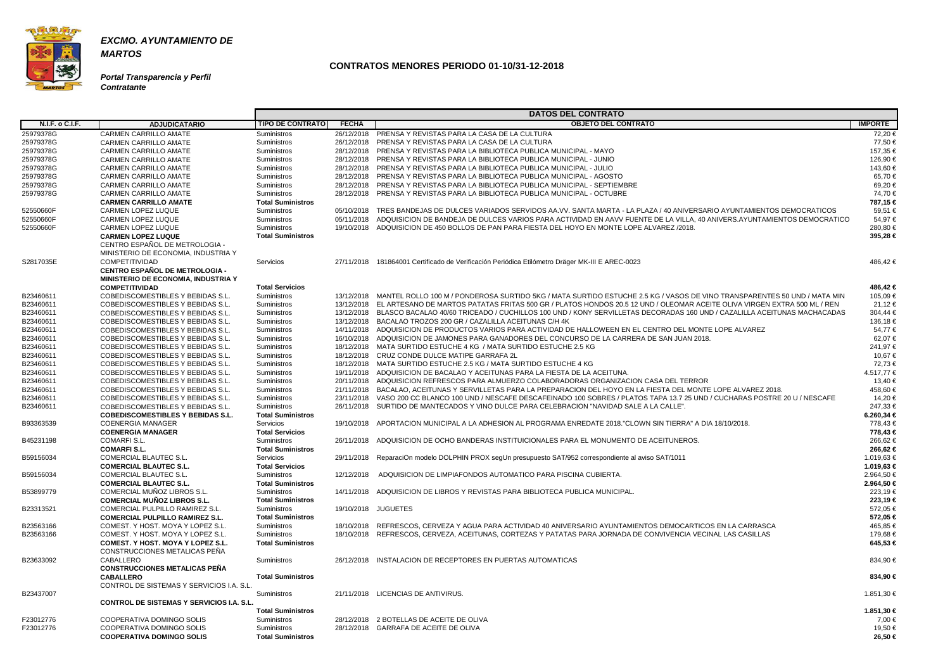

#### **Portal Transparencia y Perfil Contratante**

|                        |                                                  |                          |              | <b>DATOS DEL CONTRATO</b>                                                                                                           |                |
|------------------------|--------------------------------------------------|--------------------------|--------------|-------------------------------------------------------------------------------------------------------------------------------------|----------------|
| <b>N.I.F. o C.I.F.</b> | <b>ADJUDICATARIO</b>                             | <b>TIPO DE CONTRATO</b>  | <b>FECHA</b> | <b>OBJETO DEL CONTRATO</b>                                                                                                          | <b>IMPORTE</b> |
| 25979378G              | <b>CARMEN CARRILLO AMATE</b>                     | Suministros              |              | 26/12/2018 PRENSA Y REVISTAS PARA LA CASA DE LA CULTURA                                                                             | 72,20 €        |
| 25979378G              | <b>CARMEN CARRILLO AMATE</b>                     | <b>Suministros</b>       |              | 26/12/2018 PRENSA Y REVISTAS PARA LA CASA DE LA CULTURA                                                                             | 77,50 €        |
| 25979378G              | <b>CARMEN CARRILLO AMATE</b>                     | <b>Suministros</b>       |              | 28/12/2018 PRENSA Y REVISTAS PARA LA BIBLIOTECA PUBLICA MUNICIPAL - MAYO                                                            | 157,35 €       |
| 25979378G              | <b>CARMEN CARRILLO AMATE</b>                     | Suministros              |              | 28/12/2018 PRENSA Y REVISTAS PARA LA BIBLIOTECA PUBLICA MUNICIPAL - JUNIO                                                           | 126,90 €       |
| 25979378G              | <b>CARMEN CARRILLO AMATE</b>                     | <b>Suministros</b>       |              | 28/12/2018 PRENSA Y REVISTAS PARA LA BIBLIOTECA PUBLICA MUNICIPAL - JULIO                                                           | 143.60 €       |
| 25979378G              | <b>CARMEN CARRILLO AMATE</b>                     | Suministros              |              | 28/12/2018 PRENSA Y REVISTAS PARA LA BIBLIOTECA PUBLICA MUNICIPAL - AGOSTO                                                          | 65,70€         |
| 25979378G              | <b>CARMEN CARRILLO AMATE</b>                     | <b>Suministros</b>       |              | 28/12/2018 PRENSA Y REVISTAS PARA LA BIBLIOTECA PUBLICA MUNICIPAL - SEPTIEMBRE                                                      | 69,20€         |
| 25979378G              | <b>CARMEN CARRILLO AMATE</b>                     | <b>Suministros</b>       |              | 28/12/2018 PRENSA Y REVISTAS PARA LA BIBLIOTECA PUBLICA MUNICIPAL - OCTUBRE                                                         | 74,70 €        |
|                        | <b>CARMEN CARRILLO AMATE</b>                     | <b>Total Suministros</b> |              |                                                                                                                                     | 787,15 €       |
| 52550660F              | <b>CARMEN LOPEZ LUQUE</b>                        | <b>Suministros</b>       |              | 05/10/2018 TRES BANDEJAS DE DULCES VARIADOS SERVIDOS AA.VV. SANTA MARTA - LA PLAZA / 40 ANIVERSARIO AYUNTAMIENTOS DEMOCRATICOS      | 59,51€         |
| 52550660F              | <b>CARMEN LOPEZ LUQUE</b>                        | Suministros              |              | 05/11/2018 ADQUISICION DE BANDEJA DE DULCES VARIOS PARA ACTIVIDAD EN AAVV FUENTE DE LA VILLA, 40 ANIVERS.AYUNTAMIENTOS DEMOCRATICO  | 54,97€         |
| 52550660F              | <b>CARMEN LOPEZ LUQUE</b>                        | Suministros              |              | 19/10/2018 ADQUISICION DE 450 BOLLOS DE PAN PARA FIESTA DEL HOYO EN MONTE LOPE ALVAREZ /2018.                                       | 280,80 €       |
|                        | <b>CARMEN LOPEZ LUQUE</b>                        | <b>Total Suministros</b> |              |                                                                                                                                     | 395,28 €       |
|                        | CENTRO ESPAÑOL DE METROLOGIA -                   |                          |              |                                                                                                                                     |                |
|                        | MINISTERIO DE ECONOMIA, INDUSTRIA Y              |                          |              |                                                                                                                                     |                |
| S2817035E              | <b>COMPETITIVIDAD</b>                            | Servicios                |              | 27/11/2018 181864001 Certificado de Verificación Periódica Etilómetro Dräger MK-III E AREC-0023                                     | 486,42 €       |
|                        | <b>CENTRO ESPAÑOL DE METROLOGIA -</b>            |                          |              |                                                                                                                                     |                |
|                        | <b>MINISTERIO DE ECONOMIA. INDUSTRIA Y</b>       |                          |              |                                                                                                                                     |                |
|                        | <b>COMPETITIVIDAD</b>                            | <b>Total Servicios</b>   |              |                                                                                                                                     | 486,42 €       |
| B23460611              | <b>COBEDISCOMESTIBLES Y BEBIDAS S.L.</b>         | Suministros              |              | 13/12/2018 MANTEL ROLLO 100 M / PONDEROSA SURTIDO 5KG / MATA SURTIDO ESTUCHE 2.5 KG / VASOS DE VINO TRANSPARENTES 50 UND / MATA MIN | 105,09€        |
| B23460611              | COBEDISCOMESTIBLES Y BEBIDAS S.L.                | Suministros              |              | 13/12/2018 EL ARTESANO DE MARTOS PATATAS FRITAS 500 GR / PLATOS HONDOS 20.5 12 UND / OLEOMAR ACEITE OLIVA VIRGEN EXTRA 500 ML / REN | 21,12€         |
| B23460611              | COBEDISCOMESTIBLES Y BEBIDAS S.L.                | Suministros              |              | 13/12/2018 BLASCO BACALAO 40/60 TRICEADO / CUCHILLOS 100 UND / KONY SERVILLETAS DECORADAS 160 UND / CAZALILLA ACEITUNAS MACHACADAS  | 304,44 €       |
| B23460611              | <b>COBEDISCOMESTIBLES Y BEBIDAS S.L.</b>         | Suministros              |              | 13/12/2018 BACALAO TROZOS 200 GR / CAZALILLA ACEITUNAS C/H 4K                                                                       | 136,18€        |
| B23460611              | COBEDISCOMESTIBLES Y BEBIDAS S.L.                | Suministros              |              | 14/11/2018 ADQUISICION DE PRODUCTOS VARIOS PARA ACTIVIDAD DE HALLOWEEN EN EL CENTRO DEL MONTE LOPE ALVAREZ                          | 54.77 €        |
| B23460611              | COBEDISCOMESTIBLES Y BEBIDAS S.L.                | Suministros              |              | 16/10/2018 ADQUISICION DE JAMONES PARA GANADORES DEL CONCURSO DE LA CARRERA DE SAN JUAN 2018.                                       | 62,07€         |
| B23460611              | <b>COBEDISCOMESTIBLES Y BEBIDAS S.L.</b>         | <b>Suministros</b>       |              | 18/12/2018 MATA SURTIDO ESTUCHE 4 KG / MATA SURTIDO ESTUCHE 2.5 KG                                                                  | 241,97 €       |
| B23460611              | COBEDISCOMESTIBLES Y BEBIDAS S.L.                | Suministros              |              | 18/12/2018 CRUZ CONDE DULCE MATIPE GARRAFA 2L                                                                                       | 10.67 €        |
| B23460611              | COBEDISCOMESTIBLES Y BEBIDAS S.L.                | Suministros              |              | 18/12/2018 MATA SURTIDO ESTUCHE 2.5 KG / MATA SURTIDO ESTUCHE 4 KG                                                                  | 72,73 €        |
| B23460611              | COBEDISCOMESTIBLES Y BEBIDAS S.L.                | Suministros              |              | 19/11/2018 ADQUISICION DE BACALAO Y ACEITUNAS PARA LA FIESTA DE LA ACEITUNA.                                                        | 4.517,77 €     |
| B23460611              | COBEDISCOMESTIBLES Y BEBIDAS S.L.                | Suministros              |              | 20/11/2018 ADQUISICION REFRESCOS PARA ALMUERZO COLABORADORAS ORGANIZACION CASA DEL TERROR                                           | 13,40 €        |
| B23460611              | COBEDISCOMESTIBLES Y BEBIDAS S.L.                | Suministros              |              | 21/11/2018 BACALAO, ACEITUNAS Y SERVILLETAS PARA LA PREPARACION DEL HOYO EN LA FIESTA DEL MONTE LOPE ALVAREZ 2018.                  | 458,60 €       |
| B23460611              | COBEDISCOMESTIBLES Y BEBIDAS S.L.                | Suministros              |              | 23/11/2018 VASO 200 CC BLANCO 100 UND / NESCAFE DESCAFEINADO 100 SOBRES / PLATOS TAPA 13.7 25 UND / CUCHARAS POSTRE 20 U / NESCAFE  | 14,20 €        |
| B23460611              | COBEDISCOMESTIBLES Y BEBIDAS S.L.                | Suministros              | 26/11/2018   | SURTIDO DE MANTECADOS Y VINO DULCE PARA CELEBRACION "NAVIDAD SALE A LA CALLE"                                                       | 247,33 €       |
|                        | <b>COBEDISCOMESTIBLES Y BEBIDAS S.L.</b>         | <b>Total Suministros</b> |              |                                                                                                                                     | 6.260,34 €     |
| B93363539              | <b>COENERGIA MANAGER</b>                         | Servicios                | 19/10/2018   | APORTACION MUNICIPAL A LA ADHESION AL PROGRAMA ENREDATE 2018. "CLOWN SIN TIERRA" A DIA 18/10/2018.                                  | 778.43 €       |
|                        | <b>COENERGIA MANAGER</b>                         | <b>Total Servicios</b>   |              |                                                                                                                                     | 778,43 €       |
| B45231198              | <b>COMARFI S.L.</b>                              | <b>Suministros</b>       |              | 26/11/2018 ADQUISICION DE OCHO BANDERAS INSTITUICIONALES PARA EL MONUMENTO DE ACEITUNEROS.                                          | 266,62 €       |
|                        | <b>COMARFI S.L.</b>                              | <b>Total Suministros</b> |              |                                                                                                                                     | 266,62 €       |
| B59156034              | <b>COMERCIAL BLAUTEC S.L.</b>                    | Servicios                |              | 29/11/2018 ReparaciOn modelo DOLPHIN PROX segUn presupuesto SAT/952 correspondiente al aviso SAT/1011                               | 1.019,63 €     |
|                        | <b>COMERCIAL BLAUTEC S.L</b>                     | <b>Total Servicios</b>   |              |                                                                                                                                     | 1.019,63 €     |
| B59156034              | COMERCIAL BLAUTEC S.L.                           | Suministros              |              | 12/12/2018 ADQUISICION DE LIMPIAFONDOS AUTOMATICO PARA PISCINA CUBIERTA.                                                            | 2.964,50 €     |
|                        | <b>COMERCIAL BLAUTEC S.L.</b>                    | <b>Total Suministros</b> |              |                                                                                                                                     | 2.964,50 €     |
| B53899779              | COMERCIAL MUÑOZ LIBROS S.L.                      | Suministros              |              | 14/11/2018 ADQUISICION DE LIBROS Y REVISTAS PARA BIBLIOTECA PUBLICA MUNICIPAL.                                                      | 223,19€        |
|                        | <b>COMERCIAL MUÑOZ LIBROS S.L.</b>               | <b>Total Suministros</b> |              |                                                                                                                                     | 223,19 €       |
| B23313521              | COMERCIAL PULPILLO RAMIREZ S.L.                  | Suministros              |              | 19/10/2018 JUGUETES                                                                                                                 | 572,05 €       |
|                        | <b>COMERCIAL PULPILLO RAMIREZ S.L.</b>           | <b>Total Suministros</b> |              |                                                                                                                                     | 572,05 €       |
| B23563166              | COMEST. Y HOST. MOYA Y LOPEZ S.L.                | Suministros              |              | 18/10/2018 REFRESCOS, CERVEZA Y AGUA PARA ACTIVIDAD 40 ANIVERSARIO AYUNTAMIENTOS DEMOCARTICOS EN LA CARRASCA                        | 465,85 €       |
| B23563166              | COMEST. Y HOST. MOYA Y LOPEZ S.L.                | Suministros              |              | 18/10/2018 REFRESCOS, CERVEZA, ACEITUNAS, CORTEZAS Y PATATAS PARA JORNADA DE CONVIVENCIA VECINAL LAS CASILLAS                       | 179,68 €       |
|                        | <b>COMEST. Y HOST. MOYA Y LOPEZ S.L.</b>         | <b>Total Suministros</b> |              |                                                                                                                                     | 645,53 €       |
|                        | CONSTRUCCIONES METALICAS PEÑA<br>CABALLERO       |                          |              |                                                                                                                                     |                |
| B23633092              | <b>CONSTRUCCIONES METALICAS PEÑA</b>             | Suministros              |              | 26/12/2018 INSTALACION DE RECEPTORES EN PUERTAS AUTOMATICAS                                                                         | 834,90 €       |
|                        |                                                  |                          |              |                                                                                                                                     |                |
|                        | <b>CABALLERO</b>                                 | <b>Total Suministros</b> |              |                                                                                                                                     | 834,90 €       |
|                        | CONTROL DE SISTEMAS Y SERVICIOS I.A. S.L.        | Suministros              |              |                                                                                                                                     |                |
| B23437007              |                                                  |                          |              | 21/11/2018 LICENCIAS DE ANTIVIRUS.                                                                                                  | 1.851,30 €     |
|                        | <b>CONTROL DE SISTEMAS Y SERVICIOS I.A. S.L.</b> | <b>Total Suministros</b> |              |                                                                                                                                     | 1.851,30 €     |
| F23012776              | COOPERATIVA DOMINGO SOLIS                        | Suministros              |              | 28/12/2018 2 BOTELLAS DE ACEITE DE OLIVA                                                                                            | 7,00 €         |
| F23012776              | COOPERATIVA DOMINGO SOLIS                        | Suministros              |              | 28/12/2018 GARRAFA DE ACEITE DE OLIVA                                                                                               | 19,50 €        |
|                        | <b>COOPERATIVA DOMINGO SOLIS</b>                 | <b>Total Suministros</b> |              |                                                                                                                                     | 26,50 €        |
|                        |                                                  |                          |              |                                                                                                                                     |                |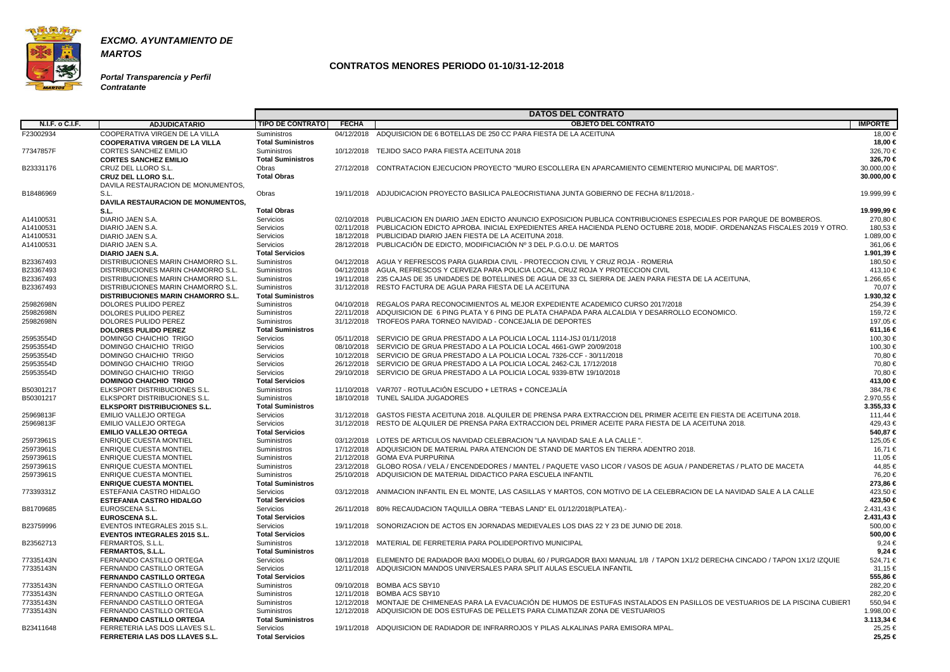

**Portal Transparencia y Perfil Contratante**

|                        |                                           |                          |              | <b>DATOS DEL CONTRATO</b>                                                                                                           |                |
|------------------------|-------------------------------------------|--------------------------|--------------|-------------------------------------------------------------------------------------------------------------------------------------|----------------|
| <b>N.I.F. o C.I.F.</b> | <b>ADJUDICATARIO</b>                      | <b>TIPO DE CONTRATO</b>  | <b>FECHA</b> | <b>OBJETO DEL CONTRATO</b>                                                                                                          | <b>IMPORTE</b> |
| F23002934              | COOPERATIVA VIRGEN DE LA VILLA            | Suministros              |              | 04/12/2018 ADQUISICION DE 6 BOTELLAS DE 250 CC PARA FIESTA DE LA ACEITUNA                                                           | 18,00 €        |
|                        | <b>COOPERATIVA VIRGEN DE LA VILLA</b>     | <b>Total Suministros</b> |              |                                                                                                                                     | 18,00 €        |
| 77347857F              | <b>CORTES SANCHEZ EMILIO</b>              | Suministros              |              | 10/12/2018 TEJIDO SACO PARA FIESTA ACEITUNA 2018                                                                                    | 326,70€        |
|                        | <b>CORTES SANCHEZ EMILIO</b>              | <b>Total Suministros</b> |              |                                                                                                                                     | 326.70 €       |
| B23331176              | CRUZ DEL LLORO S.L.                       | Obras                    |              | 27/12/2018 CONTRATACION EJECUCION PROYECTO "MURO ESCOLLERA EN APARCAMIENTO CEMENTERIO MUNICIPAL DE MARTOS".                         | 30.000,00 €    |
|                        | <b>CRUZ DEL LLORO S.L.</b>                | <b>Total Obras</b>       |              |                                                                                                                                     | 30.000,00 €    |
|                        | DAVILA RESTAURACION DE MONUMENTOS.        |                          |              |                                                                                                                                     |                |
| B18486969              | S.L.                                      | Obras                    |              | 19/11/2018 ADJUDICACION PROYECTO BASILICA PALEOCRISTIANA JUNTA GOBIERNO DE FECHA 8/11/2018.-                                        | 19.999,99 €    |
|                        | DAVILA RESTAURACION DE MONUMENTOS,        |                          |              |                                                                                                                                     |                |
|                        | S.L.                                      | <b>Total Obras</b>       |              |                                                                                                                                     | 19.999,99 €    |
| A14100531              | DIARIO JAEN S.A.                          | Servicios                |              | 02/10/2018 PUBLICACION EN DIARIO JAEN EDICTO ANUNCIO EXPOSICION PUBLICA CONTRIBUCIONES ESPECIALES POR PARQUE DE BOMBEROS.           | 270,80 €       |
| A14100531              | DIARIO JAEN S.A.                          | Servicios                |              | 02/11/2018 PUBLICACION EDICTO APROBA, INICIAL EXPEDIENTES AREA HACIENDA PLENO OCTUBRE 2018, MODIF, ORDENANZAS FISCALES 2019 Y OTRO. | 180.53 €       |
| A14100531              | DIARIO JAEN S.A.                          | Servicios                |              | 18/12/2018 PUBLICIDAD DIARIO JAEN FIESTA DE LA ACEITUNA 2018.                                                                       | 1.089,00 €     |
| A14100531              | DIARIO JAEN S.A.                          | Servicios                |              | 28/12/2018 PUBLICACIÓN DE EDICTO, MODIFICIACIÓN Nº 3 DEL P.G.O.U. DE MARTOS                                                         | 361,06 €       |
|                        | DIARIO JAEN S.A.                          | <b>Total Servicios</b>   |              |                                                                                                                                     | 1.901,39 €     |
| B23367493              | DISTRIBUCIONES MARIN CHAMORRO S.L.        | Suministros              |              | 04/12/2018 AGUA Y REFRESCOS PARA GUARDIA CIVIL - PROTECCION CIVIL Y CRUZ ROJA - ROMERIA                                             | 180,50 €       |
| B23367493              | DISTRIBUCIONES MARIN CHAMORRO S.L.        | Suministros              |              | 04/12/2018 AGUA, REFRESCOS Y CERVEZA PARA POLICIA LOCAL, CRUZ ROJA Y PROTECCION CIVIL                                               | 413,10€        |
| B23367493              | DISTRIBUCIONES MARIN CHAMORRO S.L         | Suministros              |              | 19/11/2018 235 CAJAS DE 35 UNIDADES DE BOTELLINES DE AGUA DE 33 CL SIERRA DE JAEN PARA FIESTA DE LA ACEITUNA.                       | 1.266,65 €     |
| B23367493              | DISTRIBUCIONES MARIN CHAMORRO S.L         | Suministros              |              | 31/12/2018 RESTO FACTURA DE AGUA PARA FIESTA DE LA ACEITUNA                                                                         | 70.07 €        |
|                        | <b>DISTRIBUCIONES MARIN CHAMORRO S.L.</b> | <b>Total Suministros</b> |              |                                                                                                                                     | 1.930,32 €     |
| 25982698N              | DOLORES PULIDO PEREZ                      | Suministros              |              | 04/10/2018 REGALOS PARA RECONOCIMIENTOS AL MEJOR EXPEDIENTE ACADEMICO CURSO 2017/2018                                               | 254,39€        |
| 25982698N              | DOLORES PULIDO PEREZ                      | Suministros              |              | 22/11/2018 ADQUISICION DE 6 PING PLATA Y 6 PING DE PLATA CHAPADA PARA ALCALDIA Y DESARROLLO ECONOMICO.                              | 159.72 €       |
| 25982698N              | DOLORES PULIDO PEREZ                      | Suministros              |              | 31/12/2018 TROFEOS PARA TORNEO NAVIDAD - CONCEJALIA DE DEPORTES                                                                     | 197,05 €       |
|                        | <b>DOLORES PULIDO PEREZ</b>               | <b>Total Suministros</b> |              |                                                                                                                                     | 611,16 €       |
| 25953554D              | DOMINGO CHAICHIO TRIGO                    | Servicios                |              | 05/11/2018 SERVICIO DE GRUA PRESTADO A LA POLICIA LOCAL 1114-JSJ 01/11/2018                                                         | 100,30 €       |
| 25953554D              | DOMINGO CHAICHIO TRIGO                    | Servicios                |              | 08/10/2018 SERVICIO DE GRUA PRESTADO A LA POLICIA LOCAL 4661-GWP 20/09/2018                                                         | 100,30 €       |
| 25953554D              | DOMINGO CHAICHIO TRIGO                    | Servicios                |              | 10/12/2018 SERVICIO DE GRUA PRESTADO A LA POLICIA LOCAL 7326-CCF - 30/11/2018                                                       | 70,80 €        |
| 25953554D              | DOMINGO CHAICHIO TRIGO                    | Servicios                |              | 26/12/2018 SERVICIO DE GRUA PRESTADO A LA POLICIA LOCAL 2462-CJL 17/12/2018                                                         | 70.80 €        |
| 25953554D              | DOMINGO CHAICHIO TRIGO                    | Servicios                |              | 29/10/2018 SERVICIO DE GRUA PRESTADO A LA POLICIA LOCAL 9339-BTW 19/10/2018                                                         | 70,80 €        |
|                        | <b>DOMINGO CHAICHIO TRIGO</b>             | <b>Total Servicios</b>   |              |                                                                                                                                     | 413,00 €       |
| B50301217              | ELKSPORT DISTRIBUCIONES S.L.              | Suministros              |              | 11/10/2018 VAR707 - ROTULACIÓN ESCUDO + LETRAS + CONCEJALÍA                                                                         | 384,78€        |
| B50301217              | ELKSPORT DISTRIBUCIONES S.L.              | Suministros              |              | 18/10/2018 TUNEL SALIDA JUGADORES                                                                                                   | 2.970,55 €     |
|                        | <b>ELKSPORT DISTRIBUCIONES S.L.</b>       | <b>Total Suministros</b> |              |                                                                                                                                     | $3.355,33 \in$ |
| 25969813F              | <b>EMILIO VALLEJO ORTEGA</b>              | Servicios                | 31/12/2018   | GASTOS FIESTA ACEITUNA 2018. ALQUILER DE PRENSA PARA EXTRACCION DEL PRIMER ACEITE EN FIESTA DE ACEITUNA 2018.                       | 111,44 €       |
| 25969813F              | <b>EMILIO VALLEJO ORTEGA</b>              | <b>Servicios</b>         |              | 31/12/2018 RESTO DE ALQUILER DE PRENSA PARA EXTRACCION DEL PRIMER ACEITE PARA FIESTA DE LA ACEITUNA 2018.                           | 429,43€        |
|                        | <b>EMILIO VALLEJO ORTEGA</b>              | <b>Total Servicios</b>   |              |                                                                                                                                     | 540.87 €       |
| 25973961S              | <b>ENRIQUE CUESTA MONTIEL</b>             | Suministros              |              | 03/12/2018 LOTES DE ARTICULOS NAVIDAD CELEBRACION "LA NAVIDAD SALE A LA CALLE ".                                                    | 125,05 €       |
| 25973961S              | <b>ENRIQUE CUESTA MONTIEL</b>             | Suministros              |              | 17/12/2018 ADQUISICION DE MATERIAL PARA ATENCION DE STAND DE MARTOS EN TIERRA ADENTRO 2018.                                         | 16.71 €        |
| 25973961S              | <b>ENRIQUE CUESTA MONTIEL</b>             | <b>Suministros</b>       |              | 21/12/2018 GOMA EVA PURPURINA                                                                                                       | 11,05 €        |
| 25973961S              | <b>ENRIQUE CUESTA MONTIEL</b>             | Suministros              |              | 23/12/2018 GLOBO ROSA / VELA / ENCENDEDORES / MANTEL / PAQUETE VASO LICOR / VASOS DE AGUA / PANDERETAS / PLATO DE MACETA            | 44,85 €        |
| 25973961S              | <b>ENRIQUE CUESTA MONTIEL</b>             | Suministros              |              | 25/10/2018 ADQUISICION DE MATERIAL DIDACTICO PARA ESCUELA INFANTIL                                                                  | 76,20 €        |
|                        | <b>ENRIQUE CUESTA MONTIEL</b>             | <b>Total Suministros</b> |              |                                                                                                                                     | 273,86 €       |
| 77339331Z              | ESTEFANIA CASTRO HIDALGO                  | Servicios                |              | 03/12/2018 ANIMACION INFANTIL EN EL MONTE, LAS CASILLAS Y MARTOS, CON MOTIVO DE LA CELEBRACION DE LA NAVIDAD SALE A LA CALLE        | 423,50 €       |
|                        | <b>ESTEFANIA CASTRO HIDALGO</b>           | <b>Total Servicios</b>   |              |                                                                                                                                     | 423,50 €       |
| B81709685              | EUROSCENA S.L.                            | Servicios                |              | 26/11/2018 80% RECAUDACION TAQUILLA OBRA "TEBAS LAND" EL 01/12/2018(PLATEA).-                                                       | 2.431,43 €     |
|                        | <b>EUROSCENA S.L.</b>                     | <b>Total Servicios</b>   |              |                                                                                                                                     | 2.431,43 €     |
| B23759996              | EVENTOS INTEGRALES 2015 S.L.              | Servicios                |              | 19/11/2018 SONORIZACION DE ACTOS EN JORNADAS MEDIEVALES LOS DIAS 22 Y 23 DE JUNIO DE 2018.                                          | 500,00 €       |
|                        | <b>EVENTOS INTEGRALES 2015 S.L.</b>       | <b>Total Servicios</b>   |              |                                                                                                                                     | 500,00 €       |
| B23562713              | FERMARTOS, S.L.L.                         | Suministros              |              | 13/12/2018 MATERIAL DE FERRETERIA PARA POLIDEPORTIVO MUNICIPAL                                                                      | 9,24 €         |
|                        | <b>FERMARTOS, S.L.L.</b>                  | <b>Total Suministros</b> |              |                                                                                                                                     | $9,24 \in$     |
| 77335143N              | FERNANDO CASTILLO ORTEGA                  | Servicios                |              | 08/11/2018 ELEMENTO DE RADIADOR BAXI MODELO DUBAL 60 / PURGADOR BAXI MANUAL 1/8 / TAPON 1X1/2 DERECHA CINCADO / TAPON 1X1/2 IZQUIE  | 524,71 €       |
| 77335143N              | FERNANDO CASTILLO ORTEGA                  | Servicios                |              | 12/11/2018 ADQUISICION MANDOS UNIVERSALES PARA SPLIT AULAS ESCUELA INFANTIL                                                         | 31,15 €        |
|                        | <b>FERNANDO CASTILLO ORTEGA</b>           | <b>Total Servicios</b>   |              |                                                                                                                                     | 555,86 €       |
| 77335143N              | FERNANDO CASTILLO ORTEGA                  | Suministros              |              | 09/10/2018 BOMBA ACS SBY10                                                                                                          | 282,20€        |
| 77335143N              | FERNANDO CASTILLO ORTEGA                  | Suministros              |              | 12/11/2018 BOMBA ACS SBY10                                                                                                          | 282,20 €       |
| 77335143N              | FERNANDO CASTILLO ORTEGA                  | Suministros              |              | 12/12/2018 MONTAJE DE CHIMENEAS PARA LA EVACUACIÓN DE HUMOS DE ESTUFAS INSTALADOS EN PASILLOS DE VESTUARIOS DE LA PISCINA CUBIERT   | 550,94 €       |
| 77335143N              | FERNANDO CASTILLO ORTEGA                  | Suministros              |              | 12/12/2018 ADQUISICION DE DOS ESTUFAS DE PELLETS PARA CLIMATIZAR ZONA DE VESTUARIOS                                                 | 1.998,00 €     |
|                        | <b>FERNANDO CASTILLO ORTEGA</b>           | <b>Total Suministros</b> |              |                                                                                                                                     | 3.113,34 €     |
| B23411648              | FERRETERIA LAS DOS LLAVES S.L.            | Servicios                |              | 19/11/2018 ADQUISICION DE RADIADOR DE INFRARROJOS Y PILAS ALKALINAS PARA EMISORA MPAL.                                              | 25,25 €        |
|                        | <b>FERRETERIA LAS DOS LLAVES S.L.</b>     | <b>Total Servicios</b>   |              |                                                                                                                                     | 25,25 €        |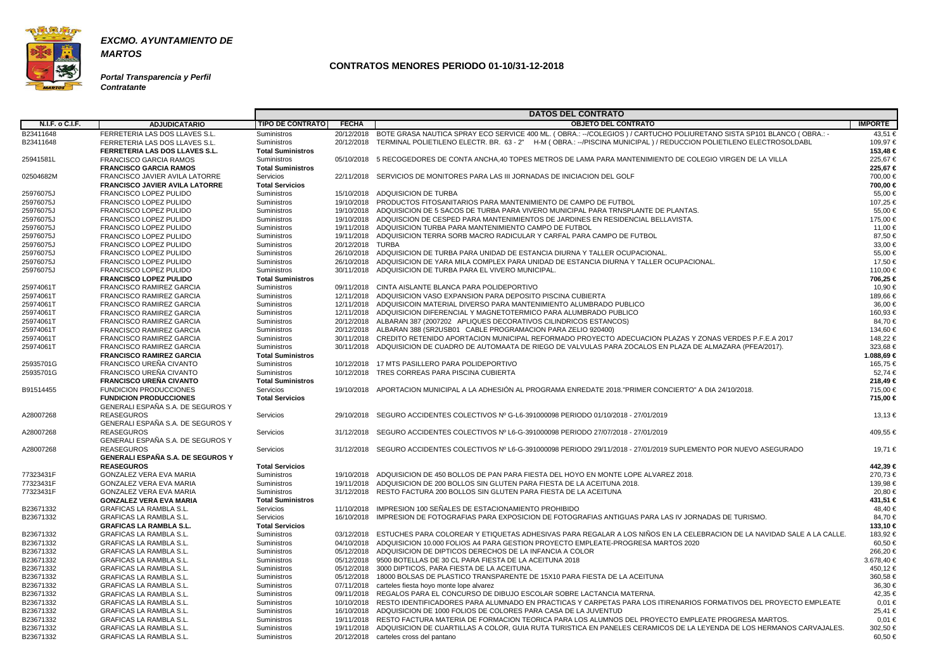

**Portal Transparencia y Perfil Contratante**

|                        |                                                                |                            |                  | <b>DATOS DEL CONTRATO</b>                                                                                                                                     |                     |
|------------------------|----------------------------------------------------------------|----------------------------|------------------|---------------------------------------------------------------------------------------------------------------------------------------------------------------|---------------------|
| <b>N.I.F. o C.I.F.</b> | <b>ADJUDICATARIO</b>                                           | <b>TIPO DE CONTRATO</b>    | <b>FECHA</b>     | <b>OBJETO DEL CONTRATO</b>                                                                                                                                    | <b>IMPORTE</b>      |
| B23411648              | FERRETERIA LAS DOS LLAVES S.L.                                 | Suministros                |                  | 20/12/2018 BOTE GRASA NAUTICA SPRAY ECO SERVICE 400 ML. (OBRA.: --/COLEGIOS) / CARTUCHO POLIURETANO SISTA SP101 BLANCO (OBRA.: -                              | 43,51 €             |
| B23411648              | FERRETERIA LAS DOS LLAVES S.L.                                 | Suministros                |                  | 20/12/2018 TERMINAL POLIETILENO ELECTR. BR. 63 - 2" H-M (OBRA.: --/PISCINA MUNICIPAL) / REDUCCION POLIETILENO ELECTROSOLDABL                                  | 109.97 €            |
|                        | <b>FERRETERIA LAS DOS LLAVES S.L.</b>                          | <b>Total Suministros</b>   |                  |                                                                                                                                                               | 153,48 €            |
| 25941581L              | <b>FRANCISCO GARCIA RAMOS</b>                                  | <b>Suministros</b>         |                  | 05/10/2018 5 RECOGEDORES DE CONTA ANCHA,40 TOPES METROS DE LAMA PARA MANTENIMIENTO DE COLEGIO VIRGEN DE LA VILLA                                              | 225,67€             |
|                        | <b>FRANCISCO GARCIA RAMOS</b>                                  | <b>Total Suministros</b>   |                  |                                                                                                                                                               | 225,67 €            |
| 02504682M              | FRANCISCO JAVIER AVILA LATORRE                                 | <b>Servicios</b>           |                  | 22/11/2018 SERVICIOS DE MONITORES PARA LAS III JORNADAS DE INICIACION DEL GOLF                                                                                | 700,00 €            |
|                        | <b>FRANCISCO JAVIER AVILA LATORRE</b>                          | <b>Total Servicios</b>     |                  |                                                                                                                                                               | 700,00 €            |
| 25976075J              | <b>FRANCISCO LOPEZ PULIDO</b>                                  | <b>Suministros</b>         |                  | 15/10/2018 ADQUISICION DE TURBA                                                                                                                               | 55,00 €             |
| 25976075J              | <b>FRANCISCO LOPEZ PULIDO</b>                                  | Suministros                |                  | 19/10/2018 PRODUCTOS FITOSANITARIOS PARA MANTENIMIENTO DE CAMPO DE FUTBOL                                                                                     | 107,25 €            |
| 25976075J              | <b>FRANCISCO LOPEZ PULIDO</b>                                  | Suministros                |                  | 19/10/2018 ADQUISICION DE 5 SACOS DE TURBA PARA VIVERO MUNICIPAL PARA TRNSPLANTE DE PLANTAS.                                                                  | 55,00 €             |
| 25976075J              | <b>FRANCISCO LOPEZ PULIDO</b>                                  | <b>Suministros</b>         |                  | 19/10/2018 ADQUISCION DE CESPED PARA MANTENIMIENTOS DE JARDINES EN RESIDENCIAL BELLAVISTA.                                                                    | 175.00 €            |
| 25976075J              | <b>FRANCISCO LOPEZ PULIDO</b>                                  | Suministros                |                  | 19/11/2018 ADQUISICION TURBA PARA MANTENIMIENTO CAMPO DE FUTBOL                                                                                               | 11,00 €             |
| 25976075J              | <b>FRANCISCO LOPEZ PULIDO</b>                                  | Suministros                |                  | 19/11/2018 ADQUISICION TERRA SORB MACRO RADICULAR Y CARFAL PARA CAMPO DE FUTBOL                                                                               | 87,50€              |
| 25976075J              | <b>FRANCISCO LOPEZ PULIDO</b>                                  | Suministros                | 20/12/2018 TURBA |                                                                                                                                                               | 33,00 €             |
| 25976075J              | <b>FRANCISCO LOPEZ PULIDO</b>                                  | Suministros                |                  | 26/10/2018 ADQUISICION DE TURBA PARA UNIDAD DE ESTANCIA DIURNA Y TALLER OCUPACIONAL.                                                                          | 55,00 €             |
|                        | <b>FRANCISCO LOPEZ PULIDO</b>                                  |                            |                  |                                                                                                                                                               |                     |
| 25976075J              |                                                                | Suministros<br>Suministros |                  | 26/10/2018 ADQUISICION DE YARA MILA COMPLEX PARA UNIDAD DE ESTANCIA DIURNA Y TALLER OCUPACIONAL.<br>30/11/2018 ADQUISICION DE TURBA PARA EL VIVERO MUNICIPAL. | 17,50 €<br>110,00 € |
| 25976075J              | <b>FRANCISCO LOPEZ PULIDO</b><br><b>FRANCISCO LOPEZ PULIDO</b> | <b>Total Suministros</b>   |                  |                                                                                                                                                               | 706.25 €            |
|                        |                                                                |                            |                  |                                                                                                                                                               |                     |
| 25974061T              | <b>FRANCISCO RAMIREZ GARCIA</b>                                | <b>Suministros</b>         |                  | 09/11/2018 CINTA AISLANTE BLANCA PARA POLIDEPORTIVO                                                                                                           | 10,90 €             |
| 25974061T              | <b>FRANCISCO RAMIREZ GARCIA</b>                                | Suministros                |                  | 12/11/2018 ADQUISICION VASO EXPANSION PARA DEPOSITO PISCINA CUBIERTA                                                                                          | 189,66 €            |
| 25974061T              | <b>FRANCISCO RAMIREZ GARCIA</b>                                | Suministros                |                  | 12/11/2018 ADQUISICOIN MATERIAL DIVERSO PARA MANTENIMIENTO ALUMBRADO PUBLICO                                                                                  | 36,00 €             |
| 25974061T              | <b>FRANCISCO RAMIREZ GARCIA</b>                                | Suministros                |                  | 12/11/2018 ADQUISICION DIFERENCIAL Y MAGNETOTERMICO PARA ALUMBRADO PUBLICO                                                                                    | 160,93 €            |
| 25974061T              | <b>FRANCISCO RAMIREZ GARCIA</b>                                | Suministros                |                  | 20/12/2018 ALBARAN 387 (2007202 APLIQUES DECORATIVOS CILINDRICOS ESTANCOS)                                                                                    | 84,70 €             |
| 25974061T              | <b>FRANCISCO RAMIREZ GARCIA</b>                                | Suministros                |                  | 20/12/2018 ALBARAN 388 (SR2USB01 CABLE PROGRAMACION PARA ZELIO 920400)                                                                                        | 134,60 €            |
| 25974061T              | <b>FRANCISCO RAMIREZ GARCIA</b>                                | Suministros                |                  | 30/11/2018 CREDITO RETENIDO APORTACION MUNICIPAL REFORMADO PROYECTO ADECUACION PLAZAS Y ZONAS VERDES P.F.E.A 2017                                             | 148,22 €            |
| 25974061T              | <b>FRANCISCO RAMIREZ GARCIA</b>                                | Suministros                |                  | 30/11/2018 ADQUISICION DE CUADRO DE AUTOMAATA DE RIEGO DE VALVULAS PARA ZOCALOS EN PLAZA DE ALMAZARA (PFEA/2017).                                             | 323,68€             |
|                        | <b>FRANCISCO RAMIREZ GARCIA</b>                                | <b>Total Suministros</b>   |                  |                                                                                                                                                               | 1.088,69 €          |
| 25935701G              | FRANCISCO UREÑA CIVANTO                                        | Suministros                |                  | 10/12/2018 17 MTS PASILLERO PARA POLIDEPORTIVO                                                                                                                | 165,75 €            |
| 25935701G              | FRANCISCO UREÑA CIVANTO                                        | Suministros                |                  | 10/12/2018 TRES CORREAS PARA PISCINA CUBIERTA                                                                                                                 | 52,74 €             |
|                        | <b>FRANCISCO UREÑA CIVANTO</b>                                 | <b>Total Suministros</b>   |                  |                                                                                                                                                               | 218,49 €            |
| B91514455              | <b>FUNDICION PRODUCCIONES</b>                                  | Servicios                  |                  | 19/10/2018 APORTACION MUNICIPAL A LA ADHESIÓN AL PROGRAMA ENREDATE 2018."PRIMER CONCIERTO" A DIA 24/10/2018.                                                  | 715,00 €            |
|                        | <b>FUNDICION PRODUCCIONES</b>                                  | <b>Total Servicios</b>     |                  |                                                                                                                                                               | 715,00 €            |
|                        | GENERALI ESPAÑA S.A. DE SEGUROS Y                              |                            |                  |                                                                                                                                                               |                     |
| A28007268              | <b>REASEGUROS</b>                                              | Servicios                  |                  | 29/10/2018 SEGURO ACCIDENTES COLECTIVOS Nº G-L6-391000098 PERIODO 01/10/2018 - 27/01/2019                                                                     | 13,13 €             |
|                        | GENERALI ESPAÑA S.A. DE SEGUROS Y                              |                            |                  |                                                                                                                                                               |                     |
| A28007268              | <b>REASEGUROS</b>                                              | Servicios                  |                  | 31/12/2018 SEGURO ACCIDENTES COLECTIVOS Nº L6-G-391000098 PERIODO 27/07/2018 - 27/01/2019                                                                     | 409,55 €            |
|                        | GENERALI ESPAÑA S.A. DE SEGUROS Y                              |                            |                  |                                                                                                                                                               |                     |
| A28007268              | <b>REASEGUROS</b>                                              | Servicios                  |                  | 31/12/2018 SEGURO ACCIDENTES COLECTIVOS Nº L6-G-391000098 PERIODO 29/11/2018 - 27/01/2019 SUPLEMENTO POR NUEVO ASEGURADO                                      | 19,71 €             |
|                        | <b>GENERALI ESPAÑA S.A. DE SEGUROS Y</b>                       |                            |                  |                                                                                                                                                               |                     |
|                        | <b>REASEGUROS</b>                                              | <b>Total Servicios</b>     |                  |                                                                                                                                                               | 442,39 €            |
| 77323431F              | GONZALEZ VERA EVA MARIA                                        | Suministros                |                  | 19/10/2018 ADQUISICION DE 450 BOLLOS DE PAN PARA FIESTA DEL HOYO EN MONTE LOPE ALVAREZ 2018.                                                                  | 270,73€             |
| 77323431F              | GONZALEZ VERA EVA MARIA                                        | Suministros                |                  | 19/11/2018 ADQUISICION DE 200 BOLLOS SIN GLUTEN PARA FIESTA DE LA ACEITUNA 2018.                                                                              | 139,98 €            |
| 77323431F              | <b>GONZALEZ VERA EVA MARIA</b>                                 | Suministros                |                  | 31/12/2018 RESTO FACTURA 200 BOLLOS SIN GLUTEN PARA FIESTA DE LA ACEITUNA                                                                                     | 20,80 €             |
|                        | <b>GONZALEZ VERA EVA MARIA</b>                                 | <b>Total Suministros</b>   |                  |                                                                                                                                                               | 431,51 €            |
| B23671332              | GRAFICAS LA RAMBLA S.L.                                        | Servicios                  |                  | 11/10/2018 IMPRESION 100 SEÑALES DE ESTACIONAMIENTO PROHIBIDO                                                                                                 | 48,40 €             |
| B23671332              | <b>GRAFICAS LA RAMBLA S.L.</b>                                 | Servicios                  |                  | 16/10/2018 IMPRESION DE FOTOGRAFIAS PARA EXPOSICION DE FOTOGRAFIAS ANTIGUAS PARA LAS IV JORNADAS DE TURISMO.                                                  | 84,70 €             |
|                        | <b>GRAFICAS LA RAMBLA S.L.</b>                                 | <b>Total Servicios</b>     |                  |                                                                                                                                                               | 133,10 €            |
| B23671332              | <b>GRAFICAS LA RAMBLA S.L.</b>                                 | Suministros                |                  | 03/12/2018 ESTUCHES PARA COLOREAR Y ETIQUETAS ADHESIVAS PARA REGALAR A LOS NIÑOS EN LA CELEBRACION DE LA NAVIDAD SALE A LA CALLE.                             | 183,92 €            |
| B23671332              | <b>GRAFICAS LA RAMBLA S.L.</b>                                 | Suministros                |                  | 04/10/2018 ADQUISICION 10.000 FOLIOS A4 PARA GESTION PROYECTO EMPLEATE-PROGRESA MARTOS 2020                                                                   | 60,50€              |
| B23671332              | <b>GRAFICAS LA RAMBLA S.L.</b>                                 | Suministros                |                  | 05/12/2018 ADQUISICION DE DIPTICOS DERECHOS DE LA INFANCIA A COLOR                                                                                            | 266,20€             |
| B23671332              | <b>GRAFICAS LA RAMBLA S.L.</b>                                 | Suministros                |                  | 05/12/2018 9500 BOTELLAS DE 30 CL PARA FIESTA DE LA ACEITUNA 2018                                                                                             | 3.678,40 €          |
| B23671332              | <b>GRAFICAS LA RAMBLA S.L.</b>                                 | Suministros                |                  | 05/12/2018 3000 DIPTICOS, PARA FIESTA DE LA ACEITUNA.                                                                                                         | 450,12 €            |
| B23671332              | <b>GRAFICAS LA RAMBLA S.L.</b>                                 | Suministros                |                  | 05/12/2018 18000 BOLSAS DE PLASTICO TRANSPARENTE DE 15X10 PARA FIESTA DE LA ACEITUNA                                                                          | 360,58€             |
| B23671332              | <b>GRAFICAS LA RAMBLA S.L.</b>                                 | Suministros                |                  | 07/11/2018 carteles fiesta hoyo monte lope alvarez                                                                                                            | 36,30 €             |
| B23671332              | <b>GRAFICAS LA RAMBLA S.L.</b>                                 | Suministros                |                  | 09/11/2018 REGALOS PARA EL CONCURSO DE DIBUJO ESCOLAR SOBRE LACTANCIA MATERNA.                                                                                | 42,35 €             |
| B23671332              | <b>GRAFICAS LA RAMBLA S.L.</b>                                 | Suministros                |                  | 10/10/2018 RESTO IDENTIFICADORES PARA ALUMNADO EN PRACTICAS Y CARPETAS PARA LOS ITIRENARIOS FORMATIVOS DEL PROYECTO EMPLEATE                                  | $0,01 \in$          |
| B23671332              | <b>GRAFICAS LA RAMBLA S.L.</b>                                 | Suministros                |                  | 16/10/2018 ADQUISICION DE 1000 FOLIOS DE COLORES PARA CASA DE LA JUVENTUD                                                                                     | 25,41 €             |
| B23671332              | <b>GRAFICAS LA RAMBLA S.L.</b>                                 | Suministros                |                  | 19/11/2018 RESTO FACTURA MATERIA DE FORMACION TEORICA PARA LOS ALUMNOS DEL PROYECTO EMPLEATE PROGRESA MARTOS.                                                 | $0.01 \in$          |
| B23671332              | <b>GRAFICAS LA RAMBLA S.L.</b>                                 | Suministros                |                  | 19/11/2018 ADQUISICION DE CUARTILLAS A COLOR, GUIA RUTA TURISTICA EN PANELES CERAMICOS DE LA LEYENDA DE LOS HERMANOS CARVAJALES.                              | 302,50 €            |
| B23671332              | <b>GRAFICAS LA RAMBLA S.L.</b>                                 | Suministros                |                  | 20/12/2018 carteles cross del pantano                                                                                                                         | 60,50 €             |
|                        |                                                                |                            |                  |                                                                                                                                                               |                     |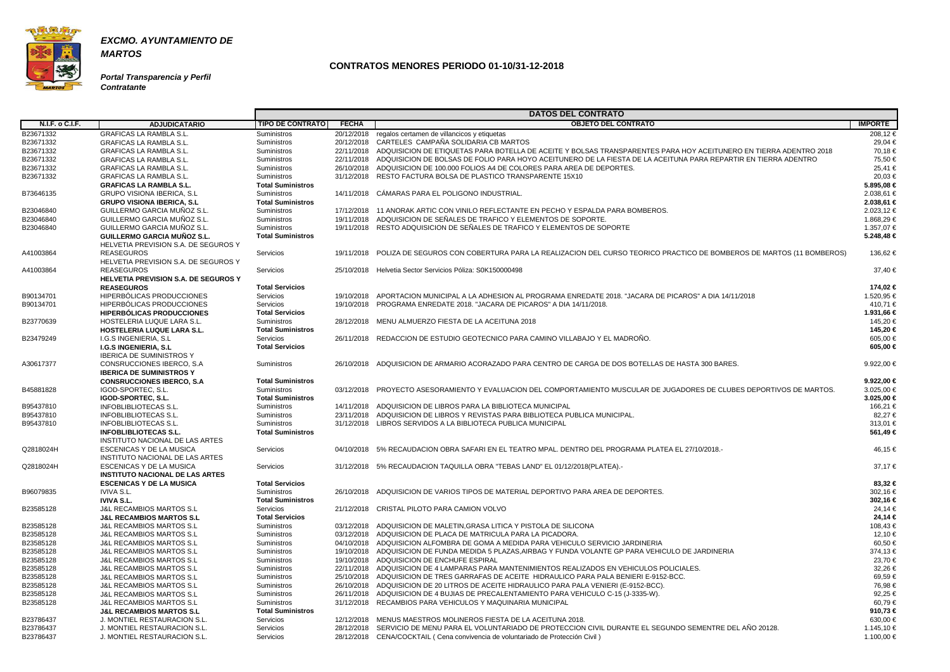

**Portal Transparencia y Perfil Contratante**

|                 |                                        |                          |              | <b>DATOS DEL CONTRATO</b>                                                                                                     |                |
|-----------------|----------------------------------------|--------------------------|--------------|-------------------------------------------------------------------------------------------------------------------------------|----------------|
| N.I.F. o C.I.F. | <b>ADJUDICATARIO</b>                   | <b>TIPO DE CONTRATO</b>  | <b>FECHA</b> | <b>OBJETO DEL CONTRATO</b>                                                                                                    | <b>IMPORTE</b> |
| B23671332       | <b>GRAFICAS LA RAMBLA S.L</b>          | Suministros              |              | 20/12/2018 regalos certamen de villancicos y etiquetas                                                                        | 208,12€        |
| B23671332       | <b>GRAFICAS LA RAMBLA S.L.</b>         | Suministros              |              | 20/12/2018 CARTELES CAMPAÑA SOLIDARIA CB MARTOS                                                                               | 29,04 €        |
| B23671332       | <b>GRAFICAS LA RAMBLA S.L.</b>         | Suministros              |              | 22/11/2018 ADQUISICION DE ETIQUETAS PARA BOTELLA DE ACEITE Y BOLSAS TRANSPARENTES PARA HOY ACEITUNERO EN TIERRA ADENTRO 2018  | 70,18 €        |
| B23671332       | <b>GRAFICAS LA RAMBLA S.L.</b>         | Suministros              |              | 22/11/2018 ADQUISICION DE BOLSAS DE FOLIO PARA HOYO ACEITUNERO DE LA FIESTA DE LA ACEITUNA PARA REPARTIR EN TIERRA ADENTRO    | 75.50 €        |
| B23671332       | <b>GRAFICAS LA RAMBLA S.L.</b>         | Suministros              |              | 26/10/2018 ADQUISICION DE 100.000 FOLIOS A4 DE COLORES PARA AREA DE DEPORTES.                                                 | 25,41 €        |
| B23671332       | <b>GRAFICAS LA RAMBLA S.L.</b>         | Suministros              |              | 31/12/2018 RESTO FACTURA BOLSA DE PLASTICO TRANSPARENTE 15X10                                                                 | 20,03 €        |
|                 | <b>GRAFICAS LA RAMBLA S.L.</b>         | <b>Total Suministros</b> |              |                                                                                                                               | 5.895,08 €     |
| B73646135       | <b>GRUPO VISIONA IBERICA, S.L.</b>     | <b>Suministros</b>       |              | 14/11/2018 CÁMARAS PARA EL POLIGONO INDUSTRIAL.                                                                               | 2.038,61 €     |
|                 | <b>GRUPO VISIONA IBERICA, S.L.</b>     | <b>Total Suministros</b> |              |                                                                                                                               | 2.038,61 €     |
| B23046840       | GUILLERMO GARCIA MUÑOZ S.L.            | Suministros              |              | 17/12/2018 11 ANORAK ARTIC CON VINILO REFLECTANTE EN PECHO Y ESPALDA PARA BOMBEROS.                                           | 2.023,12 €     |
| B23046840       | GUILLERMO GARCIA MUÑOZ S.L.            | Suministros              |              | 19/11/2018 ADQUISICION DE SEÑALES DE TRAFICO Y ELEMENTOS DE SOPORTE.                                                          | 1.868,29 €     |
| B23046840       | GUILLERMO GARCIA MUÑOZ S.L.            | Suministros              |              | 19/11/2018 RESTO ADQUISICION DE SEÑALES DE TRAFICO Y ELEMENTOS DE SOPORTE                                                     | 1.357,07 €     |
|                 | <b>GUILLERMO GARCIA MUÑOZ S.L.</b>     | <b>Total Suministros</b> |              |                                                                                                                               | 5.248,48 €     |
|                 | HELVETIA PREVISION S.A. DE SEGUROS Y   |                          |              |                                                                                                                               |                |
| A41003864       | <b>REASEGUROS</b>                      | Servicios                |              | 19/11/2018 POLIZA DE SEGUROS CON COBERTURA PARA LA REALIZACION DEL CURSO TEORICO PRACTICO DE BOMBEROS DE MARTOS (11 BOMBEROS) | 136,62 €       |
|                 | HELVETIA PREVISION S.A. DE SEGUROS Y   |                          |              |                                                                                                                               |                |
| A41003864       | <b>REASEGUROS</b>                      | Servicios                |              | 25/10/2018 Helvetia Sector Servicios Póliza: S0K150000498                                                                     | 37,40 €        |
|                 | HELVETIA PREVISION S.A. DE SEGUROS Y   |                          |              |                                                                                                                               |                |
|                 | <b>REASEGUROS</b>                      | <b>Total Servicios</b>   |              |                                                                                                                               | 174,02 €       |
| B90134701       | HIPERBÓLICAS PRODUCCIONES              | Servicios                |              | 19/10/2018 APORTACION MUNICIPAL A LA ADHESION AL PROGRAMA ENREDATE 2018. "JACARA DE PICAROS" A DIA 14/11/2018                 | 1.520,95 €     |
| B90134701       | HIPERBÓLICAS PRODUCCIONES              | Servicios                |              | 19/10/2018 PROGRAMA ENREDATE 2018. "JACARA DE PICAROS" A DIA 14/11/2018.                                                      | 410,71 €       |
|                 | <b>HIPERBÓLICAS PRODUCCIONES</b>       | <b>Total Servicios</b>   |              |                                                                                                                               | 1.931,66 €     |
| B23770639       | HOSTELERIA LUQUE LARA S.L.             | Suministros              |              | 28/12/2018 MENU ALMUERZO FIESTA DE LA ACEITUNA 2018                                                                           | 145,20 €       |
|                 | <b>HOSTELERIA LUQUE LARA S.L.</b>      | <b>Total Suministros</b> |              |                                                                                                                               | 145,20 €       |
| B23479249       | I.G.S INGENIERIA, S.L                  | Servicios                |              | 26/11/2018 REDACCION DE ESTUDIO GEOTECNICO PARA CAMINO VILLABAJO Y EL MADROÑO.                                                | 605,00 €       |
|                 | I.G.S INGENIERIA, S.L                  | <b>Total Servicios</b>   |              |                                                                                                                               | 605,00 €       |
|                 | <b>IBERICA DE SUMINISTROS Y</b>        |                          |              |                                                                                                                               |                |
| A30617377       | CONSRUCCIONES IBERCO, S.A.             | Suministros              |              | 26/10/2018 ADQUISICION DE ARMARIO ACORAZADO PARA CENTRO DE CARGA DE DOS BOTELLAS DE HASTA 300 BARES.                          | $9.922,00 \in$ |
|                 | <b>IBERICA DE SUMINISTROS Y</b>        |                          |              |                                                                                                                               |                |
|                 | <b>CONSRUCCIONES IBERCO, S.A.</b>      | <b>Total Suministros</b> |              |                                                                                                                               | 9.922,00 $\in$ |
| B45881828       | IGOD-SPORTEC, S.L.                     | <b>Suministros</b>       |              | 03/12/2018 PROYECTO ASESORAMIENTO Y EVALUACION DEL COMPORTAMIENTO MUSCULAR DE JUGADORES DE CLUBES DEPORTIVOS DE MARTOS.       | 3.025,00 €     |
|                 | IGOD-SPORTEC, S.L.                     | <b>Total Suministros</b> |              |                                                                                                                               | 3.025,00 €     |
| B95437810       | <b>INFOBLIBLIOTECAS S.L.</b>           | Suministros              |              | 14/11/2018 ADQUISICION DE LIBROS PARA LA BIBLIOTECA MUNICIPAL                                                                 | 166,21 €       |
| B95437810       | <b>INFOBLIBLIOTECAS S.L.</b>           | Suministros              |              | 23/11/2018 ADQUISICION DE LIBROS Y REVISTAS PARA BIBLIOTECA PUBLICA MUNICIPAL.                                                | 82,27 €        |
| B95437810       | <b>INFOBLIBLIOTECAS S.L.</b>           | Suministros              |              | 31/12/2018 LIBROS SERVIDOS A LA BIBLIOTECA PUBLICA MUNICIPAL                                                                  | 313,01 €       |
|                 | <b>INFOBLIBLIOTECAS S.L.</b>           | <b>Total Suministros</b> |              |                                                                                                                               | 561,49 €       |
|                 | INSTITUTO NACIONAL DE LAS ARTES        |                          |              |                                                                                                                               |                |
| Q2818024H       | ESCENICAS Y DE LA MUSICA               | Servicios                |              | 04/10/2018 5% RECAUDACION OBRA SAFARI EN EL TEATRO MPAL. DENTRO DEL PROGRAMA PLATEA EL 27/10/2018.-                           | 46,15 €        |
|                 | INSTITUTO NACIONAL DE LAS ARTES        |                          |              |                                                                                                                               |                |
| Q2818024H       | <b>ESCENICAS Y DE LA MUSICA</b>        | Servicios                |              | 31/12/2018 5% RECAUDACION TAQUILLA OBRA "TEBAS LAND" EL 01/12/2018(PLATEA).-                                                  | 37,17€         |
|                 | <b>INSTITUTO NACIONAL DE LAS ARTES</b> |                          |              |                                                                                                                               |                |
|                 | <b>ESCENICAS Y DE LA MUSICA</b>        | <b>Total Servicios</b>   |              |                                                                                                                               | 83,32 €        |
| B96079835       | IVIVA S.L.                             | Suministros              |              | 26/10/2018 ADQUISICION DE VARIOS TIPOS DE MATERIAL DEPORTIVO PARA AREA DE DEPORTES.                                           | 302,16€        |
|                 | <b>IVIVA S.L.</b>                      | <b>Total Suministros</b> |              |                                                                                                                               | 302,16 €       |
| B23585128       | <b>J&amp;L RECAMBIOS MARTOS S.L</b>    | Servicios                |              | 21/12/2018 CRISTAL PILOTO PARA CAMION VOLVO                                                                                   | 24,14 €        |
|                 | <b>J&amp;L RECAMBIOS MARTOS S.L</b>    | <b>Total Servicios</b>   |              |                                                                                                                               | 24,14 €        |
| B23585128       | <b>J&amp;L RECAMBIOS MARTOS S.L</b>    | Suministros              |              | 03/12/2018 ADQUISICION DE MALETIN, GRASA LITICA Y PISTOLA DE SILICONA                                                         | 108,43 €       |
| B23585128       | <b>J&amp;L RECAMBIOS MARTOS S.L</b>    | Suministros              |              | 03/12/2018 ADQUISICION DE PLACA DE MATRICULA PARA LA PICADORA.                                                                | 12,10 €        |
| B23585128       | <b>J&amp;L RECAMBIOS MARTOS S.L</b>    | Suministros              |              | 04/10/2018 ADQUISICION ALFOMBRA DE GOMA A MEDIDA PARA VEHICULO SERVICIO JARDINERIA                                            | 60,50 €        |
| B23585128       | <b>J&amp;L RECAMBIOS MARTOS S.L</b>    | Suministros              |              | 19/10/2018 ADQUISICION DE FUNDA MEDIDA 5 PLAZAS, AIRBAG Y FUNDA VOLANTE GP PARA VEHICULO DE JARDINERIA                        | 374,13€        |
| B23585128       | <b>J&amp;L RECAMBIOS MARTOS S.L</b>    | Suministros              |              | 19/10/2018 ADQUISICION DE ENCHUFE ESPIRAL                                                                                     | 23,70 €        |
| B23585128       | <b>J&amp;L RECAMBIOS MARTOS S.L</b>    | Suministros              |              | 22/11/2018 ADQUISICION DE 4 LAMPARAS PARA MANTENIMIENTOS REALIZADOS EN VEHICULOS POLICIALES.                                  | 32,26 €        |
| B23585128       | <b>J&amp;L RECAMBIOS MARTOS S.L</b>    | Suministros              |              | 25/10/2018 ADQUISICION DE TRES GARRAFAS DE ACEITE HIDRAULICO PARA PALA BENIERI E-9152-BCC.                                    | 69,59€         |
| B23585128       | <b>J&amp;L RECAMBIOS MARTOS S.L</b>    | Suministros              |              | 26/10/2018 ADQUISICION DE 20 LITROS DE ACEITE HIDRAULICO PARA PALA VENIERI (E-9152-BCC).                                      | 76,98 €        |
| B23585128       | <b>J&amp;L RECAMBIOS MARTOS S.L</b>    | Suministros              |              | 26/11/2018 ADQUISICION DE 4 BUJIAS DE PRECALENTAMIENTO PARA VEHICULO C-15 (J-3335-W).                                         | 92,25 €        |
| B23585128       | <b>J&amp;L RECAMBIOS MARTOS S.L</b>    | Suministros              |              | 31/12/2018 RECAMBIOS PARA VEHICULOS Y MAQUINARIA MUNICIPAL                                                                    | 60,79€         |
|                 | <b>J&amp;L RECAMBIOS MARTOS S.L</b>    | <b>Total Suministros</b> |              |                                                                                                                               | 910,73 €       |
| B23786437       | J. MONTIEL RESTAURACION S.L.           | Servicios                |              | 12/12/2018 MENUS MAESTROS MOLINEROS FIESTA DE LA ACEITUNA 2018.                                                               | 630,00 €       |
| B23786437       | J. MONTIEL RESTAURACION S.L.           | Servicios                |              | 28/12/2018 SERVICIO DE MENU PARA EL VOLUNTARIADO DE PROTECCION CIVIL DURANTE EL SEGUNDO SEMENTRE DEL AÑO 20128.               | 1.145,10 €     |
| B23786437       | J. MONTIEL RESTAURACION S.L.           | Servicios                |              | 28/12/2018 CENA/COCKTAIL (Cena convivencia de voluntariado de Protección Civil)                                               | 1.100,00 €     |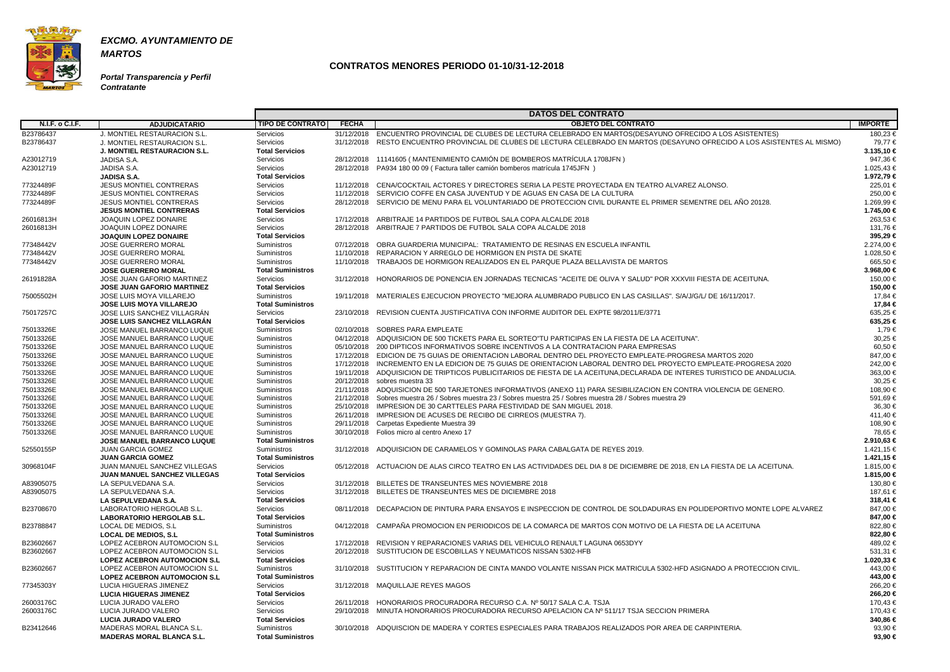

**Portal Transparencia y Perfil Contratante**

|                        |                                      |                          |              | <b>DATOS DEL CONTRATO</b>                                                                                                    |                |
|------------------------|--------------------------------------|--------------------------|--------------|------------------------------------------------------------------------------------------------------------------------------|----------------|
| N.I.F. o C.I.F.        | <b>ADJUDICATARIO</b>                 | <b>TIPO DE CONTRATO</b>  | <b>FECHA</b> | <b>OBJETO DEL CONTRATO</b>                                                                                                   | <b>IMPORTE</b> |
| B23786437              | <b>J. MONTIEL RESTAURACION S.L.</b>  | Servicios                |              | 31/12/2018 ENCUENTRO PROVINCIAL DE CLUBES DE LECTURA CELEBRADO EN MARTOS(DESAYUNO OFRECIDO A LOS ASISTENTES)                 | 180,23 €       |
| B23786437              | J. MONTIEL RESTAURACION S.L.         | Servicios                |              | 31/12/2018 RESTO ENCUENTRO PROVINCIAL DE CLUBES DE LECTURA CELEBRADO EN MARTOS (DESAYUNO OFRECIDO A LOS ASISTENTES AL MISMO) | 79,77 €        |
|                        | <b>J. MONTIEL RESTAURACION S.L.</b>  | <b>Total Servicios</b>   |              |                                                                                                                              | 3.135,10 €     |
| A23012719              | JADISA S.A.                          | Servicios                |              | 28/12/2018 11141605 (MANTENIMIENTO CAMIÓN DE BOMBEROS MATRÍCULA 1708JFN)                                                     | 947,36€        |
| A23012719              | JADISA S.A.                          | Servicios                |              | 28/12/2018 PA934 180 00 09 (Factura taller camión bomberos matrícula 1745JFN)                                                | 1.025,43 €     |
|                        | <b>JADISA S.A.</b>                   | <b>Total Servicios</b>   |              |                                                                                                                              | 1.972,79 €     |
| 77324489F              | JESUS MONTIEL CONTRERAS              | Servicios                |              | 11/12/2018 CENA/COCKTAIL ACTORES Y DIRECTORES SERIA LA PESTE PROYECTADA EN TEATRO ALVAREZ ALONSO.                            | 225,01 €       |
|                        | <b>JESUS MONTIEL CONTRERAS</b>       |                          |              | 11/12/2018 SERVICIO COFFE EN CASA JUVENTUD Y DE AGUAS EN CASA DE LA CULTURA                                                  | 250,00 €       |
| 77324489F<br>77324489F |                                      | Servicios<br>Servicios   |              | 28/12/2018 SERVICIO DE MENU PARA EL VOLUNTARIADO DE PROTECCION CIVIL DURANTE EL PRIMER SEMENTRE DEL AÑO 20128.               | 1.269,99 €     |
|                        | <b>JESUS MONTIEL CONTRERAS</b>       |                          |              |                                                                                                                              |                |
|                        | <b>JESUS MONTIEL CONTRERAS</b>       | <b>Total Servicios</b>   |              |                                                                                                                              | 1.745,00 €     |
| 26016813H              | JOAQUIN LOPEZ DONAIRE                | Servicios                |              | 17/12/2018 ARBITRAJE 14 PARTIDOS DE FUTBOL SALA COPA ALCALDE 2018                                                            | 263,53 €       |
| 26016813H              | JOAQUIN LOPEZ DONAIRE                | Servicios                |              | 28/12/2018 ARBITRAJE 7 PARTIDOS DE FUTBOL SALA COPA ALCALDE 2018                                                             | 131,76 €       |
|                        | <b>JOAQUIN LOPEZ DONAIRE</b>         | <b>Total Servicios</b>   |              |                                                                                                                              | 395,29 €       |
| 77348442V              | <b>JOSE GUERRERO MORAL</b>           | Suministros              |              | 07/12/2018 OBRA GUARDERIA MUNICIPAL: TRATAMIENTO DE RESINAS EN ESCUELA INFANTIL                                              | 2.274,00 €     |
| 77348442V              | <b>JOSE GUERRERO MORAL</b>           | Suministros              |              | 11/10/2018 REPARACION Y ARREGLO DE HORMIGON EN PISTA DE SKATE                                                                | 1.028,50 €     |
| 77348442V              | <b>JOSE GUERRERO MORAL</b>           | Suministros              |              | 11/10/2018 TRABAJOS DE HORMIGON REALIZADOS EN EL PARQUE PLAZA BELLAVISTA DE MARTOS                                           | 665,50 €       |
|                        | <b>JOSE GUERRERO MORAL</b>           | <b>Total Suministros</b> |              |                                                                                                                              | 3.968,00 €     |
| 26191828A              | JOSE JUAN GAFORIO MARTINEZ           | Servicios                |              | 31/12/2018 HONORARIOS DE PONENCIA EN JORNADAS TECNICAS "ACEITE DE OLIVA Y SALUD" POR XXXVIII FIESTA DE ACEITUNA.             | 150.00 €       |
|                        | <b>JOSE JUAN GAFORIO MARTINEZ</b>    | <b>Total Servicios</b>   |              |                                                                                                                              | 150,00 €       |
| 75005502H              | <b>JOSE LUIS MOYA VILLAREJO</b>      | Suministros              |              | 19/11/2018 MATERIALES EJECUCION PROYECTO "MEJORA ALUMBRADO PUBLICO EN LAS CASILLAS". S/A/J/G/L/ DE 16/11/2017.               | 17,84 €        |
|                        | <b>JOSE LUIS MOYA VILLAREJO</b>      | <b>Total Suministros</b> |              |                                                                                                                              | 17,84 €        |
| 75017257C              | JOSE LUIS SANCHEZ VILLAGRAN          | Servicios                |              | 23/10/2018 REVISION CUENTA JUSTIFICATIVA CON INFORME AUDITOR DEL EXPTE 98/2011/E/3771                                        | 635,25€        |
|                        | <b>JOSE LUIS SANCHEZ VILLAGRÁN</b>   | <b>Total Servicios</b>   |              |                                                                                                                              | 635,25 €       |
| 75013326E              | JOSE MANUEL BARRANCO LUQUE           | Suministros              |              | 02/10/2018 SOBRES PARA EMPLEATE                                                                                              | 1,79 €         |
| 75013326E              | JOSE MANUEL BARRANCO LUQUE           | Suministros              |              | 04/12/2018 ADQUISICION DE 500 TICKETS PARA EL SORTEO"TU PARTICIPAS EN LA FIESTA DE LA ACEITUNA".                             | 30,25 €        |
| 75013326E              | JOSE MANUEL BARRANCO LUQUE           | Suministros              |              | 05/10/2018 200 DIPTICOS INFORMATIVOS SOBRE INCENTIVOS A LA CONTRATACION PARA EMPRESAS                                        | 60,50€         |
| 75013326E              | JOSE MANUEL BARRANCO LUQUE           | Suministros              |              | 17/12/2018 EDICION DE 75 GUIAS DE ORIENTACION LABORAL DENTRO DEL PROYECTO EMPLEATE-PROGRESA MARTOS 2020                      | 847,00 €       |
| 75013326E              | JOSE MANUEL BARRANCO LUQUE           | Suministros              |              | 17/12/2018 INCREMENTO EN LA EDICION DE 75 GUIAS DE ORIENTACION LABORAL DENTRO DEL PROYECTO EMPLEATE-PROGRESA 2020            | 242,00 €       |
| 75013326E              | JOSE MANUEL BARRANCO LUQUE           | Suministros              |              | 19/11/2018 ADQUISICION DE TRIPTICOS PUBLICITARIOS DE FIESTA DE LA ACEITUNA, DECLARADA DE INTERES TURISTICO DE ANDALUCIA.     | 363,00 €       |
| 75013326E              | JOSE MANUEL BARRANCO LUQUE           | Suministros              |              | 20/12/2018 sobres muestra 33                                                                                                 | 30,25 €        |
| 75013326E              | JOSE MANUEL BARRANCO LUQUE           | Suministros              |              | 21/11/2018 ADQUISICION DE 500 TARJETONES INFORMATIVOS (ANEXO 11) PARA SESIBILIZACION EN CONTRA VIOLENCIA DE GENERO.          | 108,90 €       |
| 75013326E              | JOSE MANUEL BARRANCO LUQUE           | Suministros              |              | 21/12/2018 Sobres muestra 26 / Sobres muestra 23 / Sobres muestra 25 / Sobres muestra 28 / Sobres muestra 29                 | 591,69€        |
| 75013326E              | JOSE MANUEL BARRANCO LUQUE           | Suministros              |              | 25/10/2018 IMPRESION DE 30 CARTTELES PARA FESTIVIDAD DE SAN MIGUEL 2018.                                                     | 36,30 €        |
| 75013326E              | JOSE MANUEL BARRANCO LUQUE           | Suministros              |              | 26/11/2018 IMPRESION DE ACUSES DE RECIBO DE CIRREOS (MUESTRA 7).                                                             | 411,40 €       |
|                        |                                      | Suministros              |              |                                                                                                                              | 108,90 €       |
| 75013326E              | JOSE MANUEL BARRANCO LUQUE           |                          | 29/11/2018   | Carpetas Expediente Muestra 39<br>30/10/2018 Folios micro al centro Anexo 17                                                 |                |
| 75013326E              | JOSE MANUEL BARRANCO LUQUE           | Suministros              |              |                                                                                                                              | 78,65 €        |
|                        | <b>JOSE MANUEL BARRANCO LUQUE</b>    | <b>Total Suministros</b> |              |                                                                                                                              | 2.910,63 €     |
| 52550155P              | <b>JUAN GARCIA GOMEZ</b>             | Suministros              |              | 31/12/2018 ADQUISICION DE CARAMELOS Y GOMINOLAS PARA CABALGATA DE REYES 2019.                                                | 1.421,15 €     |
|                        | <b>JUAN GARCIA GOMEZ</b>             | <b>Total Suministros</b> |              |                                                                                                                              | 1.421,15 €     |
| 30968104F              | JUAN MANUEL SANCHEZ VILLEGAS         | Servicios                |              | 05/12/2018 ACTUACION DE ALAS CIRCO TEATRO EN LAS ACTIVIDADES DEL DIA 8 DE DICIEMBRE DE 2018, EN LA FIESTA DE LA ACEITUNA.    | 1.815,00 €     |
|                        | <b>JUAN MANUEL SANCHEZ VILLEGAS</b>  | <b>Total Servicios</b>   |              |                                                                                                                              | 1.815,00 €     |
| A83905075              | LA SEPULVEDANA S.A.                  | Servicios                |              | 31/12/2018 BILLETES DE TRANSEUNTES MES NOVIEMBRE 2018                                                                        | 130,80 €       |
| A83905075              | LA SEPULVEDANA S.A.                  | Servicios                |              | 31/12/2018 BILLETES DE TRANSEUNTES MES DE DICIEMBRE 2018                                                                     | 187,61 €       |
|                        | LA SEPULVEDANA S.A.                  | <b>Total Servicios</b>   |              |                                                                                                                              | 318,41 €       |
| B23708670              | LABORATORIO HERGOLAB S.L.            | Servicios                |              | 08/11/2018 DECAPACION DE PINTURA PARA ENSAYOS E INSPECCION DE CONTROL DE SOLDADURAS EN POLIDEPORTIVO MONTE LOPE ALVAREZ      | 847,00 €       |
|                        | <b>LABORATORIO HERGOLAB S.L.</b>     | <b>Total Servicios</b>   |              |                                                                                                                              | 847,00 €       |
| B23788847              | LOCAL DE MEDIOS, S.L                 | Suministros              |              | 04/12/2018 CAMPANA PROMOCION EN PERIODICOS DE LA COMARCA DE MARTOS CON MOTIVO DE LA FIESTA DE LA ACEITUNA                    | 822,80 €       |
|                        | <b>LOCAL DE MEDIOS, S.L.</b>         | <b>Total Suministros</b> |              |                                                                                                                              | 822,80 €       |
| B23602667              | LOPEZ ACEBRON AUTOMOCION S.L         | Servicios                |              | 17/12/2018 REVISION Y REPARACIONES VARIAS DEL VEHICULO RENAULT LAGUNA 0653DYY                                                | 489,02 €       |
| B23602667              | LOPEZ ACEBRON AUTOMOCION S.L         | Servicios                |              | 20/12/2018 SUSTITUCION DE ESCOBILLAS Y NEUMATICOS NISSAN 5302-HFB                                                            | 531,31 €       |
|                        | <b>LOPEZ ACEBRON AUTOMOCION S.L.</b> | <b>Total Servicios</b>   |              |                                                                                                                              | 1.020,33 €     |
| B23602667              | LOPEZ ACEBRON AUTOMOCION S.L         | Suministros              |              | 31/10/2018 SUSTITUCION Y REPARACION DE CINTA MANDO VOLANTE NISSAN PICK MATRICULA 5302-HFD ASIGNADO A PROTECCION CIVIL.       | 443,00 €       |
|                        | <b>LOPEZ ACEBRON AUTOMOCION S.L</b>  | <b>Total Suministros</b> |              |                                                                                                                              | 443,00 €       |
| 77345303Y              | LUCIA HIGUERAS JIMENEZ               | Servicios                |              | 31/12/2018 MAQUILLAJE REYES MAGOS                                                                                            | 266,20€        |
|                        | <b>LUCIA HIGUERAS JIMENEZ</b>        | <b>Total Servicios</b>   |              |                                                                                                                              | 266,20 €       |
| 26003176C              | LUCIA JURADO VALERO                  | Servicios                |              | 26/11/2018 HONORARIOS PROCURADORA RECURSO C.A. Nº 50/17 SALA C.A. TSJA                                                       | 170,43 €       |
| 26003176C              | LUCIA JURADO VALERO                  | Servicios                |              | 29/10/2018 MINUTA HONORARIOS PROCURADORA RECURSO APELACION CA Nº 511/17 TSJA SECCION PRIMERA                                 | 170,43 €       |
|                        | LUCIA JURADO VALERO                  | <b>Total Servicios</b>   |              |                                                                                                                              | 340,86 €       |
| B23412646              | MADERAS MORAL BLANCA S.L.            | Suministros              |              | 30/10/2018 ADQUISCION DE MADERA Y CORTES ESPECIALES PARA TRABAJOS REALIZADOS POR AREA DE CARPINTERIA.                        | 93,90€         |
|                        | <b>MADERAS MORAL BLANCA S.L.</b>     | <b>Total Suministros</b> |              |                                                                                                                              | 93,90€         |
|                        |                                      |                          |              |                                                                                                                              |                |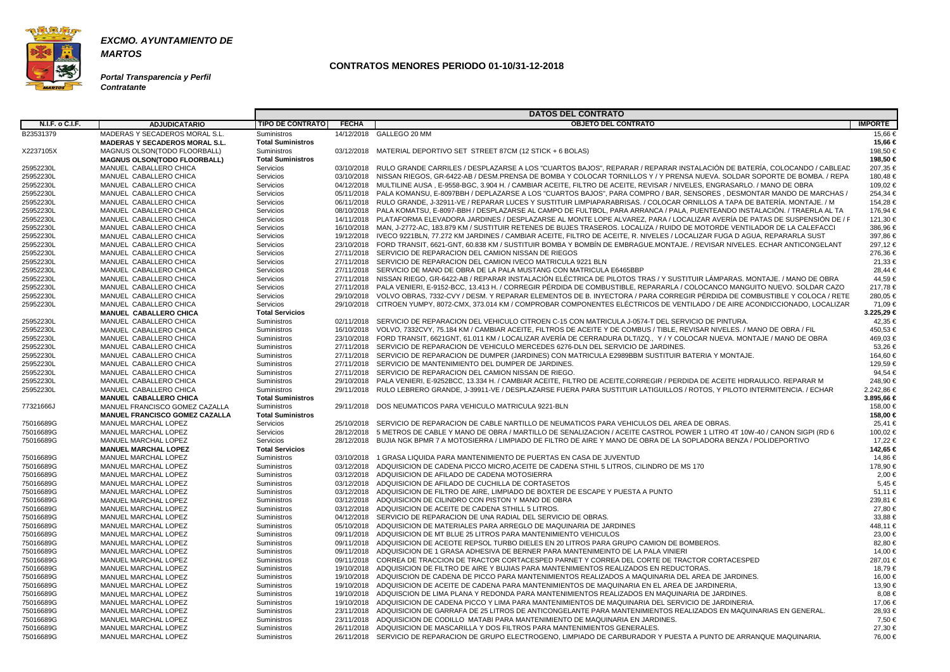

**Portal Transparencia y Perfil Contratante**

|                        |                                                  |                                   |              | <b>DATOS DEL CONTRATO</b>                                                                                                                                                                                    |                    |
|------------------------|--------------------------------------------------|-----------------------------------|--------------|--------------------------------------------------------------------------------------------------------------------------------------------------------------------------------------------------------------|--------------------|
| <b>N.I.F. o C.I.F.</b> | <b>ADJUDICATARIO</b>                             | <b>TIPO DE CONTRATO</b>           | <b>FECHA</b> | <b>OBJETO DEL CONTRATO</b>                                                                                                                                                                                   | <b>IMPORTE</b>     |
| B23531379              | MADERAS Y SECADEROS MORAL S.L.                   | <b>Suministros</b>                |              | 14/12/2018 GALLEGO 20 MM                                                                                                                                                                                     | 15,66 €            |
|                        | <b>MADERAS Y SECADEROS MORAL S.L.</b>            | <b>Total Suministros</b>          |              |                                                                                                                                                                                                              | 15,66 €            |
| X2237105X              | MAGNUS OLSON(TODO FLOORBALL)                     | Suministros                       |              | 03/12/2018 MATERIAL DEPORTIVO SET STREET 87CM (12 STICK + 6 BOLAS)                                                                                                                                           | 198,50 €           |
|                        | <b>MAGNUS OLSON(TODO FLOORBALL)</b>              | <b>Total Suministros</b>          |              |                                                                                                                                                                                                              | 198,50 €           |
| 25952230L              | MANUEL CABALLERO CHICA                           | Servicios                         |              | 03/10/2018 RULO GRANDE CARRILES / DESPLAZARSE A LOS "CUARTOS BAJOS", REPARAR / REPARAR INSTALACIÓN DE BATERÍA, COLOCANDO / CABLEAD                                                                           | 207,35 €           |
| 25952230L              | MANUEL CABALLERO CHICA                           | Servicios                         |              | 03/10/2018 NISSAN RIEGOS, GR-6422-AB / DESM,PRENSA DE BOMBA Y COLOCAR TORNILLOS Y / Y PRENSA NUEVA, SOLDAR SOPORTE DE BOMBA, / REPA                                                                          | 180,48 €           |
| 25952230L              | MANUEL CABALLERO CHICA                           | Servicios                         |              | 04/12/2018 MULTILINE AUSA, E-9558-BGC, 3.904 H. / CAMBIAR ACEITE, FILTRO DE ACEITE, REVISAR / NIVELES, ENGRASARLO. / MANO DE OBRA                                                                            | 109,02 €           |
| 25952230L              | MANUEL CABALLERO CHICA                           | Servicios                         |              | 05/11/2018 PALA KOMANSU, E-8097BBH / DEPLAZARSE A LOS "CUARTOS BAJOS", PARA COMPRO / BAR, SENSORES, DESMONTAR MANDO DE MARCHAS /                                                                             | 254,34 €           |
| 25952230L              | MANUEL CABALLERO CHICA                           | Servicios                         |              | 06/11/2018 RULO GRANDE, J-32911-VE / REPARAR LUCES Y SUSTITUIR LIMPIAPARABRISAS. / COLOCAR ORNILLOS A TAPA DE BATERÍA. MONTAJE. / M                                                                          | 154,28 €           |
| 25952230L              | MANUEL CABALLERO CHICA                           | Servicios                         |              | 08/10/2018 PALA KOMATSU, E-8097-BBH / DESPLAZARSE AL CAMPO DE FULTBOL, PARA ARRANCA / PALA, PUENTEANDO INSTALACIÓN. / TRAERLA AL TA                                                                          | 176,94 €           |
| 25952230L              | MANUEL CABALLERO CHICA                           | Servicios                         |              | 14/11/2018 PLATAFORMA ELEVADORA JARDINES / DESPLAZARSE AL MONTE LOPE ALVAREZ, PARA / LOCALIZAR AVERÍA DE PATAS DE SUSPENSIÓN DE / F                                                                          | 121,30 €           |
| 25952230L              | MANUEL CABALLERO CHICA                           | Servicios                         |              | 16/10/2018 MAN, J-2772-AC, 183.879 KM / SUSTITUIR RETENES DE BUJES TRASEROS. LOCALIZA / RUIDO DE MOTORDE VENTILADOR DE LA CALEFACCI                                                                          | 386,96€            |
| 25952230L              | MANUEL CABALLERO CHICA                           | Servicios                         |              | 19/12/2018 IVECO 9221BLN, 77.272 KM JARDINES / CAMBIAR ACEITE, FILTRO DE ACEITE, R. NIVELES / LOCALIZAR FUGA D AGUA, REPARARLA SUST                                                                          | 397,86 €           |
| 25952230L              | MANUEL CABALLERO CHICA                           | Servicios                         |              | 23/10/2018 FORD TRANSIT, 6621-GNT, 60.838 KM / SUSTITUIR BOMBA Y BOMBÍN DE EMBRAGUE.MONTAJE. / REVISAR NIVELES. ECHAR ANTICONGELANT                                                                          | 297,12€            |
| 25952230L              | MANUEL CABALLERO CHICA                           | Servicios                         |              | 27/11/2018 SERVICIO DE REPARACION DEL CAMION NISSAN DE RIEGOS                                                                                                                                                | 276,36€            |
| 25952230L              | MANUEL CABALLERO CHICA                           | Servicios                         |              | 27/11/2018 SERVICIO DE REPARACION DEL CAMION IVECO MATRICULA 9221 BLN                                                                                                                                        | 21,33 €            |
| 25952230L              | MANUEL CABALLERO CHICA                           | Servicios                         |              | 27/11/2018 SERVICIO DE MANO DE OBRA DE LA PALA MUSTANG CON MATRICULA E6465BBP                                                                                                                                | 28,44 €            |
| 25952230L              | MANUEL CABALLERO CHICA                           | Servicios                         |              | 27/11/2018 NISSAN RIEGO, GR-6422-AB / REPARAR INSTALACIÓN ELÉCTRICA DE PILOTOS TRAS / Y SUSTITUIR LÁMPARAS. MONTAJE. / MANO DE OBRA                                                                          | 44.59€             |
| 25952230L              | MANUEL CABALLERO CHICA                           | Servicios                         |              | 27/11/2018 PALA VENIERI, E-9152-BCC, 13.413 H. / CORREGIR PÉRDIDA DE COMBUSTIBLE, REPARARLA / COLOCANCO MANGUITO NUEVO. SOLDAR CAZO                                                                          | 217,78€            |
| 25952230L              | MANUEL CABALLERO CHICA                           | Servicios                         |              | 29/10/2018 VOLVO OBRAS, 7332-CVY / DESM. Y REPARAR ELEMENTOS DE B. INYECTORA / PARA CORREGIR PÉRDIDA DE COMBUSTIBLE Y COLOCA / RETE                                                                          | 280,05 €           |
| 25952230L              | MANUEL CABALLERO CHICA                           | Servicios                         |              | 29/10/2018 CITROEN YUMPY, 8072-CMX, 373.014 KM / COMPROBAR COMPONENTES ELÉCTRICOS DE VENTILADO / DE AIRE ACONDICCIONADO, LOCALIZAR                                                                           | 71,09 €            |
|                        | MANUEL CABALLERO CHICA                           | <b>Total Servicios</b>            |              |                                                                                                                                                                                                              | 3.225,29 €         |
| 25952230L              | MANUEL CABALLERO CHICA                           | <b>Suministros</b>                |              | 02/11/2018 SERVICIO DE REPARACION DEL VEHICULO CITROEN C-15 CON MATRICULA J-0574-T DEL SERVICIO DE PINTURA.                                                                                                  | 42,35 €            |
| 25952230L              | MANUEL CABALLERO CHICA                           | <b>Suministros</b><br>Suministros |              | 16/10/2018 VOLVO, 7332CVY, 75.184 KM / CAMBIAR ACEITE, FILTROS DE ACEITE Y DE COMBUS / TIBLE, REVISAR NIVELES. / MANO DE OBRA / FIL                                                                          | 450,53 €           |
| 25952230L              | MANUEL CABALLERO CHICA                           |                                   |              | 23/10/2018 FORD TRANSIT, 6621GNT, 61.011 KM / LOCALIZAR AVERÍA DE CERRADURA DLT/IZQ., Y / Y COLOCAR NUEVA. MONTAJE / MANO DE OBRA                                                                            | 469,03 €           |
| 25952230L              | MANUEL CABALLERO CHICA<br>MANUEL CABALLERO CHICA | Suministros                       |              | 27/11/2018 SERVICIO DE REPARACION DE VEHICULO MERCEDES 6276-DLN DEL SERVICIO DE JARDINES.                                                                                                                    | 53,26€<br>164,60 € |
| 25952230L<br>25952230L | MANUEL CABALLERO CHICA                           | Suministros<br>Suministros        |              | 27/11/2018 SERVICIO DE REPARACION DE DUMPER (JARDINES) CON MATRICULA E2989BBM SUSTITUIR BATERIA Y MONTAJE.<br>27/11/2018 SERVICIO DE MANTENIMIENTO DEL DUMPER DE JARDINES.                                   | 129,59€            |
| 25952230L              | MANUEL CABALLERO CHICA                           | <b>Suministros</b>                |              | 27/11/2018 SERVICIO DE REPARACION DEL CAMION NISSAN DE RIEGO.                                                                                                                                                | 94,54 €            |
| 25952230L              | MANUEL CABALLERO CHICA                           | <b>Suministros</b>                |              | 29/10/2018 PALA VENIERI, E-9252BCC, 13.334 H. / CAMBIAR ACEITE, FILTRO DE ACEITE,CORREGIR / PERDIDA DE ACEITE HIDRAULICO. REPARAR M                                                                          | 248,90 €           |
| 25952230L              | MANUEL CABALLERO CHICA                           | Suministros                       |              | 29/11/2018 RULO LEBRERO GRANDE, J-39911-VE / DESPLAZARSE FUERA PARA SUSTITUIR LATIGUILLOS / ROTOS, Y PILOTO INTERMITENCIA. / ECHAR                                                                           | 2.242,86 €         |
|                        | <b>MANUEL CABALLERO CHICA</b>                    | <b>Total Suministros</b>          |              |                                                                                                                                                                                                              | 3.895,66 €         |
| 77321666J              | MANUEL FRANCISCO GOMEZ CAZALLA                   | <b>Suministros</b>                | 29/11/2018   | DOS NEUMATICOS PARA VEHICULO MATRICULA 9221-BLN                                                                                                                                                              | 158,00 €           |
|                        | <b>MANUEL FRANCISCO GOMEZ CAZALLA</b>            | <b>Total Suministros</b>          |              |                                                                                                                                                                                                              | 158,00 €           |
| 75016689G              | MANUEL MARCHAL LOPEZ                             | Servicios                         |              | 25/10/2018 SERVICIO DE REPARACION DE CABLE NARTILLO DE NEUMATICOS PARA VEHICULOS DEL AREA DE OBRAS.                                                                                                          | 25,41 €            |
| 75016689G              | MANUEL MARCHAL LOPEZ                             | Servicios                         |              | 28/12/2018 5 METROS DE CABLE Y MANO DE OBRA / MARTILLO DE SENALIZACION / ACEITE CASTROL POWER 1 LITRO 4T 10W-40 / CANON SIGPI (RD 6                                                                          | 100,02 €           |
| 75016689G              | MANUEL MARCHAL LOPEZ                             | Servicios                         |              | 28/12/2018 BUJIA NGK BPMR 7 A MOTOSIERRA / LIMPIADO DE FILTRO DE AIRE Y MANO DE OBRA DE LA SOPLADORA BENZA / POLIDEPORTIVO                                                                                   | 17,22 €            |
|                        | <b>MANUEL MARCHAL LOPEZ</b>                      | <b>Total Servicios</b>            |              |                                                                                                                                                                                                              | 142,65 €           |
| 75016689G              | <b>MANUEL MARCHAL LOPEZ</b>                      | Suministros                       |              | 03/10/2018 1 GRASA LIQUIDA PARA MANTENIMIENTO DE PUERTAS EN CASA DE JUVENTUD                                                                                                                                 | 14,86 €            |
| 75016689G              | <b>MANUEL MARCHAL LOPEZ</b>                      | Suministros                       |              | 03/12/2018 ADQUISICION DE CADENA PICCO MICRO, ACEITE DE CADENA STHIL 5 LITROS, CILINDRO DE MS 170                                                                                                            | 178,90 €           |
| 75016689G              | MANUEL MARCHAL LOPEZ                             | <b>Suministros</b>                |              | 03/12/2018 ADQUISICION DE AFILADO DE CADENA MOTOSIERRA                                                                                                                                                       | 2,00 €             |
| 75016689G              | MANUEL MARCHAL LOPEZ                             | Suministros                       |              | 03/12/2018 ADQUISICION DE AFILADO DE CUCHILLA DE CORTASETOS                                                                                                                                                  | 5,45 €             |
| 75016689G              | MANUEL MARCHAL LOPEZ                             | Suministros                       |              | 03/12/2018 ADQUISICION DE FILTRO DE AIRE. LIMPIADO DE BOXTER DE ESCAPE Y PUESTA A PUNTO                                                                                                                      | 51,11 €            |
| 75016689G              | MANUEL MARCHAL LOPEZ                             | Suministros                       |              | 03/12/2018 ADQUISICION DE CILINDRO CON PISTON Y MANO DE OBRA                                                                                                                                                 | 239,81 €           |
| 75016689G              | MANUEL MARCHAL LOPEZ                             | Suministros                       |              | 03/12/2018 ADQUISICION DE ACEITE DE CADENA STHILL 5 LITROS.                                                                                                                                                  | 27,80 €            |
| 75016689G              | MANUEL MARCHAL LOPEZ                             | Suministros                       |              | 04/12/2018 SERVICIO DE REPARACION DE UNA RADIAL DEL SERVICIO DE OBRAS.                                                                                                                                       | 33,88 €            |
| 75016689G              | MANUEL MARCHAL LOPEZ                             | <b>Suministros</b>                |              | 05/10/2018 ADQUISICION DE MATERIALES PARA ARREGLO DE MAQUINARIA DE JARDINES                                                                                                                                  | 448,11 €           |
| 75016689G              | MANUEL MARCHAL LOPEZ                             | Suministros                       |              | 09/11/2018 ADQUISICION DE MT BLUE 25 LITROS PARA MANTENIMIENTO VEHICULOS                                                                                                                                     | $23,00 \in$        |
| 75016689G              | MANUEL MARCHAL LOPEZ                             | Suministros                       |              | 09/11/2018 ADQUISICION DE ACEOTE REPSOL TURBO DIELES EN 20 LITROS PARA GRUPO CAMION DE BOMBEROS.                                                                                                             | 82,80 €            |
| 75016689G              | MANUEL MARCHAL LOPEZ                             | Suministros                       |              | 09/11/2018 ADQUISICION DE 1 GRASA ADHESIVA DE BERNER PARA MANTENIMEINTO DE LA PALA VINIERI                                                                                                                   | 14,00 €            |
| 75016689G              | MANUEL MARCHAL LOPEZ                             | Suministros                       |              | 09/11/2018 CORREA DE TRACCION DE TRACTOR CORTACESPED PARNET Y CORREA DEL CORTE DE TRACTOR CORTACESPED                                                                                                        | 287,01 €           |
| 75016689G              | MANUEL MARCHAL LOPEZ                             | Suministros                       |              | 19/10/2018 ADQUISICION DE FILTRO DE AIRE Y BUJIAS PARA MANTENIMIENTOS REALIZADOS EN REDUCTORAS.                                                                                                              | 18,79 €            |
| 75016689G              | MANUEL MARCHAL LOPEZ                             | Suministros                       |              | 19/10/2018 ADQUISCION DE CADENA DE PICCO PARA MANTENIMIENTOS REALIZADOS A MAQUINARIA DEL AREA DE JARDINES.                                                                                                   | 16,00 €            |
| 75016689G              | MANUEL MARCHAL LOPEZ                             | Suministros                       |              | 19/10/2018 ADQUISICION DE ACEITE DE CADENA PARA MANTENIMIENTOS DE MAQUINARIA EN EL AREA DE JARDINERIA.                                                                                                       | 13,90 €            |
| 75016689G              | MANUEL MARCHAL LOPEZ                             | Suministros                       |              | 19/10/2018 ADQUISCION DE LIMA PLANA Y REDONDA PARA MANTENIMIENTOS REALIZADOS EN MAQUINARIA DE JARDINES.                                                                                                      | $8,08 \in$         |
| 75016689G              | MANUEL MARCHAL LOPEZ                             | Suministros                       |              | 19/10/2018 ADQUISICION DE CADENA PICCO Y LIMA PARA MANTENIMIENTOS DE MAQUINARIA DEL SERVICIO DE JARDINERIA.                                                                                                  | 17,06 €            |
| 75016689G              | MANUEL MARCHAL LOPEZ                             | <b>Suministros</b>                |              | 23/11/2018 ADQUISICION DE GARRAFA DE 25 LITROS DE ANTICONGELANTE PARA MANTENIMIENTOS REALIZADOS EN MAQUINARIAS EN GENERAL.                                                                                   | 28,93 €            |
| 75016689G              | MANUEL MARCHAL LOPEZ                             | Suministros                       |              | 23/11/2018 ADQUISICION DE CODILLO MATABI PARA MANTENIMIENTO DE MAQUINARIA EN JARDINES.                                                                                                                       | 7,50 €             |
| 75016689G              | MANUEL MARCHAL LOPEZ                             | Suministros                       |              | 26/11/2018 ADQUISICION DE MASCARILLA Y DOS FILTROS PARA MANTENIMIENTOS GENERALES.<br>26/11/2018 SERVICIO DE REPARACION DE GRUPO ELECTROGENO, LIMPIADO DE CARBURADOR Y PUESTA A PUNTO DE ARRANQUE MAQUINARIA. | 27,30 €            |
| 75016689G              | MANUEL MARCHAL LOPEZ                             | Suministros                       |              |                                                                                                                                                                                                              | 76,00 €            |
|                        |                                                  |                                   |              |                                                                                                                                                                                                              |                    |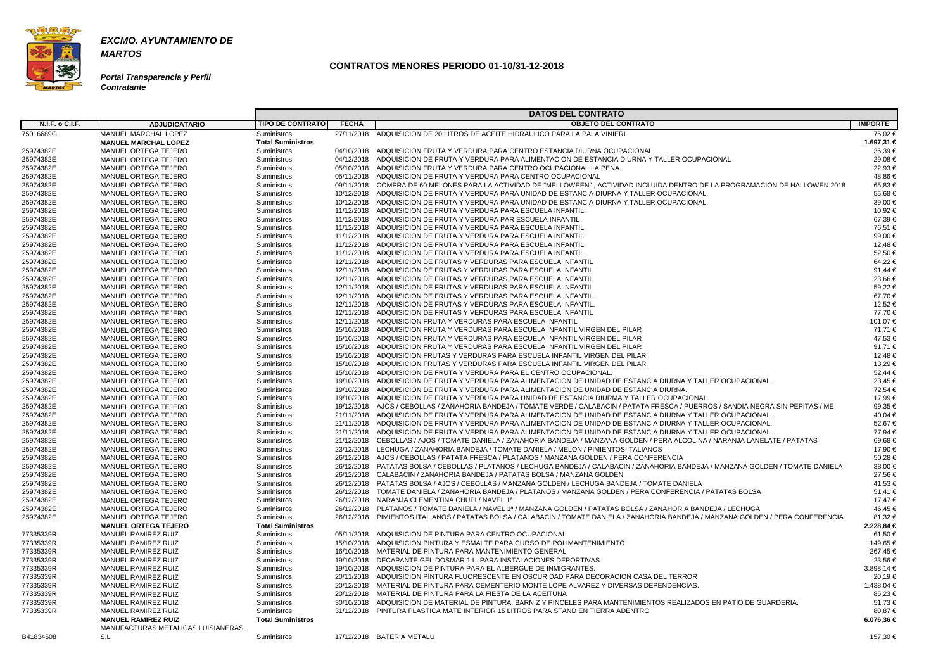

**Portal Transparencia y Perfil Contratante**

|                        |                                              |                                   |              | <b>DATOS DEL CONTRATO</b>                                                                                                                                                                                                       |                    |
|------------------------|----------------------------------------------|-----------------------------------|--------------|---------------------------------------------------------------------------------------------------------------------------------------------------------------------------------------------------------------------------------|--------------------|
| <b>N.I.F. o C.I.F.</b> | <b>ADJUDICATARIO</b>                         | <b>TIPO DE CONTRATO</b>           | <b>FECHA</b> | <b>OBJETO DEL CONTRATO</b>                                                                                                                                                                                                      | <b>IMPORTE</b>     |
| 75016689G              | MANUEL MARCHAL LOPEZ                         | Suministros                       |              | 27/11/2018 ADQUISICION DE 20 LITROS DE ACEITE HIDRAULICO PARA LA PALA VINIERI                                                                                                                                                   | 75,02 €            |
|                        | <b>MANUEL MARCHAL LOPEZ</b>                  | <b>Total Suministros</b>          |              |                                                                                                                                                                                                                                 | 1.697,31 €         |
| 25974382E              | MANUEL ORTEGA TEJERO                         | <b>Suministros</b>                |              | 04/10/2018 ADQUISICION FRUTA Y VERDURA PARA CENTRO ESTANCIA DIURNA OCUPACIONAL                                                                                                                                                  | 36,39€             |
| 25974382E              | MANUEL ORTEGA TEJERO                         | Suministros                       |              | 04/12/2018 ADQUISICION DE FRUTA Y VERDURA PARA ALIMENTACION DE ESTANCIA DIURNA Y TALLER OCUPACIONAL                                                                                                                             | 29,08 €            |
| 25974382E              | MANUEL ORTEGA TEJERO                         | Suministros                       |              | 05/10/2018 ADQUISICION FRUTA Y VERDURA PARA CENTRO OCUPACIONAL LA PEÑA                                                                                                                                                          | 22,93 €            |
| 25974382E              | MANUEL ORTEGA TEJERO                         | Suministros                       | 05/11/2018   | ADQUISICION DE FRUTA Y VERDURA PARA CENTRO OCUPACIONAL                                                                                                                                                                          | 48.86 €            |
| 25974382E              | MANUEL ORTEGA TEJERO                         | Suministros                       |              | 09/11/2018 COMPRA DE 60 MELONES PARA LA ACTIVIDAD DE "MELLOWEEN" , ACTIVIDAD INCLUIDA DENTRO DE LA PROGRAMACION DE HALLOWEN 2018                                                                                                | 65,83 €            |
| 25974382E              | MANUEL ORTEGA TEJERO                         | Suministros                       |              | 10/12/2018 ADQUISICION DE FRUTA Y VERDURA PARA UNIDAD DE ESTANCIA DIURNA Y TALLER OCUPACIONAL.                                                                                                                                  | 55.68€             |
| 25974382E              | MANUEL ORTEGA TEJERO                         | Suministros                       |              | 10/12/2018 ADQUISICION DE FRUTA Y VERDURA PARA UNIDAD DE ESTANCIA DIURNA Y TALLER OCUPACIONAL.                                                                                                                                  | 39,00 €            |
| 25974382E              | MANUEL ORTEGA TEJERO                         | Suministros                       |              | 11/12/2018 ADQUISICION DE FRUTA Y VERDURA PARA ESCUELA INFANTIL                                                                                                                                                                 | 10.92 €            |
| 25974382E              | MANUEL ORTEGA TEJERO                         | Suministros                       |              | 11/12/2018 ADQUISICION DE FRUTA Y VERDURA PAR ESCUELA INFANTIL                                                                                                                                                                  | 67,39€             |
| 25974382E              | MANUEL ORTEGA TEJERO                         | Suministros                       |              | 11/12/2018 ADQUISICION DE FRUTA Y VERDURA PARA ESCUELA INFANTIL                                                                                                                                                                 | 76,51 €            |
| 25974382E              | MANUEL ORTEGA TEJERO                         | Suministros                       |              | 11/12/2018 ADQUISICION DE FRUTA Y VERDURA PARA ESCUELA INFANTIL                                                                                                                                                                 | 99,00 €            |
| 25974382E              | MANUEL ORTEGA TEJERO                         | Suministros                       |              | 11/12/2018 ADQUISICION DE FRUTA Y VERDURA PARA ESCUELA INFANTIL                                                                                                                                                                 | 12.48 €            |
| 25974382E              | MANUEL ORTEGA TEJERO                         | Suministros                       |              | 11/12/2018 ADQUISICION DE FRUTA Y VERDURA PARA ESCUELA INFANTIL                                                                                                                                                                 | 52.50 €            |
| 25974382E              | MANUEL ORTEGA TEJERO                         | Suministros                       |              | 12/11/2018 ADQUISICION DE FRUTAS Y VERDURAS PARA ESCUELA INFANTIL                                                                                                                                                               | 64,22 €            |
| 25974382E              | MANUEL ORTEGA TEJERO                         | Suministros                       |              | 12/11/2018 ADQUISICION DE FRUTAS Y VERDURAS PARA ESCUELA INFANTIL                                                                                                                                                               | 91,44 €            |
| 25974382E              | MANUEL ORTEGA TEJERO                         | Suministros                       |              | 12/11/2018 ADQUISICION DE FRUTAS Y VERDURAS PARA ESCUELA INFANTIL                                                                                                                                                               | 23,66 €            |
| 25974382E              | MANUEL ORTEGA TEJERO                         | Suministros                       |              | 12/11/2018 ADQUISICION DE FRUTAS Y VERDURAS PARA ESCUELA INFANTIL                                                                                                                                                               | 59,22 €            |
| 25974382E              | MANUEL ORTEGA TEJERO                         | Suministros                       |              | 12/11/2018 ADQUISICION DE FRUTAS Y VERDURAS PARA ESCUELA INFANTIL                                                                                                                                                               | 67,70 €            |
| 25974382E              | MANUEL ORTEGA TEJERO                         | Suministros                       |              | 12/11/2018 ADQUISICION DE FRUTAS Y VERDURAS PARA ESCUELA INFANTIL                                                                                                                                                               | 12,52 €            |
| 25974382E              | MANUEL ORTEGA TEJERO                         | Suministros                       |              | 12/11/2018 ADQUISICION DE FRUTAS Y VERDURAS PARA ESCUELA INFANTIL                                                                                                                                                               | 77.70€             |
| 25974382E              | MANUEL ORTEGA TEJERO                         | Suministros                       |              | 12/11/2018 ADQUISICION FRUTA Y VERDURAS PARA ESCUELA INFANTIL                                                                                                                                                                   | 101,07 €           |
| 25974382E              | MANUEL ORTEGA TEJERO                         | Suministros                       |              | 15/10/2018 ADQUISICION FRUTA Y VERDURAS PARA ESCUELA INFANTIL VIRGEN DEL PILAR                                                                                                                                                  | 71.71 €            |
| 25974382E              | MANUEL ORTEGA TEJERO                         | Suministros                       |              | 15/10/2018 ADQUISICION FRUTA Y VERDURAS PARA ESCUELA INFANTIL VIRGEN DEL PILAR                                                                                                                                                  | 47,53 €            |
| 25974382E              | MANUEL ORTEGA TEJERO                         | Suministros                       |              | 15/10/2018 ADQUISICION FRUTA Y VERDURAS PARA ESCUELA INFANTIL VIRGEN DEL PILAR                                                                                                                                                  | 91,71 €            |
| 25974382E              | MANUEL ORTEGA TEJERO                         | Suministros                       |              | 15/10/2018 ADQUISICION FRUTAS Y VERDURAS PARA ESCUELA INFANTIL VIRGEN DEL PILAR                                                                                                                                                 | 12,48 €            |
| 25974382E              | MANUEL ORTEGA TEJERO                         | Suministros                       |              | 15/10/2018 ADQUISICION FRUTAS Y VERDURAS PARA ESCUELA INFANTIL VIRGEN DEL PILAR                                                                                                                                                 | 13,29 €            |
| 25974382E              | MANUEL ORTEGA TEJERO                         | Suministros                       |              | 15/10/2018 ADQUISICION DE FRUTA Y VERDURA PARA EL CENTRO OCUPACIONAL                                                                                                                                                            | 52,44 €            |
| 25974382E              | <b>MANUEL ORTEGA TEJERO</b>                  | Suministros                       |              | 19/10/2018 ADQUISICION DE FRUTA Y VERDURA PARA ALIMENTACION DE UNIDAD DE ESTANCIA DIURNA Y TALLER OCUPACIONAL.                                                                                                                  | 23.45 €            |
| 25974382E              | MANUEL ORTEGA TEJERO                         | Suministros                       |              | 19/10/2018 ADQUISICION DE FRUTA Y VERDURA PARA ALIMENTACION DE UNIDAD DE ESTANCIA DIURNA.                                                                                                                                       | 72,54 €            |
| 25974382E              | MANUEL ORTEGA TEJERO                         | Suministros                       |              | 19/10/2018 ADQUISICION DE FRUTA Y VERDURA PARA UNIDAD DE ESTANCIA DIURMA Y TALLER OCUPACIONAL.                                                                                                                                  | 17,99 €            |
| 25974382E              | MANUEL ORTEGA TEJERO                         | Suministros                       |              | 19/12/2018 AJOS / CEBOLLAS / ZANAHORIA BANDEJA / TOMATE VERDE / CALABACIN / PATATA FRESCA / PUERROS / SANDIA NEGRA SIN PEPITAS / ME                                                                                             | 99.35 €            |
| 25974382E              | MANUEL ORTEGA TEJERO                         | Suministros                       |              | 21/11/2018 ADQUISICION DE FRUTA Y VERDURA PARA ALIMENTACION DE UNIDAD DE ESTANCIA DIURNA Y TALLER OCUPACIONAL                                                                                                                   | 40.04 €            |
| 25974382E              | MANUEL ORTEGA TEJERO                         | Suministros                       |              | 21/11/2018 ADQUISICION DE FRUTA Y VERDURA PARA ALIMENTACION DE UNIDAD DE ESTANCIA DIURNA Y TALLER OCUPACIONAL.                                                                                                                  | 52,67 €            |
| 25974382E              | MANUEL ORTEGA TEJERO                         | Suministros                       |              | 21/11/2018 ADQUISICION DE FRUTA Y VERDURA PARA ALIMENTACION DE UNIDAD DE ESTANCIA DIURNA Y TALLER OCUPACIONAL                                                                                                                   | 77,94 €            |
| 25974382E              | MANUEL ORTEGA TEJERO                         | Suministros                       |              | 21/12/2018 CEBOLLAS / AJOS / TOMATE DANIELA / ZANAHORIA BANDEJA / MANZANA GOLDEN / PERA ALCOLINA / NARANJA LANELATE / PATATAS                                                                                                   | 69,68 €            |
| 25974382E              | MANUEL ORTEGA TEJERO                         | Suministros<br>Suministros        |              | 23/12/2018 LECHUGA / ZANAHORIA BANDEJA / TOMATE DANIELA / MELON / PIMIENTOS ITALIANOS                                                                                                                                           | 17.90 €<br>50,28 € |
| 25974382E              | MANUEL ORTEGA TEJERO                         |                                   |              | 26/12/2018 AJOS / CEBOLLAS / PATATA FRESCA / PLATANOS / MANZANA GOLDEN / PERA CONFERENCIA<br>26/12/2018 PATATAS BOLSA / CEBOLLAS / PLATANOS / LECHUGA BANDEJA / CALABACIN / ZANAHORIA BANDEJA / MANZANA GOLDEN / TOMATE DANIELA |                    |
| 25974382E<br>25974382E | MANUEL ORTEGA TEJERO<br>MANUEL ORTEGA TEJERO | Suministros<br><b>Suministros</b> |              | 26/12/2018  CALABACIN / ZANAHORIA BANDEJA / PATATAS BOLSA / MANZANA GOLDEN                                                                                                                                                      | 38,00 €<br>27,56 € |
| 25974382E              | MANUEL ORTEGA TEJERO                         | <b>Suministros</b>                |              | 26/12/2018 PATATAS BOLSA / AJOS / CEBOLLAS / MANZANA GOLDEN / LECHUGA BANDEJA / TOMATE DANIELA                                                                                                                                  | 41.53 €            |
| 25974382E              | MANUEL ORTEGA TEJERO                         | Suministros                       |              | 26/12/2018 TOMATE DANIELA / ZANAHORIA BANDEJA / PLATANOS / MANZANA GOLDEN / PERA CONFERENCIA / PATATAS BOLSA                                                                                                                    | 51,41 €            |
| 25974382E              | <b>MANUEL ORTEGA TEJERO</b>                  | Suministros                       |              | 26/12/2018 NARANJA CLEMENTINA CHUPI / NAVEL 1ª                                                                                                                                                                                  | 17,47 €            |
| 25974382E              | MANUEL ORTEGA TEJERO                         | Suministros                       |              | 26/12/2018 PLATANOS / TOMATE DANIELA / NAVEL 1ª / MANZANA GOLDEN / PATATAS BOLSA / ZANAHORIA BANDEJA / LECHUGA                                                                                                                  | 46,45 €            |
| 25974382E              | MANUEL ORTEGA TEJERO                         | <b>Suministros</b>                |              | 26/12/2018 PIMIENTOS ITALIANOS / PATATAS BOLSA / CALABACIN / TOMATE DANIELA / ZANAHORIA BANDEJA / MANZANA GOLDEN / PERA CONFERENCIA                                                                                             | 81,32 €            |
|                        | <b>MANUEL ORTEGA TEJERO</b>                  | <b>Total Suministros</b>          |              |                                                                                                                                                                                                                                 | 2.228,84 €         |
| 77335339R              | MANUEL RAMIREZ RUIZ                          | Suministros                       |              | 05/11/2018 ADQUISICION DE PINTURA PARA CENTRO OCUPACIONAL                                                                                                                                                                       | 61,50 €            |
| 77335339R              | MANUEL RAMIREZ RUIZ                          | Suministros                       |              | 15/10/2018 ADQUISICION PINTURA Y ESMALTE PARA CURSO DE POLIMANTENIMIENTO                                                                                                                                                        | 149,65 €           |
| 77335339R              | MANUEL RAMIREZ RUIZ                          | Suministros                       |              | 16/10/2018 MATERIAL DE PINTURA PARA MANTENIMIENTO GENERAL                                                                                                                                                                       | 267,45 €           |
| 77335339R              | MANUEL RAMIREZ RUIZ                          | Suministros                       |              | 19/10/2018 DECAPANTE GEL DOSMAR 1 L. PARA INSTALACIONES DEPORTIVAS.                                                                                                                                                             | 23,56 €            |
| 77335339R              | MANUEL RAMIREZ RUIZ                          | Suministros                       |              | 19/10/2018 ADQUISICION DE PINTURA PARA EL ALBERGUE DE INMIGRANTES.                                                                                                                                                              | 3.898,14 €         |
| 77335339R              | MANUEL RAMIREZ RUIZ                          | <b>Suministros</b>                |              | 20/11/2018 ADQUISICION PINTURA FLUORESCENTE EN OSCURIDAD PARA DECORACION CASA DEL TERROR                                                                                                                                        | 20,19€             |
| 77335339R              | MANUEL RAMIREZ RUIZ                          | <b>Suministros</b>                |              | 20/12/2018 MATERIAL DE PINTURA PARA CEMENTERIO MONTE LOPE ALVAREZ Y DIVERSAS DEPENDENCIAS.                                                                                                                                      | 1.438,04 €         |
| 77335339R              | MANUEL RAMIREZ RUIZ                          | Suministros                       |              | 20/12/2018 MATERIAL DE PINTURA PARA LA FIESTA DE LA ACEITUNA                                                                                                                                                                    | 85,23 €            |
| 77335339R              | MANUEL RAMIREZ RUIZ                          | <b>Suministros</b>                |              | 30/10/2018 ADQUISICION DE MATERIAL DE PINTURA, BARNIZ Y PINCELES PARA MANTENIMIENTOS REALIZADOS EN PATIO DE GUARDERIA.                                                                                                          | 51,73 €            |
| 77335339R              | MANUEL RAMIREZ RUIZ                          | <b>Suministros</b>                |              | 31/12/2018 PINTURA PLASTICA MATE INTERIOR 15 LITROS PARA STAND EN TIERRA ADENTRO                                                                                                                                                | 80,87 €            |
|                        | <b>MANUEL RAMIREZ RUIZ</b>                   | <b>Total Suministros</b>          |              |                                                                                                                                                                                                                                 | 6.076,36 €         |
|                        | MANUFACTURAS METALICAS LUISIANERAS,          |                                   |              |                                                                                                                                                                                                                                 |                    |
| B41834508              | S.L                                          | Suministros                       |              | 17/12/2018 BATERIA METALU                                                                                                                                                                                                       | 157,30 €           |
|                        |                                              |                                   |              |                                                                                                                                                                                                                                 |                    |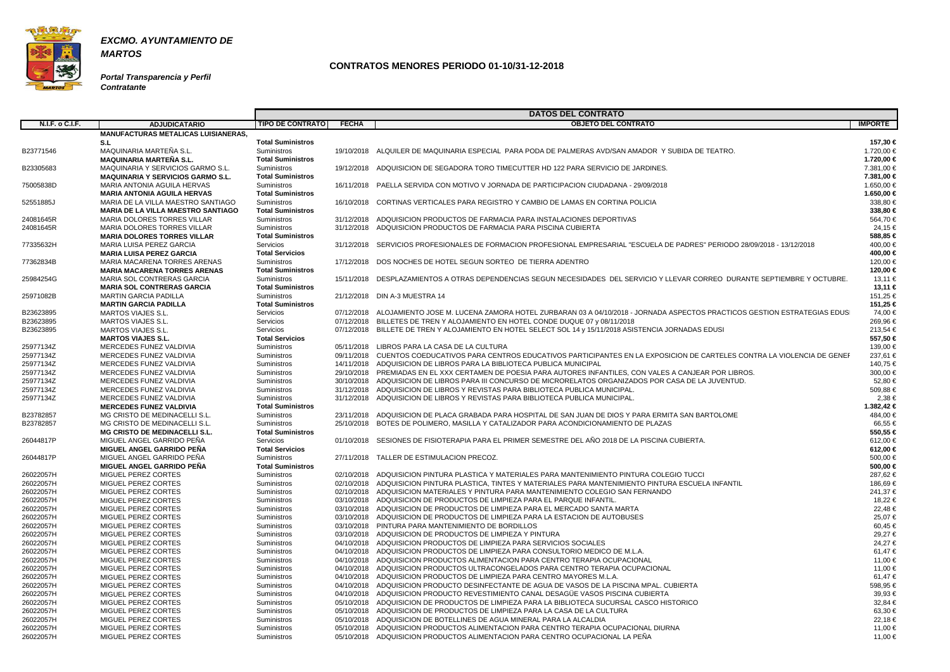

**Portal Transparencia y Perfil Contratante**

| <b>N.I.F. o C.I.F.</b><br><b>OBJETO DEL CONTRATO</b><br><b>IMPORTE</b><br><b>TIPO DE CONTRATO</b><br><b>FECHA</b><br><b>ADJUDICATARIO</b><br><b>MANUFACTURAS METALICAS LUISIANERAS,</b><br><b>Total Suministros</b><br>S.L<br>157,30 €<br>Suministros<br>19/10/2018 ALQUILER DE MAQUINARIA ESPECIAL PARA PODA DE PALMERAS AVD/SAN AMADOR Y SUBIDA DE TEATRO.<br>1.720,00 €<br>B23771546<br>MAQUINARIA MARTEÑA S.L.<br>MAQUINARIA MARTEÑA S.L.<br><b>Total Suministros</b><br>1.720,00 €<br>Suministros<br>19/12/2018 ADQUISICION DE SEGADORA TORO TIMECUTTER HD 122 PARA SERVICIO DE JARDINES.<br>7.381,00 €<br>B23305683<br>MAQUINARIA Y SERVICIOS GARMO S.L.<br><b>Total Suministros</b><br>7.381,00 €<br><b>MAQUINARIA Y SERVICIOS GARMO S.L.</b><br>75005838D<br>Suministros<br>16/11/2018 PAELLA SERVIDA CON MOTIVO V JORNADA DE PARTICIPACION CIUDADANA - 29/09/2018<br>1.650,00 €<br>MARIA ANTONIA AGUILA HERVAS<br><b>Total Suministros</b><br>1.650,00 €<br><b>MARIA ANTONIA AGUILA HERVAS</b><br>338,80 €<br>Suministros<br>16/10/2018 CORTINAS VERTICALES PARA REGISTRO Y CAMBIO DE LAMAS EN CORTINA POLICIA<br>52551885J<br>MARIA DE LA VILLA MAESTRO SANTIAGO<br><b>MARIA DE LA VILLA MAESTRO SANTIAGO</b><br><b>Total Suministros</b><br>338,80 €<br>Suministros<br>31/12/2018 ADQUISICION PRODUCTOS DE FARMACIA PARA INSTALACIONES DEPORTIVAS<br>564,70 €<br>24081645R<br>MARIA DOLORES TORRES VILLAR<br>24,15 €<br>MARIA DOLORES TORRES VILLAR<br>Suministros<br>31/12/2018 ADQUISICION PRODUCTOS DE FARMACIA PARA PISCINA CUBIERTA<br>24081645R<br>588,85 €<br><b>Total Suministros</b><br><b>MARIA DOLORES TORRES VILLAR</b><br>400,00 €<br>MARIA LUISA PEREZ GARCIA<br>Servicios<br>31/12/2018 SERVICIOS PROFESIONALES DE FORMACION PROFESIONAL EMPRESARIAL "ESCUELA DE PADRES" PERIODO 28/09/2018 - 13/12/2018<br>77335632H<br><b>Total Servicios</b><br>400,00 €<br><b>MARIA LUISA PEREZ GARCIA</b><br>MARIA MACARENA TORRES ARENAS<br>Suministros<br>17/12/2018 DOS NOCHES DE HOTEL SEGUN SORTEO DE TIERRA ADENTRO<br>120,00 €<br>77362834B<br><b>Total Suministros</b><br>120,00 €<br><b>MARIA MACARENA TORRES ARENAS</b><br>13.11 €<br>25984254G<br>MARIA SOL CONTRERAS GARCIA<br>Suministros<br>15/11/2018 DESPLAZAMIENTOS A OTRAS DEPENDENCIAS SEGUN NECESIDADES DEL SERVICIO Y LLEVAR CORREO DURANTE SEPTIEMBRE Y OCTUBRE.<br><b>Total Suministros</b><br>13,11 €<br><b>MARIA SOL CONTRERAS GARCIA</b><br><b>MARTIN GARCIA PADILLA</b><br>Suministros<br>21/12/2018 DIN A-3 MUESTRA 14<br>151,25 €<br>25971082B<br><b>Total Suministros</b><br>151,25 €<br><b>MARTIN GARCIA PADILLA</b><br>74,00 €<br>MARTOS VIAJES S.L.<br>Servicios<br>07/12/2018 ALOJAMIENTO JOSE M. LUCENA ZAMORA HOTEL ZURBARAN 03 A 04/10/2018 - JORNADA ASPECTOS PRACTICOS GESTION ESTRATEGIAS EDUS<br>B23623895<br>269,96€<br>B23623895<br>Servicios<br>07/12/2018 BILLETES DE TREN Y ALOJAMIENTO EN HOTEL CONDE DUQUE 07 y 08/11/2018<br>MARTOS VIAJES S.L.<br>Servicios<br>07/12/2018 BILLETE DE TREN Y ALOJAMIENTO EN HOTEL SELECT SOL 14 y 15/11/2018 ASISTENCIA JORNADAS EDUSI<br>213.54 €<br>MARTOS VIAJES S.L.<br>B23623895<br><b>Total Servicios</b><br>557,50 €<br><b>MARTOS VIAJES S.L.</b><br>139,00 €<br>25977134Z<br>MERCEDES FUNEZ VALDIVIA<br>Suministros<br>05/11/2018 LIBROS PARA LA CASA DE LA CULTURA<br>25977134Z<br>MERCEDES FUNEZ VALDIVIA<br>Suministros<br>09/11/2018 CUENTOS COEDUCATIVOS PARA CENTROS EDUCATIVOS PARTICIPANTES EN LA EXPOSICION DE CARTELES CONTRA LA VIOLENCIA DE GENEF<br>237,61 €<br>25977134Z<br>MERCEDES FUNEZ VALDIVIA<br>Suministros<br>14/11/2018 ADQUISICION DE LIBROS PARA LA BIBLIOTECA PUBLICA MUNICIPAL<br>140,75 €<br>25977134Z<br>MERCEDES FUNEZ VALDIVIA<br>Suministros<br>29/10/2018 PREMIADAS EN EL XXX CERTAMEN DE POESIA PARA AUTORES INFANTILES, CON VALES A CANJEAR POR LIBROS.<br>300,00 €<br>52,80 €<br>25977134Z<br>MERCEDES FUNEZ VALDIVIA<br>Suministros<br>30/10/2018 ADQUISICION DE LIBROS PARA III CONCURSO DE MICRORELATOS ORGANIZADOS POR CASA DE LA JUVENTUD.<br>25977134Z<br>31/12/2018 ADQUISICION DE LIBROS Y REVISTAS PARA BIBLIOTECA PUBLICA MUNICIPAL.<br>509,88 €<br>MERCEDES FUNEZ VALDIVIA<br>Suministros<br>2,38 €<br>25977134Z<br>MERCEDES FUNEZ VALDIVIA<br>Suministros<br>31/12/2018 ADQUISICION DE LIBROS Y REVISTAS PARA BIBLIOTECA PUBLICA MUNICIPAL.<br><b>Total Suministros</b><br><b>MERCEDES FUNEZ VALDIVIA</b><br>MG CRISTO DE MEDINACELLI S.L.<br>Suministros<br>23/11/2018 ADQUISICION DE PLACA GRABADA PARA HOSPITAL DE SAN JUAN DE DIOS Y PARA ERMITA SAN BARTOLOME<br>484,00 €<br>B23782857<br>66,55 €<br>MG CRISTO DE MEDINACELLI S.L.<br>Suministros<br>25/10/2018 BOTES DE POLIMERO, MASILLA Y CATALIZADOR PARA ACONDICIONAMIENTO DE PLAZAS<br>B23782857<br><b>MG CRISTO DE MEDINACELLI S.L.</b><br><b>Total Suministros</b><br>550,55 €<br>MIGUEL ANGEL GARRIDO PEÑA<br>01/10/2018 SESIONES DE FISIOTERAPIA PARA EL PRIMER SEMESTRE DEL AÑO 2018 DE LA PISCINA CUBIERTA.<br>26044817P<br>Servicios<br>612,00 €<br>MIGUEL ANGEL GARRIDO PEÑA<br><b>Total Servicios</b><br>612,00 €<br>MIGUEL ANGEL GARRIDO PEÑA<br>27/11/2018 TALLER DE ESTIMULACION PRECOZ.<br>500,00 €<br>26044817P<br>Suministros<br>MIGUEL ANGEL GARRIDO PEÑA<br><b>Total Suministros</b><br>500,00 €<br>MIGUEL PEREZ CORTES<br>02/10/2018 ADQUISICION PINTURA PLASTICA Y MATERIALES PARA MANTENIMIENTO PINTURA COLEGIO TUCCI<br>26022057H<br>Suministros<br>287,62 €<br>Suministros<br>02/10/2018 ADQUISICION PINTURA PLASTICA. TINTES Y MATERIALES PARA MANTENIMIENTO PINTURA ESCUELA INFANTIL<br>26022057H<br>MIGUEL PEREZ CORTES<br>186,69 €<br>26022057H<br>MIGUEL PEREZ CORTES<br>241,37 €<br>Suministros<br>02/10/2018 ADQUISICION MATERIALES Y PINTURA PARA MANTENIMIENTO COLEGIO SAN FERNANDO<br>18,22 €<br>03/10/2018 ADQUISICION DE PRODUCTOS DE LIMPIEZA PARA EL PARQUE INFANTIL.<br>26022057H<br>MIGUEL PEREZ CORTES<br>Suministros<br>22,48€<br>26022057H<br>MIGUEL PEREZ CORTES<br>03/10/2018 ADQUISICION DE PRODUCTOS DE LIMPIEZA PARA EL MERCADO SANTA MARTA<br>Suministros<br>03/10/2018 ADQUISICION DE PRODUCTOS DE LIMPIEZA PARA LA ESTACION DE AUTOBUSES<br>25,07 €<br>26022057H<br>MIGUEL PEREZ CORTES<br>Suministros<br>26022057H<br>MIGUEL PEREZ CORTES<br>03/10/2018 PINTURA PARA MANTENIMIENTO DE BORDILLOS<br>60,45 €<br>Suministros<br>03/10/2018 ADQUISICION DE PRODUCTOS DE LIMPIEZA Y PINTURA<br>29,27 €<br>26022057H<br>Suministros<br>MIGUEL PEREZ CORTES<br>24,27 €<br>MIGUEL PEREZ CORTES<br>04/10/2018 ADQUISICION PRODUCTOS DE LIMPIEZA PARA SERVICIOS SOCIALES<br>26022057H<br>Suministros<br>04/10/2018 ADQUISICION PRODUCTOS DE LIMPIEZA PARA CONSULTORIO MEDICO DE M.L.A.<br>61,47 €<br>26022057H<br>MIGUEL PEREZ CORTES<br>Suministros<br>MIGUEL PEREZ CORTES<br>04/10/2018 ADQUISICION PRODUCTOS ALIMENTACION PARA CENTRO TERAPIA OCUPACIONAL<br>11,00 €<br>26022057H<br>Suministros<br>26022057H<br>04/10/2018 ADQUISICION PRODUCTOS ULTRACONGELADOS PARA CENTRO TERAPIA OCUPACIONAL<br>11,00 €<br>MIGUEL PEREZ CORTES<br>Suministros<br>61,47 €<br>26022057H<br>MIGUEL PEREZ CORTES<br>04/10/2018 ADQUISICION PRODUCTOS DE LIMPIEZA PARA CENTRO MAYORES M.L.A.<br>Suministros<br>26022057H<br>04/10/2018 ADQUISICION PRODUCTO DESINFECTANTE DE AGUA DE VASOS DE LA PISCINA MPAL. CUBIERTA<br>598,95 €<br>MIGUEL PEREZ CORTES<br>Suministros<br>04/10/2018 ADQUISICION PRODUCTO REVESTIMIENTO CANAL DESAGÜE VASOS PISCINA CUBIERTA<br>MIGUEL PEREZ CORTES<br>39,93 €<br>26022057H<br>Suministros<br>05/10/2018 ADQUISICION DE PRODUCTOS DE LIMPIEZA PARA LA BIBLIOTECA SUCURSAL CASCO HISTORICO<br>32,84 €<br>MIGUEL PEREZ CORTES<br>Suministros<br>05/10/2018 ADQUISICION DE PRODUCTOS DE LIMPIEZA PARA LA CASA DE LA CULTURA<br>63,30 €<br>26022057H<br>MIGUEL PEREZ CORTES<br>Suministros<br>22,18€<br>05/10/2018 ADQUISICION DE BOTELLINES DE AGUA MINERAL PARA LA ALCALDIA<br>26022057H<br>MIGUEL PEREZ CORTES<br>Suministros<br>26022057H<br>MIGUEL PEREZ CORTES<br>05/10/2018 ADQUISICION PRODUCTOS ALIMENTACION PARA CENTRO TERAPIA OCUPACIONAL DIURNA<br>11,00 €<br>Suministros<br>05/10/2018 ADQUISICION PRODUCTOS ALIMENTACION PARA CENTRO OCUPACIONAL LA PEÑA<br>11,00 €<br>MIGUEL PEREZ CORTES<br>Suministros |           |  | <b>DATOS DEL CONTRATO</b> |  |
|-------------------------------------------------------------------------------------------------------------------------------------------------------------------------------------------------------------------------------------------------------------------------------------------------------------------------------------------------------------------------------------------------------------------------------------------------------------------------------------------------------------------------------------------------------------------------------------------------------------------------------------------------------------------------------------------------------------------------------------------------------------------------------------------------------------------------------------------------------------------------------------------------------------------------------------------------------------------------------------------------------------------------------------------------------------------------------------------------------------------------------------------------------------------------------------------------------------------------------------------------------------------------------------------------------------------------------------------------------------------------------------------------------------------------------------------------------------------------------------------------------------------------------------------------------------------------------------------------------------------------------------------------------------------------------------------------------------------------------------------------------------------------------------------------------------------------------------------------------------------------------------------------------------------------------------------------------------------------------------------------------------------------------------------------------------------------------------------------------------------------------------------------------------------------------------------------------------------------------------------------------------------------------------------------------------------------------------------------------------------------------------------------------------------------------------------------------------------------------------------------------------------------------------------------------------------------------------------------------------------------------------------------------------------------------------------------------------------------------------------------------------------------------------------------------------------------------------------------------------------------------------------------------------------------------------------------------------------------------------------------------------------------------------------------------------------------------------------------------------------------------------------------------------------------------------------------------------------------------------------------------------------------------------------------------------------------------------------------------------------------------------------------------------------------------------------------------------------------------------------------------------------------------------------------------------------------------------------------------------------------------------------------------------------------------------------------------------------------------------------------------------------------------------------------------------------------------------------------------------------------------------------------------------------------------------------------------------------------------------------------------------------------------------------------------------------------------------------------------------------------------------------------------------------------------------------------------------------------------------------------------------------------------------------------------------------------------------------------------------------------------------------------------------------------------------------------------------------------------------------------------------------------------------------------------------------------------------------------------------------------------------------------------------------------------------------------------------------------------------------------------------------------------------------------------------------------------------------------------------------------------------------------------------------------------------------------------------------------------------------------------------------------------------------------------------------------------------------------------------------------------------------------------------------------------------------------------------------------------------------------------------------------------------------------------------------------------------------------------------------------------------------------------------------------------------------------------------------------------------------------------------------------------------------------------------------------------------------------------------------------------------------------------------------------------------------------------------------------------------------------------------------------------------------------------------------------------------------------------------------------------------------------------------------------------------------------------------------------------------------------------------------------------------------------------------------------------------------------------------------------------------------------------------------------------------------------------------------------------------------------------------------------------------------------------------------------------------------------------------------------------------------------------------------------------------------------------------------------------------------------------------------------------------------------------------------------------------------------------------------------------------------------------------------------------------------------------------------------------------------------------------------------------------------------------------------------------------------------------------------------------------------------------------------------------------------------------------------------------------------------------------------------------------------------------------------------------------------------------------------------------------------------------------------------------------------------------------------------------------------------------------------------------------------------------------------------------------------------------------------------------------------------------------------------------------------------------------------------------------------------------------------------------------------------------------------------------------------------------------------------------------------------------------------------------------------------------------------------------------------------------------------------------------------------------------------------------------------------------------------------------------------------------------------------------------------------------------------------------------------------------------------------------------------------------------------------------------------------------------------------------------------------------------------------------------------------------------------------------------------------------|-----------|--|---------------------------|--|
|                                                                                                                                                                                                                                                                                                                                                                                                                                                                                                                                                                                                                                                                                                                                                                                                                                                                                                                                                                                                                                                                                                                                                                                                                                                                                                                                                                                                                                                                                                                                                                                                                                                                                                                                                                                                                                                                                                                                                                                                                                                                                                                                                                                                                                                                                                                                                                                                                                                                                                                                                                                                                                                                                                                                                                                                                                                                                                                                                                                                                                                                                                                                                                                                                                                                                                                                                                                                                                                                                                                                                                                                                                                                                                                                                                                                                                                                                                                                                                                                                                                                                                                                                                                                                                                                                                                                                                                                                                                                                                                                                                                                                                                                                                                                                                                                                                                                                                                                                                                                                                                                                                                                                                                                                                                                                                                                                                                                                                                                                                                                                                                                                                                                                                                                                                                                                                                                                                                                                                                                                                                                                                                                                                                                                                                                                                                                                                                                                                                                                                                                                                                                                                                                                                                                                                                                                                                                                                                                                                                                                                                                                                                                                                                                                                                                                                                                                                                                                                                                                                                                                                                                                                                                                                                                                                                                                                                                                                                                                                                                                                                                                                                                                                                                                                                       |           |  |                           |  |
|                                                                                                                                                                                                                                                                                                                                                                                                                                                                                                                                                                                                                                                                                                                                                                                                                                                                                                                                                                                                                                                                                                                                                                                                                                                                                                                                                                                                                                                                                                                                                                                                                                                                                                                                                                                                                                                                                                                                                                                                                                                                                                                                                                                                                                                                                                                                                                                                                                                                                                                                                                                                                                                                                                                                                                                                                                                                                                                                                                                                                                                                                                                                                                                                                                                                                                                                                                                                                                                                                                                                                                                                                                                                                                                                                                                                                                                                                                                                                                                                                                                                                                                                                                                                                                                                                                                                                                                                                                                                                                                                                                                                                                                                                                                                                                                                                                                                                                                                                                                                                                                                                                                                                                                                                                                                                                                                                                                                                                                                                                                                                                                                                                                                                                                                                                                                                                                                                                                                                                                                                                                                                                                                                                                                                                                                                                                                                                                                                                                                                                                                                                                                                                                                                                                                                                                                                                                                                                                                                                                                                                                                                                                                                                                                                                                                                                                                                                                                                                                                                                                                                                                                                                                                                                                                                                                                                                                                                                                                                                                                                                                                                                                                                                                                                                                       |           |  |                           |  |
| 1.382,42 €                                                                                                                                                                                                                                                                                                                                                                                                                                                                                                                                                                                                                                                                                                                                                                                                                                                                                                                                                                                                                                                                                                                                                                                                                                                                                                                                                                                                                                                                                                                                                                                                                                                                                                                                                                                                                                                                                                                                                                                                                                                                                                                                                                                                                                                                                                                                                                                                                                                                                                                                                                                                                                                                                                                                                                                                                                                                                                                                                                                                                                                                                                                                                                                                                                                                                                                                                                                                                                                                                                                                                                                                                                                                                                                                                                                                                                                                                                                                                                                                                                                                                                                                                                                                                                                                                                                                                                                                                                                                                                                                                                                                                                                                                                                                                                                                                                                                                                                                                                                                                                                                                                                                                                                                                                                                                                                                                                                                                                                                                                                                                                                                                                                                                                                                                                                                                                                                                                                                                                                                                                                                                                                                                                                                                                                                                                                                                                                                                                                                                                                                                                                                                                                                                                                                                                                                                                                                                                                                                                                                                                                                                                                                                                                                                                                                                                                                                                                                                                                                                                                                                                                                                                                                                                                                                                                                                                                                                                                                                                                                                                                                                                                                                                                                                                            |           |  |                           |  |
|                                                                                                                                                                                                                                                                                                                                                                                                                                                                                                                                                                                                                                                                                                                                                                                                                                                                                                                                                                                                                                                                                                                                                                                                                                                                                                                                                                                                                                                                                                                                                                                                                                                                                                                                                                                                                                                                                                                                                                                                                                                                                                                                                                                                                                                                                                                                                                                                                                                                                                                                                                                                                                                                                                                                                                                                                                                                                                                                                                                                                                                                                                                                                                                                                                                                                                                                                                                                                                                                                                                                                                                                                                                                                                                                                                                                                                                                                                                                                                                                                                                                                                                                                                                                                                                                                                                                                                                                                                                                                                                                                                                                                                                                                                                                                                                                                                                                                                                                                                                                                                                                                                                                                                                                                                                                                                                                                                                                                                                                                                                                                                                                                                                                                                                                                                                                                                                                                                                                                                                                                                                                                                                                                                                                                                                                                                                                                                                                                                                                                                                                                                                                                                                                                                                                                                                                                                                                                                                                                                                                                                                                                                                                                                                                                                                                                                                                                                                                                                                                                                                                                                                                                                                                                                                                                                                                                                                                                                                                                                                                                                                                                                                                                                                                                                                       |           |  |                           |  |
|                                                                                                                                                                                                                                                                                                                                                                                                                                                                                                                                                                                                                                                                                                                                                                                                                                                                                                                                                                                                                                                                                                                                                                                                                                                                                                                                                                                                                                                                                                                                                                                                                                                                                                                                                                                                                                                                                                                                                                                                                                                                                                                                                                                                                                                                                                                                                                                                                                                                                                                                                                                                                                                                                                                                                                                                                                                                                                                                                                                                                                                                                                                                                                                                                                                                                                                                                                                                                                                                                                                                                                                                                                                                                                                                                                                                                                                                                                                                                                                                                                                                                                                                                                                                                                                                                                                                                                                                                                                                                                                                                                                                                                                                                                                                                                                                                                                                                                                                                                                                                                                                                                                                                                                                                                                                                                                                                                                                                                                                                                                                                                                                                                                                                                                                                                                                                                                                                                                                                                                                                                                                                                                                                                                                                                                                                                                                                                                                                                                                                                                                                                                                                                                                                                                                                                                                                                                                                                                                                                                                                                                                                                                                                                                                                                                                                                                                                                                                                                                                                                                                                                                                                                                                                                                                                                                                                                                                                                                                                                                                                                                                                                                                                                                                                                                       |           |  |                           |  |
|                                                                                                                                                                                                                                                                                                                                                                                                                                                                                                                                                                                                                                                                                                                                                                                                                                                                                                                                                                                                                                                                                                                                                                                                                                                                                                                                                                                                                                                                                                                                                                                                                                                                                                                                                                                                                                                                                                                                                                                                                                                                                                                                                                                                                                                                                                                                                                                                                                                                                                                                                                                                                                                                                                                                                                                                                                                                                                                                                                                                                                                                                                                                                                                                                                                                                                                                                                                                                                                                                                                                                                                                                                                                                                                                                                                                                                                                                                                                                                                                                                                                                                                                                                                                                                                                                                                                                                                                                                                                                                                                                                                                                                                                                                                                                                                                                                                                                                                                                                                                                                                                                                                                                                                                                                                                                                                                                                                                                                                                                                                                                                                                                                                                                                                                                                                                                                                                                                                                                                                                                                                                                                                                                                                                                                                                                                                                                                                                                                                                                                                                                                                                                                                                                                                                                                                                                                                                                                                                                                                                                                                                                                                                                                                                                                                                                                                                                                                                                                                                                                                                                                                                                                                                                                                                                                                                                                                                                                                                                                                                                                                                                                                                                                                                                                                       |           |  |                           |  |
|                                                                                                                                                                                                                                                                                                                                                                                                                                                                                                                                                                                                                                                                                                                                                                                                                                                                                                                                                                                                                                                                                                                                                                                                                                                                                                                                                                                                                                                                                                                                                                                                                                                                                                                                                                                                                                                                                                                                                                                                                                                                                                                                                                                                                                                                                                                                                                                                                                                                                                                                                                                                                                                                                                                                                                                                                                                                                                                                                                                                                                                                                                                                                                                                                                                                                                                                                                                                                                                                                                                                                                                                                                                                                                                                                                                                                                                                                                                                                                                                                                                                                                                                                                                                                                                                                                                                                                                                                                                                                                                                                                                                                                                                                                                                                                                                                                                                                                                                                                                                                                                                                                                                                                                                                                                                                                                                                                                                                                                                                                                                                                                                                                                                                                                                                                                                                                                                                                                                                                                                                                                                                                                                                                                                                                                                                                                                                                                                                                                                                                                                                                                                                                                                                                                                                                                                                                                                                                                                                                                                                                                                                                                                                                                                                                                                                                                                                                                                                                                                                                                                                                                                                                                                                                                                                                                                                                                                                                                                                                                                                                                                                                                                                                                                                                                       |           |  |                           |  |
|                                                                                                                                                                                                                                                                                                                                                                                                                                                                                                                                                                                                                                                                                                                                                                                                                                                                                                                                                                                                                                                                                                                                                                                                                                                                                                                                                                                                                                                                                                                                                                                                                                                                                                                                                                                                                                                                                                                                                                                                                                                                                                                                                                                                                                                                                                                                                                                                                                                                                                                                                                                                                                                                                                                                                                                                                                                                                                                                                                                                                                                                                                                                                                                                                                                                                                                                                                                                                                                                                                                                                                                                                                                                                                                                                                                                                                                                                                                                                                                                                                                                                                                                                                                                                                                                                                                                                                                                                                                                                                                                                                                                                                                                                                                                                                                                                                                                                                                                                                                                                                                                                                                                                                                                                                                                                                                                                                                                                                                                                                                                                                                                                                                                                                                                                                                                                                                                                                                                                                                                                                                                                                                                                                                                                                                                                                                                                                                                                                                                                                                                                                                                                                                                                                                                                                                                                                                                                                                                                                                                                                                                                                                                                                                                                                                                                                                                                                                                                                                                                                                                                                                                                                                                                                                                                                                                                                                                                                                                                                                                                                                                                                                                                                                                                                                       |           |  |                           |  |
|                                                                                                                                                                                                                                                                                                                                                                                                                                                                                                                                                                                                                                                                                                                                                                                                                                                                                                                                                                                                                                                                                                                                                                                                                                                                                                                                                                                                                                                                                                                                                                                                                                                                                                                                                                                                                                                                                                                                                                                                                                                                                                                                                                                                                                                                                                                                                                                                                                                                                                                                                                                                                                                                                                                                                                                                                                                                                                                                                                                                                                                                                                                                                                                                                                                                                                                                                                                                                                                                                                                                                                                                                                                                                                                                                                                                                                                                                                                                                                                                                                                                                                                                                                                                                                                                                                                                                                                                                                                                                                                                                                                                                                                                                                                                                                                                                                                                                                                                                                                                                                                                                                                                                                                                                                                                                                                                                                                                                                                                                                                                                                                                                                                                                                                                                                                                                                                                                                                                                                                                                                                                                                                                                                                                                                                                                                                                                                                                                                                                                                                                                                                                                                                                                                                                                                                                                                                                                                                                                                                                                                                                                                                                                                                                                                                                                                                                                                                                                                                                                                                                                                                                                                                                                                                                                                                                                                                                                                                                                                                                                                                                                                                                                                                                                                                       |           |  |                           |  |
|                                                                                                                                                                                                                                                                                                                                                                                                                                                                                                                                                                                                                                                                                                                                                                                                                                                                                                                                                                                                                                                                                                                                                                                                                                                                                                                                                                                                                                                                                                                                                                                                                                                                                                                                                                                                                                                                                                                                                                                                                                                                                                                                                                                                                                                                                                                                                                                                                                                                                                                                                                                                                                                                                                                                                                                                                                                                                                                                                                                                                                                                                                                                                                                                                                                                                                                                                                                                                                                                                                                                                                                                                                                                                                                                                                                                                                                                                                                                                                                                                                                                                                                                                                                                                                                                                                                                                                                                                                                                                                                                                                                                                                                                                                                                                                                                                                                                                                                                                                                                                                                                                                                                                                                                                                                                                                                                                                                                                                                                                                                                                                                                                                                                                                                                                                                                                                                                                                                                                                                                                                                                                                                                                                                                                                                                                                                                                                                                                                                                                                                                                                                                                                                                                                                                                                                                                                                                                                                                                                                                                                                                                                                                                                                                                                                                                                                                                                                                                                                                                                                                                                                                                                                                                                                                                                                                                                                                                                                                                                                                                                                                                                                                                                                                                                                       |           |  |                           |  |
|                                                                                                                                                                                                                                                                                                                                                                                                                                                                                                                                                                                                                                                                                                                                                                                                                                                                                                                                                                                                                                                                                                                                                                                                                                                                                                                                                                                                                                                                                                                                                                                                                                                                                                                                                                                                                                                                                                                                                                                                                                                                                                                                                                                                                                                                                                                                                                                                                                                                                                                                                                                                                                                                                                                                                                                                                                                                                                                                                                                                                                                                                                                                                                                                                                                                                                                                                                                                                                                                                                                                                                                                                                                                                                                                                                                                                                                                                                                                                                                                                                                                                                                                                                                                                                                                                                                                                                                                                                                                                                                                                                                                                                                                                                                                                                                                                                                                                                                                                                                                                                                                                                                                                                                                                                                                                                                                                                                                                                                                                                                                                                                                                                                                                                                                                                                                                                                                                                                                                                                                                                                                                                                                                                                                                                                                                                                                                                                                                                                                                                                                                                                                                                                                                                                                                                                                                                                                                                                                                                                                                                                                                                                                                                                                                                                                                                                                                                                                                                                                                                                                                                                                                                                                                                                                                                                                                                                                                                                                                                                                                                                                                                                                                                                                                                                       |           |  |                           |  |
|                                                                                                                                                                                                                                                                                                                                                                                                                                                                                                                                                                                                                                                                                                                                                                                                                                                                                                                                                                                                                                                                                                                                                                                                                                                                                                                                                                                                                                                                                                                                                                                                                                                                                                                                                                                                                                                                                                                                                                                                                                                                                                                                                                                                                                                                                                                                                                                                                                                                                                                                                                                                                                                                                                                                                                                                                                                                                                                                                                                                                                                                                                                                                                                                                                                                                                                                                                                                                                                                                                                                                                                                                                                                                                                                                                                                                                                                                                                                                                                                                                                                                                                                                                                                                                                                                                                                                                                                                                                                                                                                                                                                                                                                                                                                                                                                                                                                                                                                                                                                                                                                                                                                                                                                                                                                                                                                                                                                                                                                                                                                                                                                                                                                                                                                                                                                                                                                                                                                                                                                                                                                                                                                                                                                                                                                                                                                                                                                                                                                                                                                                                                                                                                                                                                                                                                                                                                                                                                                                                                                                                                                                                                                                                                                                                                                                                                                                                                                                                                                                                                                                                                                                                                                                                                                                                                                                                                                                                                                                                                                                                                                                                                                                                                                                                                       |           |  |                           |  |
|                                                                                                                                                                                                                                                                                                                                                                                                                                                                                                                                                                                                                                                                                                                                                                                                                                                                                                                                                                                                                                                                                                                                                                                                                                                                                                                                                                                                                                                                                                                                                                                                                                                                                                                                                                                                                                                                                                                                                                                                                                                                                                                                                                                                                                                                                                                                                                                                                                                                                                                                                                                                                                                                                                                                                                                                                                                                                                                                                                                                                                                                                                                                                                                                                                                                                                                                                                                                                                                                                                                                                                                                                                                                                                                                                                                                                                                                                                                                                                                                                                                                                                                                                                                                                                                                                                                                                                                                                                                                                                                                                                                                                                                                                                                                                                                                                                                                                                                                                                                                                                                                                                                                                                                                                                                                                                                                                                                                                                                                                                                                                                                                                                                                                                                                                                                                                                                                                                                                                                                                                                                                                                                                                                                                                                                                                                                                                                                                                                                                                                                                                                                                                                                                                                                                                                                                                                                                                                                                                                                                                                                                                                                                                                                                                                                                                                                                                                                                                                                                                                                                                                                                                                                                                                                                                                                                                                                                                                                                                                                                                                                                                                                                                                                                                                                       |           |  |                           |  |
|                                                                                                                                                                                                                                                                                                                                                                                                                                                                                                                                                                                                                                                                                                                                                                                                                                                                                                                                                                                                                                                                                                                                                                                                                                                                                                                                                                                                                                                                                                                                                                                                                                                                                                                                                                                                                                                                                                                                                                                                                                                                                                                                                                                                                                                                                                                                                                                                                                                                                                                                                                                                                                                                                                                                                                                                                                                                                                                                                                                                                                                                                                                                                                                                                                                                                                                                                                                                                                                                                                                                                                                                                                                                                                                                                                                                                                                                                                                                                                                                                                                                                                                                                                                                                                                                                                                                                                                                                                                                                                                                                                                                                                                                                                                                                                                                                                                                                                                                                                                                                                                                                                                                                                                                                                                                                                                                                                                                                                                                                                                                                                                                                                                                                                                                                                                                                                                                                                                                                                                                                                                                                                                                                                                                                                                                                                                                                                                                                                                                                                                                                                                                                                                                                                                                                                                                                                                                                                                                                                                                                                                                                                                                                                                                                                                                                                                                                                                                                                                                                                                                                                                                                                                                                                                                                                                                                                                                                                                                                                                                                                                                                                                                                                                                                                                       |           |  |                           |  |
|                                                                                                                                                                                                                                                                                                                                                                                                                                                                                                                                                                                                                                                                                                                                                                                                                                                                                                                                                                                                                                                                                                                                                                                                                                                                                                                                                                                                                                                                                                                                                                                                                                                                                                                                                                                                                                                                                                                                                                                                                                                                                                                                                                                                                                                                                                                                                                                                                                                                                                                                                                                                                                                                                                                                                                                                                                                                                                                                                                                                                                                                                                                                                                                                                                                                                                                                                                                                                                                                                                                                                                                                                                                                                                                                                                                                                                                                                                                                                                                                                                                                                                                                                                                                                                                                                                                                                                                                                                                                                                                                                                                                                                                                                                                                                                                                                                                                                                                                                                                                                                                                                                                                                                                                                                                                                                                                                                                                                                                                                                                                                                                                                                                                                                                                                                                                                                                                                                                                                                                                                                                                                                                                                                                                                                                                                                                                                                                                                                                                                                                                                                                                                                                                                                                                                                                                                                                                                                                                                                                                                                                                                                                                                                                                                                                                                                                                                                                                                                                                                                                                                                                                                                                                                                                                                                                                                                                                                                                                                                                                                                                                                                                                                                                                                                                       |           |  |                           |  |
|                                                                                                                                                                                                                                                                                                                                                                                                                                                                                                                                                                                                                                                                                                                                                                                                                                                                                                                                                                                                                                                                                                                                                                                                                                                                                                                                                                                                                                                                                                                                                                                                                                                                                                                                                                                                                                                                                                                                                                                                                                                                                                                                                                                                                                                                                                                                                                                                                                                                                                                                                                                                                                                                                                                                                                                                                                                                                                                                                                                                                                                                                                                                                                                                                                                                                                                                                                                                                                                                                                                                                                                                                                                                                                                                                                                                                                                                                                                                                                                                                                                                                                                                                                                                                                                                                                                                                                                                                                                                                                                                                                                                                                                                                                                                                                                                                                                                                                                                                                                                                                                                                                                                                                                                                                                                                                                                                                                                                                                                                                                                                                                                                                                                                                                                                                                                                                                                                                                                                                                                                                                                                                                                                                                                                                                                                                                                                                                                                                                                                                                                                                                                                                                                                                                                                                                                                                                                                                                                                                                                                                                                                                                                                                                                                                                                                                                                                                                                                                                                                                                                                                                                                                                                                                                                                                                                                                                                                                                                                                                                                                                                                                                                                                                                                                                       |           |  |                           |  |
|                                                                                                                                                                                                                                                                                                                                                                                                                                                                                                                                                                                                                                                                                                                                                                                                                                                                                                                                                                                                                                                                                                                                                                                                                                                                                                                                                                                                                                                                                                                                                                                                                                                                                                                                                                                                                                                                                                                                                                                                                                                                                                                                                                                                                                                                                                                                                                                                                                                                                                                                                                                                                                                                                                                                                                                                                                                                                                                                                                                                                                                                                                                                                                                                                                                                                                                                                                                                                                                                                                                                                                                                                                                                                                                                                                                                                                                                                                                                                                                                                                                                                                                                                                                                                                                                                                                                                                                                                                                                                                                                                                                                                                                                                                                                                                                                                                                                                                                                                                                                                                                                                                                                                                                                                                                                                                                                                                                                                                                                                                                                                                                                                                                                                                                                                                                                                                                                                                                                                                                                                                                                                                                                                                                                                                                                                                                                                                                                                                                                                                                                                                                                                                                                                                                                                                                                                                                                                                                                                                                                                                                                                                                                                                                                                                                                                                                                                                                                                                                                                                                                                                                                                                                                                                                                                                                                                                                                                                                                                                                                                                                                                                                                                                                                                                                       |           |  |                           |  |
|                                                                                                                                                                                                                                                                                                                                                                                                                                                                                                                                                                                                                                                                                                                                                                                                                                                                                                                                                                                                                                                                                                                                                                                                                                                                                                                                                                                                                                                                                                                                                                                                                                                                                                                                                                                                                                                                                                                                                                                                                                                                                                                                                                                                                                                                                                                                                                                                                                                                                                                                                                                                                                                                                                                                                                                                                                                                                                                                                                                                                                                                                                                                                                                                                                                                                                                                                                                                                                                                                                                                                                                                                                                                                                                                                                                                                                                                                                                                                                                                                                                                                                                                                                                                                                                                                                                                                                                                                                                                                                                                                                                                                                                                                                                                                                                                                                                                                                                                                                                                                                                                                                                                                                                                                                                                                                                                                                                                                                                                                                                                                                                                                                                                                                                                                                                                                                                                                                                                                                                                                                                                                                                                                                                                                                                                                                                                                                                                                                                                                                                                                                                                                                                                                                                                                                                                                                                                                                                                                                                                                                                                                                                                                                                                                                                                                                                                                                                                                                                                                                                                                                                                                                                                                                                                                                                                                                                                                                                                                                                                                                                                                                                                                                                                                                                       |           |  |                           |  |
|                                                                                                                                                                                                                                                                                                                                                                                                                                                                                                                                                                                                                                                                                                                                                                                                                                                                                                                                                                                                                                                                                                                                                                                                                                                                                                                                                                                                                                                                                                                                                                                                                                                                                                                                                                                                                                                                                                                                                                                                                                                                                                                                                                                                                                                                                                                                                                                                                                                                                                                                                                                                                                                                                                                                                                                                                                                                                                                                                                                                                                                                                                                                                                                                                                                                                                                                                                                                                                                                                                                                                                                                                                                                                                                                                                                                                                                                                                                                                                                                                                                                                                                                                                                                                                                                                                                                                                                                                                                                                                                                                                                                                                                                                                                                                                                                                                                                                                                                                                                                                                                                                                                                                                                                                                                                                                                                                                                                                                                                                                                                                                                                                                                                                                                                                                                                                                                                                                                                                                                                                                                                                                                                                                                                                                                                                                                                                                                                                                                                                                                                                                                                                                                                                                                                                                                                                                                                                                                                                                                                                                                                                                                                                                                                                                                                                                                                                                                                                                                                                                                                                                                                                                                                                                                                                                                                                                                                                                                                                                                                                                                                                                                                                                                                                                                       |           |  |                           |  |
|                                                                                                                                                                                                                                                                                                                                                                                                                                                                                                                                                                                                                                                                                                                                                                                                                                                                                                                                                                                                                                                                                                                                                                                                                                                                                                                                                                                                                                                                                                                                                                                                                                                                                                                                                                                                                                                                                                                                                                                                                                                                                                                                                                                                                                                                                                                                                                                                                                                                                                                                                                                                                                                                                                                                                                                                                                                                                                                                                                                                                                                                                                                                                                                                                                                                                                                                                                                                                                                                                                                                                                                                                                                                                                                                                                                                                                                                                                                                                                                                                                                                                                                                                                                                                                                                                                                                                                                                                                                                                                                                                                                                                                                                                                                                                                                                                                                                                                                                                                                                                                                                                                                                                                                                                                                                                                                                                                                                                                                                                                                                                                                                                                                                                                                                                                                                                                                                                                                                                                                                                                                                                                                                                                                                                                                                                                                                                                                                                                                                                                                                                                                                                                                                                                                                                                                                                                                                                                                                                                                                                                                                                                                                                                                                                                                                                                                                                                                                                                                                                                                                                                                                                                                                                                                                                                                                                                                                                                                                                                                                                                                                                                                                                                                                                                                       |           |  |                           |  |
|                                                                                                                                                                                                                                                                                                                                                                                                                                                                                                                                                                                                                                                                                                                                                                                                                                                                                                                                                                                                                                                                                                                                                                                                                                                                                                                                                                                                                                                                                                                                                                                                                                                                                                                                                                                                                                                                                                                                                                                                                                                                                                                                                                                                                                                                                                                                                                                                                                                                                                                                                                                                                                                                                                                                                                                                                                                                                                                                                                                                                                                                                                                                                                                                                                                                                                                                                                                                                                                                                                                                                                                                                                                                                                                                                                                                                                                                                                                                                                                                                                                                                                                                                                                                                                                                                                                                                                                                                                                                                                                                                                                                                                                                                                                                                                                                                                                                                                                                                                                                                                                                                                                                                                                                                                                                                                                                                                                                                                                                                                                                                                                                                                                                                                                                                                                                                                                                                                                                                                                                                                                                                                                                                                                                                                                                                                                                                                                                                                                                                                                                                                                                                                                                                                                                                                                                                                                                                                                                                                                                                                                                                                                                                                                                                                                                                                                                                                                                                                                                                                                                                                                                                                                                                                                                                                                                                                                                                                                                                                                                                                                                                                                                                                                                                                                       |           |  |                           |  |
|                                                                                                                                                                                                                                                                                                                                                                                                                                                                                                                                                                                                                                                                                                                                                                                                                                                                                                                                                                                                                                                                                                                                                                                                                                                                                                                                                                                                                                                                                                                                                                                                                                                                                                                                                                                                                                                                                                                                                                                                                                                                                                                                                                                                                                                                                                                                                                                                                                                                                                                                                                                                                                                                                                                                                                                                                                                                                                                                                                                                                                                                                                                                                                                                                                                                                                                                                                                                                                                                                                                                                                                                                                                                                                                                                                                                                                                                                                                                                                                                                                                                                                                                                                                                                                                                                                                                                                                                                                                                                                                                                                                                                                                                                                                                                                                                                                                                                                                                                                                                                                                                                                                                                                                                                                                                                                                                                                                                                                                                                                                                                                                                                                                                                                                                                                                                                                                                                                                                                                                                                                                                                                                                                                                                                                                                                                                                                                                                                                                                                                                                                                                                                                                                                                                                                                                                                                                                                                                                                                                                                                                                                                                                                                                                                                                                                                                                                                                                                                                                                                                                                                                                                                                                                                                                                                                                                                                                                                                                                                                                                                                                                                                                                                                                                                                       |           |  |                           |  |
|                                                                                                                                                                                                                                                                                                                                                                                                                                                                                                                                                                                                                                                                                                                                                                                                                                                                                                                                                                                                                                                                                                                                                                                                                                                                                                                                                                                                                                                                                                                                                                                                                                                                                                                                                                                                                                                                                                                                                                                                                                                                                                                                                                                                                                                                                                                                                                                                                                                                                                                                                                                                                                                                                                                                                                                                                                                                                                                                                                                                                                                                                                                                                                                                                                                                                                                                                                                                                                                                                                                                                                                                                                                                                                                                                                                                                                                                                                                                                                                                                                                                                                                                                                                                                                                                                                                                                                                                                                                                                                                                                                                                                                                                                                                                                                                                                                                                                                                                                                                                                                                                                                                                                                                                                                                                                                                                                                                                                                                                                                                                                                                                                                                                                                                                                                                                                                                                                                                                                                                                                                                                                                                                                                                                                                                                                                                                                                                                                                                                                                                                                                                                                                                                                                                                                                                                                                                                                                                                                                                                                                                                                                                                                                                                                                                                                                                                                                                                                                                                                                                                                                                                                                                                                                                                                                                                                                                                                                                                                                                                                                                                                                                                                                                                                                                       |           |  |                           |  |
|                                                                                                                                                                                                                                                                                                                                                                                                                                                                                                                                                                                                                                                                                                                                                                                                                                                                                                                                                                                                                                                                                                                                                                                                                                                                                                                                                                                                                                                                                                                                                                                                                                                                                                                                                                                                                                                                                                                                                                                                                                                                                                                                                                                                                                                                                                                                                                                                                                                                                                                                                                                                                                                                                                                                                                                                                                                                                                                                                                                                                                                                                                                                                                                                                                                                                                                                                                                                                                                                                                                                                                                                                                                                                                                                                                                                                                                                                                                                                                                                                                                                                                                                                                                                                                                                                                                                                                                                                                                                                                                                                                                                                                                                                                                                                                                                                                                                                                                                                                                                                                                                                                                                                                                                                                                                                                                                                                                                                                                                                                                                                                                                                                                                                                                                                                                                                                                                                                                                                                                                                                                                                                                                                                                                                                                                                                                                                                                                                                                                                                                                                                                                                                                                                                                                                                                                                                                                                                                                                                                                                                                                                                                                                                                                                                                                                                                                                                                                                                                                                                                                                                                                                                                                                                                                                                                                                                                                                                                                                                                                                                                                                                                                                                                                                                                       |           |  |                           |  |
|                                                                                                                                                                                                                                                                                                                                                                                                                                                                                                                                                                                                                                                                                                                                                                                                                                                                                                                                                                                                                                                                                                                                                                                                                                                                                                                                                                                                                                                                                                                                                                                                                                                                                                                                                                                                                                                                                                                                                                                                                                                                                                                                                                                                                                                                                                                                                                                                                                                                                                                                                                                                                                                                                                                                                                                                                                                                                                                                                                                                                                                                                                                                                                                                                                                                                                                                                                                                                                                                                                                                                                                                                                                                                                                                                                                                                                                                                                                                                                                                                                                                                                                                                                                                                                                                                                                                                                                                                                                                                                                                                                                                                                                                                                                                                                                                                                                                                                                                                                                                                                                                                                                                                                                                                                                                                                                                                                                                                                                                                                                                                                                                                                                                                                                                                                                                                                                                                                                                                                                                                                                                                                                                                                                                                                                                                                                                                                                                                                                                                                                                                                                                                                                                                                                                                                                                                                                                                                                                                                                                                                                                                                                                                                                                                                                                                                                                                                                                                                                                                                                                                                                                                                                                                                                                                                                                                                                                                                                                                                                                                                                                                                                                                                                                                                                       |           |  |                           |  |
|                                                                                                                                                                                                                                                                                                                                                                                                                                                                                                                                                                                                                                                                                                                                                                                                                                                                                                                                                                                                                                                                                                                                                                                                                                                                                                                                                                                                                                                                                                                                                                                                                                                                                                                                                                                                                                                                                                                                                                                                                                                                                                                                                                                                                                                                                                                                                                                                                                                                                                                                                                                                                                                                                                                                                                                                                                                                                                                                                                                                                                                                                                                                                                                                                                                                                                                                                                                                                                                                                                                                                                                                                                                                                                                                                                                                                                                                                                                                                                                                                                                                                                                                                                                                                                                                                                                                                                                                                                                                                                                                                                                                                                                                                                                                                                                                                                                                                                                                                                                                                                                                                                                                                                                                                                                                                                                                                                                                                                                                                                                                                                                                                                                                                                                                                                                                                                                                                                                                                                                                                                                                                                                                                                                                                                                                                                                                                                                                                                                                                                                                                                                                                                                                                                                                                                                                                                                                                                                                                                                                                                                                                                                                                                                                                                                                                                                                                                                                                                                                                                                                                                                                                                                                                                                                                                                                                                                                                                                                                                                                                                                                                                                                                                                                                                                       |           |  |                           |  |
|                                                                                                                                                                                                                                                                                                                                                                                                                                                                                                                                                                                                                                                                                                                                                                                                                                                                                                                                                                                                                                                                                                                                                                                                                                                                                                                                                                                                                                                                                                                                                                                                                                                                                                                                                                                                                                                                                                                                                                                                                                                                                                                                                                                                                                                                                                                                                                                                                                                                                                                                                                                                                                                                                                                                                                                                                                                                                                                                                                                                                                                                                                                                                                                                                                                                                                                                                                                                                                                                                                                                                                                                                                                                                                                                                                                                                                                                                                                                                                                                                                                                                                                                                                                                                                                                                                                                                                                                                                                                                                                                                                                                                                                                                                                                                                                                                                                                                                                                                                                                                                                                                                                                                                                                                                                                                                                                                                                                                                                                                                                                                                                                                                                                                                                                                                                                                                                                                                                                                                                                                                                                                                                                                                                                                                                                                                                                                                                                                                                                                                                                                                                                                                                                                                                                                                                                                                                                                                                                                                                                                                                                                                                                                                                                                                                                                                                                                                                                                                                                                                                                                                                                                                                                                                                                                                                                                                                                                                                                                                                                                                                                                                                                                                                                                                                       |           |  |                           |  |
|                                                                                                                                                                                                                                                                                                                                                                                                                                                                                                                                                                                                                                                                                                                                                                                                                                                                                                                                                                                                                                                                                                                                                                                                                                                                                                                                                                                                                                                                                                                                                                                                                                                                                                                                                                                                                                                                                                                                                                                                                                                                                                                                                                                                                                                                                                                                                                                                                                                                                                                                                                                                                                                                                                                                                                                                                                                                                                                                                                                                                                                                                                                                                                                                                                                                                                                                                                                                                                                                                                                                                                                                                                                                                                                                                                                                                                                                                                                                                                                                                                                                                                                                                                                                                                                                                                                                                                                                                                                                                                                                                                                                                                                                                                                                                                                                                                                                                                                                                                                                                                                                                                                                                                                                                                                                                                                                                                                                                                                                                                                                                                                                                                                                                                                                                                                                                                                                                                                                                                                                                                                                                                                                                                                                                                                                                                                                                                                                                                                                                                                                                                                                                                                                                                                                                                                                                                                                                                                                                                                                                                                                                                                                                                                                                                                                                                                                                                                                                                                                                                                                                                                                                                                                                                                                                                                                                                                                                                                                                                                                                                                                                                                                                                                                                                                       |           |  |                           |  |
|                                                                                                                                                                                                                                                                                                                                                                                                                                                                                                                                                                                                                                                                                                                                                                                                                                                                                                                                                                                                                                                                                                                                                                                                                                                                                                                                                                                                                                                                                                                                                                                                                                                                                                                                                                                                                                                                                                                                                                                                                                                                                                                                                                                                                                                                                                                                                                                                                                                                                                                                                                                                                                                                                                                                                                                                                                                                                                                                                                                                                                                                                                                                                                                                                                                                                                                                                                                                                                                                                                                                                                                                                                                                                                                                                                                                                                                                                                                                                                                                                                                                                                                                                                                                                                                                                                                                                                                                                                                                                                                                                                                                                                                                                                                                                                                                                                                                                                                                                                                                                                                                                                                                                                                                                                                                                                                                                                                                                                                                                                                                                                                                                                                                                                                                                                                                                                                                                                                                                                                                                                                                                                                                                                                                                                                                                                                                                                                                                                                                                                                                                                                                                                                                                                                                                                                                                                                                                                                                                                                                                                                                                                                                                                                                                                                                                                                                                                                                                                                                                                                                                                                                                                                                                                                                                                                                                                                                                                                                                                                                                                                                                                                                                                                                                                                       |           |  |                           |  |
|                                                                                                                                                                                                                                                                                                                                                                                                                                                                                                                                                                                                                                                                                                                                                                                                                                                                                                                                                                                                                                                                                                                                                                                                                                                                                                                                                                                                                                                                                                                                                                                                                                                                                                                                                                                                                                                                                                                                                                                                                                                                                                                                                                                                                                                                                                                                                                                                                                                                                                                                                                                                                                                                                                                                                                                                                                                                                                                                                                                                                                                                                                                                                                                                                                                                                                                                                                                                                                                                                                                                                                                                                                                                                                                                                                                                                                                                                                                                                                                                                                                                                                                                                                                                                                                                                                                                                                                                                                                                                                                                                                                                                                                                                                                                                                                                                                                                                                                                                                                                                                                                                                                                                                                                                                                                                                                                                                                                                                                                                                                                                                                                                                                                                                                                                                                                                                                                                                                                                                                                                                                                                                                                                                                                                                                                                                                                                                                                                                                                                                                                                                                                                                                                                                                                                                                                                                                                                                                                                                                                                                                                                                                                                                                                                                                                                                                                                                                                                                                                                                                                                                                                                                                                                                                                                                                                                                                                                                                                                                                                                                                                                                                                                                                                                                                       |           |  |                           |  |
|                                                                                                                                                                                                                                                                                                                                                                                                                                                                                                                                                                                                                                                                                                                                                                                                                                                                                                                                                                                                                                                                                                                                                                                                                                                                                                                                                                                                                                                                                                                                                                                                                                                                                                                                                                                                                                                                                                                                                                                                                                                                                                                                                                                                                                                                                                                                                                                                                                                                                                                                                                                                                                                                                                                                                                                                                                                                                                                                                                                                                                                                                                                                                                                                                                                                                                                                                                                                                                                                                                                                                                                                                                                                                                                                                                                                                                                                                                                                                                                                                                                                                                                                                                                                                                                                                                                                                                                                                                                                                                                                                                                                                                                                                                                                                                                                                                                                                                                                                                                                                                                                                                                                                                                                                                                                                                                                                                                                                                                                                                                                                                                                                                                                                                                                                                                                                                                                                                                                                                                                                                                                                                                                                                                                                                                                                                                                                                                                                                                                                                                                                                                                                                                                                                                                                                                                                                                                                                                                                                                                                                                                                                                                                                                                                                                                                                                                                                                                                                                                                                                                                                                                                                                                                                                                                                                                                                                                                                                                                                                                                                                                                                                                                                                                                                                       |           |  |                           |  |
|                                                                                                                                                                                                                                                                                                                                                                                                                                                                                                                                                                                                                                                                                                                                                                                                                                                                                                                                                                                                                                                                                                                                                                                                                                                                                                                                                                                                                                                                                                                                                                                                                                                                                                                                                                                                                                                                                                                                                                                                                                                                                                                                                                                                                                                                                                                                                                                                                                                                                                                                                                                                                                                                                                                                                                                                                                                                                                                                                                                                                                                                                                                                                                                                                                                                                                                                                                                                                                                                                                                                                                                                                                                                                                                                                                                                                                                                                                                                                                                                                                                                                                                                                                                                                                                                                                                                                                                                                                                                                                                                                                                                                                                                                                                                                                                                                                                                                                                                                                                                                                                                                                                                                                                                                                                                                                                                                                                                                                                                                                                                                                                                                                                                                                                                                                                                                                                                                                                                                                                                                                                                                                                                                                                                                                                                                                                                                                                                                                                                                                                                                                                                                                                                                                                                                                                                                                                                                                                                                                                                                                                                                                                                                                                                                                                                                                                                                                                                                                                                                                                                                                                                                                                                                                                                                                                                                                                                                                                                                                                                                                                                                                                                                                                                                                                       |           |  |                           |  |
|                                                                                                                                                                                                                                                                                                                                                                                                                                                                                                                                                                                                                                                                                                                                                                                                                                                                                                                                                                                                                                                                                                                                                                                                                                                                                                                                                                                                                                                                                                                                                                                                                                                                                                                                                                                                                                                                                                                                                                                                                                                                                                                                                                                                                                                                                                                                                                                                                                                                                                                                                                                                                                                                                                                                                                                                                                                                                                                                                                                                                                                                                                                                                                                                                                                                                                                                                                                                                                                                                                                                                                                                                                                                                                                                                                                                                                                                                                                                                                                                                                                                                                                                                                                                                                                                                                                                                                                                                                                                                                                                                                                                                                                                                                                                                                                                                                                                                                                                                                                                                                                                                                                                                                                                                                                                                                                                                                                                                                                                                                                                                                                                                                                                                                                                                                                                                                                                                                                                                                                                                                                                                                                                                                                                                                                                                                                                                                                                                                                                                                                                                                                                                                                                                                                                                                                                                                                                                                                                                                                                                                                                                                                                                                                                                                                                                                                                                                                                                                                                                                                                                                                                                                                                                                                                                                                                                                                                                                                                                                                                                                                                                                                                                                                                                                                       |           |  |                           |  |
|                                                                                                                                                                                                                                                                                                                                                                                                                                                                                                                                                                                                                                                                                                                                                                                                                                                                                                                                                                                                                                                                                                                                                                                                                                                                                                                                                                                                                                                                                                                                                                                                                                                                                                                                                                                                                                                                                                                                                                                                                                                                                                                                                                                                                                                                                                                                                                                                                                                                                                                                                                                                                                                                                                                                                                                                                                                                                                                                                                                                                                                                                                                                                                                                                                                                                                                                                                                                                                                                                                                                                                                                                                                                                                                                                                                                                                                                                                                                                                                                                                                                                                                                                                                                                                                                                                                                                                                                                                                                                                                                                                                                                                                                                                                                                                                                                                                                                                                                                                                                                                                                                                                                                                                                                                                                                                                                                                                                                                                                                                                                                                                                                                                                                                                                                                                                                                                                                                                                                                                                                                                                                                                                                                                                                                                                                                                                                                                                                                                                                                                                                                                                                                                                                                                                                                                                                                                                                                                                                                                                                                                                                                                                                                                                                                                                                                                                                                                                                                                                                                                                                                                                                                                                                                                                                                                                                                                                                                                                                                                                                                                                                                                                                                                                                                                       |           |  |                           |  |
|                                                                                                                                                                                                                                                                                                                                                                                                                                                                                                                                                                                                                                                                                                                                                                                                                                                                                                                                                                                                                                                                                                                                                                                                                                                                                                                                                                                                                                                                                                                                                                                                                                                                                                                                                                                                                                                                                                                                                                                                                                                                                                                                                                                                                                                                                                                                                                                                                                                                                                                                                                                                                                                                                                                                                                                                                                                                                                                                                                                                                                                                                                                                                                                                                                                                                                                                                                                                                                                                                                                                                                                                                                                                                                                                                                                                                                                                                                                                                                                                                                                                                                                                                                                                                                                                                                                                                                                                                                                                                                                                                                                                                                                                                                                                                                                                                                                                                                                                                                                                                                                                                                                                                                                                                                                                                                                                                                                                                                                                                                                                                                                                                                                                                                                                                                                                                                                                                                                                                                                                                                                                                                                                                                                                                                                                                                                                                                                                                                                                                                                                                                                                                                                                                                                                                                                                                                                                                                                                                                                                                                                                                                                                                                                                                                                                                                                                                                                                                                                                                                                                                                                                                                                                                                                                                                                                                                                                                                                                                                                                                                                                                                                                                                                                                                                       |           |  |                           |  |
|                                                                                                                                                                                                                                                                                                                                                                                                                                                                                                                                                                                                                                                                                                                                                                                                                                                                                                                                                                                                                                                                                                                                                                                                                                                                                                                                                                                                                                                                                                                                                                                                                                                                                                                                                                                                                                                                                                                                                                                                                                                                                                                                                                                                                                                                                                                                                                                                                                                                                                                                                                                                                                                                                                                                                                                                                                                                                                                                                                                                                                                                                                                                                                                                                                                                                                                                                                                                                                                                                                                                                                                                                                                                                                                                                                                                                                                                                                                                                                                                                                                                                                                                                                                                                                                                                                                                                                                                                                                                                                                                                                                                                                                                                                                                                                                                                                                                                                                                                                                                                                                                                                                                                                                                                                                                                                                                                                                                                                                                                                                                                                                                                                                                                                                                                                                                                                                                                                                                                                                                                                                                                                                                                                                                                                                                                                                                                                                                                                                                                                                                                                                                                                                                                                                                                                                                                                                                                                                                                                                                                                                                                                                                                                                                                                                                                                                                                                                                                                                                                                                                                                                                                                                                                                                                                                                                                                                                                                                                                                                                                                                                                                                                                                                                                                                       |           |  |                           |  |
|                                                                                                                                                                                                                                                                                                                                                                                                                                                                                                                                                                                                                                                                                                                                                                                                                                                                                                                                                                                                                                                                                                                                                                                                                                                                                                                                                                                                                                                                                                                                                                                                                                                                                                                                                                                                                                                                                                                                                                                                                                                                                                                                                                                                                                                                                                                                                                                                                                                                                                                                                                                                                                                                                                                                                                                                                                                                                                                                                                                                                                                                                                                                                                                                                                                                                                                                                                                                                                                                                                                                                                                                                                                                                                                                                                                                                                                                                                                                                                                                                                                                                                                                                                                                                                                                                                                                                                                                                                                                                                                                                                                                                                                                                                                                                                                                                                                                                                                                                                                                                                                                                                                                                                                                                                                                                                                                                                                                                                                                                                                                                                                                                                                                                                                                                                                                                                                                                                                                                                                                                                                                                                                                                                                                                                                                                                                                                                                                                                                                                                                                                                                                                                                                                                                                                                                                                                                                                                                                                                                                                                                                                                                                                                                                                                                                                                                                                                                                                                                                                                                                                                                                                                                                                                                                                                                                                                                                                                                                                                                                                                                                                                                                                                                                                                                       |           |  |                           |  |
|                                                                                                                                                                                                                                                                                                                                                                                                                                                                                                                                                                                                                                                                                                                                                                                                                                                                                                                                                                                                                                                                                                                                                                                                                                                                                                                                                                                                                                                                                                                                                                                                                                                                                                                                                                                                                                                                                                                                                                                                                                                                                                                                                                                                                                                                                                                                                                                                                                                                                                                                                                                                                                                                                                                                                                                                                                                                                                                                                                                                                                                                                                                                                                                                                                                                                                                                                                                                                                                                                                                                                                                                                                                                                                                                                                                                                                                                                                                                                                                                                                                                                                                                                                                                                                                                                                                                                                                                                                                                                                                                                                                                                                                                                                                                                                                                                                                                                                                                                                                                                                                                                                                                                                                                                                                                                                                                                                                                                                                                                                                                                                                                                                                                                                                                                                                                                                                                                                                                                                                                                                                                                                                                                                                                                                                                                                                                                                                                                                                                                                                                                                                                                                                                                                                                                                                                                                                                                                                                                                                                                                                                                                                                                                                                                                                                                                                                                                                                                                                                                                                                                                                                                                                                                                                                                                                                                                                                                                                                                                                                                                                                                                                                                                                                                                                       |           |  |                           |  |
|                                                                                                                                                                                                                                                                                                                                                                                                                                                                                                                                                                                                                                                                                                                                                                                                                                                                                                                                                                                                                                                                                                                                                                                                                                                                                                                                                                                                                                                                                                                                                                                                                                                                                                                                                                                                                                                                                                                                                                                                                                                                                                                                                                                                                                                                                                                                                                                                                                                                                                                                                                                                                                                                                                                                                                                                                                                                                                                                                                                                                                                                                                                                                                                                                                                                                                                                                                                                                                                                                                                                                                                                                                                                                                                                                                                                                                                                                                                                                                                                                                                                                                                                                                                                                                                                                                                                                                                                                                                                                                                                                                                                                                                                                                                                                                                                                                                                                                                                                                                                                                                                                                                                                                                                                                                                                                                                                                                                                                                                                                                                                                                                                                                                                                                                                                                                                                                                                                                                                                                                                                                                                                                                                                                                                                                                                                                                                                                                                                                                                                                                                                                                                                                                                                                                                                                                                                                                                                                                                                                                                                                                                                                                                                                                                                                                                                                                                                                                                                                                                                                                                                                                                                                                                                                                                                                                                                                                                                                                                                                                                                                                                                                                                                                                                                                       |           |  |                           |  |
|                                                                                                                                                                                                                                                                                                                                                                                                                                                                                                                                                                                                                                                                                                                                                                                                                                                                                                                                                                                                                                                                                                                                                                                                                                                                                                                                                                                                                                                                                                                                                                                                                                                                                                                                                                                                                                                                                                                                                                                                                                                                                                                                                                                                                                                                                                                                                                                                                                                                                                                                                                                                                                                                                                                                                                                                                                                                                                                                                                                                                                                                                                                                                                                                                                                                                                                                                                                                                                                                                                                                                                                                                                                                                                                                                                                                                                                                                                                                                                                                                                                                                                                                                                                                                                                                                                                                                                                                                                                                                                                                                                                                                                                                                                                                                                                                                                                                                                                                                                                                                                                                                                                                                                                                                                                                                                                                                                                                                                                                                                                                                                                                                                                                                                                                                                                                                                                                                                                                                                                                                                                                                                                                                                                                                                                                                                                                                                                                                                                                                                                                                                                                                                                                                                                                                                                                                                                                                                                                                                                                                                                                                                                                                                                                                                                                                                                                                                                                                                                                                                                                                                                                                                                                                                                                                                                                                                                                                                                                                                                                                                                                                                                                                                                                                                                       |           |  |                           |  |
|                                                                                                                                                                                                                                                                                                                                                                                                                                                                                                                                                                                                                                                                                                                                                                                                                                                                                                                                                                                                                                                                                                                                                                                                                                                                                                                                                                                                                                                                                                                                                                                                                                                                                                                                                                                                                                                                                                                                                                                                                                                                                                                                                                                                                                                                                                                                                                                                                                                                                                                                                                                                                                                                                                                                                                                                                                                                                                                                                                                                                                                                                                                                                                                                                                                                                                                                                                                                                                                                                                                                                                                                                                                                                                                                                                                                                                                                                                                                                                                                                                                                                                                                                                                                                                                                                                                                                                                                                                                                                                                                                                                                                                                                                                                                                                                                                                                                                                                                                                                                                                                                                                                                                                                                                                                                                                                                                                                                                                                                                                                                                                                                                                                                                                                                                                                                                                                                                                                                                                                                                                                                                                                                                                                                                                                                                                                                                                                                                                                                                                                                                                                                                                                                                                                                                                                                                                                                                                                                                                                                                                                                                                                                                                                                                                                                                                                                                                                                                                                                                                                                                                                                                                                                                                                                                                                                                                                                                                                                                                                                                                                                                                                                                                                                                                                       |           |  |                           |  |
|                                                                                                                                                                                                                                                                                                                                                                                                                                                                                                                                                                                                                                                                                                                                                                                                                                                                                                                                                                                                                                                                                                                                                                                                                                                                                                                                                                                                                                                                                                                                                                                                                                                                                                                                                                                                                                                                                                                                                                                                                                                                                                                                                                                                                                                                                                                                                                                                                                                                                                                                                                                                                                                                                                                                                                                                                                                                                                                                                                                                                                                                                                                                                                                                                                                                                                                                                                                                                                                                                                                                                                                                                                                                                                                                                                                                                                                                                                                                                                                                                                                                                                                                                                                                                                                                                                                                                                                                                                                                                                                                                                                                                                                                                                                                                                                                                                                                                                                                                                                                                                                                                                                                                                                                                                                                                                                                                                                                                                                                                                                                                                                                                                                                                                                                                                                                                                                                                                                                                                                                                                                                                                                                                                                                                                                                                                                                                                                                                                                                                                                                                                                                                                                                                                                                                                                                                                                                                                                                                                                                                                                                                                                                                                                                                                                                                                                                                                                                                                                                                                                                                                                                                                                                                                                                                                                                                                                                                                                                                                                                                                                                                                                                                                                                                                                       |           |  |                           |  |
|                                                                                                                                                                                                                                                                                                                                                                                                                                                                                                                                                                                                                                                                                                                                                                                                                                                                                                                                                                                                                                                                                                                                                                                                                                                                                                                                                                                                                                                                                                                                                                                                                                                                                                                                                                                                                                                                                                                                                                                                                                                                                                                                                                                                                                                                                                                                                                                                                                                                                                                                                                                                                                                                                                                                                                                                                                                                                                                                                                                                                                                                                                                                                                                                                                                                                                                                                                                                                                                                                                                                                                                                                                                                                                                                                                                                                                                                                                                                                                                                                                                                                                                                                                                                                                                                                                                                                                                                                                                                                                                                                                                                                                                                                                                                                                                                                                                                                                                                                                                                                                                                                                                                                                                                                                                                                                                                                                                                                                                                                                                                                                                                                                                                                                                                                                                                                                                                                                                                                                                                                                                                                                                                                                                                                                                                                                                                                                                                                                                                                                                                                                                                                                                                                                                                                                                                                                                                                                                                                                                                                                                                                                                                                                                                                                                                                                                                                                                                                                                                                                                                                                                                                                                                                                                                                                                                                                                                                                                                                                                                                                                                                                                                                                                                                                                       |           |  |                           |  |
|                                                                                                                                                                                                                                                                                                                                                                                                                                                                                                                                                                                                                                                                                                                                                                                                                                                                                                                                                                                                                                                                                                                                                                                                                                                                                                                                                                                                                                                                                                                                                                                                                                                                                                                                                                                                                                                                                                                                                                                                                                                                                                                                                                                                                                                                                                                                                                                                                                                                                                                                                                                                                                                                                                                                                                                                                                                                                                                                                                                                                                                                                                                                                                                                                                                                                                                                                                                                                                                                                                                                                                                                                                                                                                                                                                                                                                                                                                                                                                                                                                                                                                                                                                                                                                                                                                                                                                                                                                                                                                                                                                                                                                                                                                                                                                                                                                                                                                                                                                                                                                                                                                                                                                                                                                                                                                                                                                                                                                                                                                                                                                                                                                                                                                                                                                                                                                                                                                                                                                                                                                                                                                                                                                                                                                                                                                                                                                                                                                                                                                                                                                                                                                                                                                                                                                                                                                                                                                                                                                                                                                                                                                                                                                                                                                                                                                                                                                                                                                                                                                                                                                                                                                                                                                                                                                                                                                                                                                                                                                                                                                                                                                                                                                                                                                                       |           |  |                           |  |
|                                                                                                                                                                                                                                                                                                                                                                                                                                                                                                                                                                                                                                                                                                                                                                                                                                                                                                                                                                                                                                                                                                                                                                                                                                                                                                                                                                                                                                                                                                                                                                                                                                                                                                                                                                                                                                                                                                                                                                                                                                                                                                                                                                                                                                                                                                                                                                                                                                                                                                                                                                                                                                                                                                                                                                                                                                                                                                                                                                                                                                                                                                                                                                                                                                                                                                                                                                                                                                                                                                                                                                                                                                                                                                                                                                                                                                                                                                                                                                                                                                                                                                                                                                                                                                                                                                                                                                                                                                                                                                                                                                                                                                                                                                                                                                                                                                                                                                                                                                                                                                                                                                                                                                                                                                                                                                                                                                                                                                                                                                                                                                                                                                                                                                                                                                                                                                                                                                                                                                                                                                                                                                                                                                                                                                                                                                                                                                                                                                                                                                                                                                                                                                                                                                                                                                                                                                                                                                                                                                                                                                                                                                                                                                                                                                                                                                                                                                                                                                                                                                                                                                                                                                                                                                                                                                                                                                                                                                                                                                                                                                                                                                                                                                                                                                                       |           |  |                           |  |
|                                                                                                                                                                                                                                                                                                                                                                                                                                                                                                                                                                                                                                                                                                                                                                                                                                                                                                                                                                                                                                                                                                                                                                                                                                                                                                                                                                                                                                                                                                                                                                                                                                                                                                                                                                                                                                                                                                                                                                                                                                                                                                                                                                                                                                                                                                                                                                                                                                                                                                                                                                                                                                                                                                                                                                                                                                                                                                                                                                                                                                                                                                                                                                                                                                                                                                                                                                                                                                                                                                                                                                                                                                                                                                                                                                                                                                                                                                                                                                                                                                                                                                                                                                                                                                                                                                                                                                                                                                                                                                                                                                                                                                                                                                                                                                                                                                                                                                                                                                                                                                                                                                                                                                                                                                                                                                                                                                                                                                                                                                                                                                                                                                                                                                                                                                                                                                                                                                                                                                                                                                                                                                                                                                                                                                                                                                                                                                                                                                                                                                                                                                                                                                                                                                                                                                                                                                                                                                                                                                                                                                                                                                                                                                                                                                                                                                                                                                                                                                                                                                                                                                                                                                                                                                                                                                                                                                                                                                                                                                                                                                                                                                                                                                                                                                                       |           |  |                           |  |
|                                                                                                                                                                                                                                                                                                                                                                                                                                                                                                                                                                                                                                                                                                                                                                                                                                                                                                                                                                                                                                                                                                                                                                                                                                                                                                                                                                                                                                                                                                                                                                                                                                                                                                                                                                                                                                                                                                                                                                                                                                                                                                                                                                                                                                                                                                                                                                                                                                                                                                                                                                                                                                                                                                                                                                                                                                                                                                                                                                                                                                                                                                                                                                                                                                                                                                                                                                                                                                                                                                                                                                                                                                                                                                                                                                                                                                                                                                                                                                                                                                                                                                                                                                                                                                                                                                                                                                                                                                                                                                                                                                                                                                                                                                                                                                                                                                                                                                                                                                                                                                                                                                                                                                                                                                                                                                                                                                                                                                                                                                                                                                                                                                                                                                                                                                                                                                                                                                                                                                                                                                                                                                                                                                                                                                                                                                                                                                                                                                                                                                                                                                                                                                                                                                                                                                                                                                                                                                                                                                                                                                                                                                                                                                                                                                                                                                                                                                                                                                                                                                                                                                                                                                                                                                                                                                                                                                                                                                                                                                                                                                                                                                                                                                                                                                                       |           |  |                           |  |
|                                                                                                                                                                                                                                                                                                                                                                                                                                                                                                                                                                                                                                                                                                                                                                                                                                                                                                                                                                                                                                                                                                                                                                                                                                                                                                                                                                                                                                                                                                                                                                                                                                                                                                                                                                                                                                                                                                                                                                                                                                                                                                                                                                                                                                                                                                                                                                                                                                                                                                                                                                                                                                                                                                                                                                                                                                                                                                                                                                                                                                                                                                                                                                                                                                                                                                                                                                                                                                                                                                                                                                                                                                                                                                                                                                                                                                                                                                                                                                                                                                                                                                                                                                                                                                                                                                                                                                                                                                                                                                                                                                                                                                                                                                                                                                                                                                                                                                                                                                                                                                                                                                                                                                                                                                                                                                                                                                                                                                                                                                                                                                                                                                                                                                                                                                                                                                                                                                                                                                                                                                                                                                                                                                                                                                                                                                                                                                                                                                                                                                                                                                                                                                                                                                                                                                                                                                                                                                                                                                                                                                                                                                                                                                                                                                                                                                                                                                                                                                                                                                                                                                                                                                                                                                                                                                                                                                                                                                                                                                                                                                                                                                                                                                                                                                                       |           |  |                           |  |
|                                                                                                                                                                                                                                                                                                                                                                                                                                                                                                                                                                                                                                                                                                                                                                                                                                                                                                                                                                                                                                                                                                                                                                                                                                                                                                                                                                                                                                                                                                                                                                                                                                                                                                                                                                                                                                                                                                                                                                                                                                                                                                                                                                                                                                                                                                                                                                                                                                                                                                                                                                                                                                                                                                                                                                                                                                                                                                                                                                                                                                                                                                                                                                                                                                                                                                                                                                                                                                                                                                                                                                                                                                                                                                                                                                                                                                                                                                                                                                                                                                                                                                                                                                                                                                                                                                                                                                                                                                                                                                                                                                                                                                                                                                                                                                                                                                                                                                                                                                                                                                                                                                                                                                                                                                                                                                                                                                                                                                                                                                                                                                                                                                                                                                                                                                                                                                                                                                                                                                                                                                                                                                                                                                                                                                                                                                                                                                                                                                                                                                                                                                                                                                                                                                                                                                                                                                                                                                                                                                                                                                                                                                                                                                                                                                                                                                                                                                                                                                                                                                                                                                                                                                                                                                                                                                                                                                                                                                                                                                                                                                                                                                                                                                                                                                                       |           |  |                           |  |
|                                                                                                                                                                                                                                                                                                                                                                                                                                                                                                                                                                                                                                                                                                                                                                                                                                                                                                                                                                                                                                                                                                                                                                                                                                                                                                                                                                                                                                                                                                                                                                                                                                                                                                                                                                                                                                                                                                                                                                                                                                                                                                                                                                                                                                                                                                                                                                                                                                                                                                                                                                                                                                                                                                                                                                                                                                                                                                                                                                                                                                                                                                                                                                                                                                                                                                                                                                                                                                                                                                                                                                                                                                                                                                                                                                                                                                                                                                                                                                                                                                                                                                                                                                                                                                                                                                                                                                                                                                                                                                                                                                                                                                                                                                                                                                                                                                                                                                                                                                                                                                                                                                                                                                                                                                                                                                                                                                                                                                                                                                                                                                                                                                                                                                                                                                                                                                                                                                                                                                                                                                                                                                                                                                                                                                                                                                                                                                                                                                                                                                                                                                                                                                                                                                                                                                                                                                                                                                                                                                                                                                                                                                                                                                                                                                                                                                                                                                                                                                                                                                                                                                                                                                                                                                                                                                                                                                                                                                                                                                                                                                                                                                                                                                                                                                                       |           |  |                           |  |
|                                                                                                                                                                                                                                                                                                                                                                                                                                                                                                                                                                                                                                                                                                                                                                                                                                                                                                                                                                                                                                                                                                                                                                                                                                                                                                                                                                                                                                                                                                                                                                                                                                                                                                                                                                                                                                                                                                                                                                                                                                                                                                                                                                                                                                                                                                                                                                                                                                                                                                                                                                                                                                                                                                                                                                                                                                                                                                                                                                                                                                                                                                                                                                                                                                                                                                                                                                                                                                                                                                                                                                                                                                                                                                                                                                                                                                                                                                                                                                                                                                                                                                                                                                                                                                                                                                                                                                                                                                                                                                                                                                                                                                                                                                                                                                                                                                                                                                                                                                                                                                                                                                                                                                                                                                                                                                                                                                                                                                                                                                                                                                                                                                                                                                                                                                                                                                                                                                                                                                                                                                                                                                                                                                                                                                                                                                                                                                                                                                                                                                                                                                                                                                                                                                                                                                                                                                                                                                                                                                                                                                                                                                                                                                                                                                                                                                                                                                                                                                                                                                                                                                                                                                                                                                                                                                                                                                                                                                                                                                                                                                                                                                                                                                                                                                                       |           |  |                           |  |
|                                                                                                                                                                                                                                                                                                                                                                                                                                                                                                                                                                                                                                                                                                                                                                                                                                                                                                                                                                                                                                                                                                                                                                                                                                                                                                                                                                                                                                                                                                                                                                                                                                                                                                                                                                                                                                                                                                                                                                                                                                                                                                                                                                                                                                                                                                                                                                                                                                                                                                                                                                                                                                                                                                                                                                                                                                                                                                                                                                                                                                                                                                                                                                                                                                                                                                                                                                                                                                                                                                                                                                                                                                                                                                                                                                                                                                                                                                                                                                                                                                                                                                                                                                                                                                                                                                                                                                                                                                                                                                                                                                                                                                                                                                                                                                                                                                                                                                                                                                                                                                                                                                                                                                                                                                                                                                                                                                                                                                                                                                                                                                                                                                                                                                                                                                                                                                                                                                                                                                                                                                                                                                                                                                                                                                                                                                                                                                                                                                                                                                                                                                                                                                                                                                                                                                                                                                                                                                                                                                                                                                                                                                                                                                                                                                                                                                                                                                                                                                                                                                                                                                                                                                                                                                                                                                                                                                                                                                                                                                                                                                                                                                                                                                                                                                                       |           |  |                           |  |
|                                                                                                                                                                                                                                                                                                                                                                                                                                                                                                                                                                                                                                                                                                                                                                                                                                                                                                                                                                                                                                                                                                                                                                                                                                                                                                                                                                                                                                                                                                                                                                                                                                                                                                                                                                                                                                                                                                                                                                                                                                                                                                                                                                                                                                                                                                                                                                                                                                                                                                                                                                                                                                                                                                                                                                                                                                                                                                                                                                                                                                                                                                                                                                                                                                                                                                                                                                                                                                                                                                                                                                                                                                                                                                                                                                                                                                                                                                                                                                                                                                                                                                                                                                                                                                                                                                                                                                                                                                                                                                                                                                                                                                                                                                                                                                                                                                                                                                                                                                                                                                                                                                                                                                                                                                                                                                                                                                                                                                                                                                                                                                                                                                                                                                                                                                                                                                                                                                                                                                                                                                                                                                                                                                                                                                                                                                                                                                                                                                                                                                                                                                                                                                                                                                                                                                                                                                                                                                                                                                                                                                                                                                                                                                                                                                                                                                                                                                                                                                                                                                                                                                                                                                                                                                                                                                                                                                                                                                                                                                                                                                                                                                                                                                                                                                                       |           |  |                           |  |
|                                                                                                                                                                                                                                                                                                                                                                                                                                                                                                                                                                                                                                                                                                                                                                                                                                                                                                                                                                                                                                                                                                                                                                                                                                                                                                                                                                                                                                                                                                                                                                                                                                                                                                                                                                                                                                                                                                                                                                                                                                                                                                                                                                                                                                                                                                                                                                                                                                                                                                                                                                                                                                                                                                                                                                                                                                                                                                                                                                                                                                                                                                                                                                                                                                                                                                                                                                                                                                                                                                                                                                                                                                                                                                                                                                                                                                                                                                                                                                                                                                                                                                                                                                                                                                                                                                                                                                                                                                                                                                                                                                                                                                                                                                                                                                                                                                                                                                                                                                                                                                                                                                                                                                                                                                                                                                                                                                                                                                                                                                                                                                                                                                                                                                                                                                                                                                                                                                                                                                                                                                                                                                                                                                                                                                                                                                                                                                                                                                                                                                                                                                                                                                                                                                                                                                                                                                                                                                                                                                                                                                                                                                                                                                                                                                                                                                                                                                                                                                                                                                                                                                                                                                                                                                                                                                                                                                                                                                                                                                                                                                                                                                                                                                                                                                                       |           |  |                           |  |
|                                                                                                                                                                                                                                                                                                                                                                                                                                                                                                                                                                                                                                                                                                                                                                                                                                                                                                                                                                                                                                                                                                                                                                                                                                                                                                                                                                                                                                                                                                                                                                                                                                                                                                                                                                                                                                                                                                                                                                                                                                                                                                                                                                                                                                                                                                                                                                                                                                                                                                                                                                                                                                                                                                                                                                                                                                                                                                                                                                                                                                                                                                                                                                                                                                                                                                                                                                                                                                                                                                                                                                                                                                                                                                                                                                                                                                                                                                                                                                                                                                                                                                                                                                                                                                                                                                                                                                                                                                                                                                                                                                                                                                                                                                                                                                                                                                                                                                                                                                                                                                                                                                                                                                                                                                                                                                                                                                                                                                                                                                                                                                                                                                                                                                                                                                                                                                                                                                                                                                                                                                                                                                                                                                                                                                                                                                                                                                                                                                                                                                                                                                                                                                                                                                                                                                                                                                                                                                                                                                                                                                                                                                                                                                                                                                                                                                                                                                                                                                                                                                                                                                                                                                                                                                                                                                                                                                                                                                                                                                                                                                                                                                                                                                                                                                                       |           |  |                           |  |
|                                                                                                                                                                                                                                                                                                                                                                                                                                                                                                                                                                                                                                                                                                                                                                                                                                                                                                                                                                                                                                                                                                                                                                                                                                                                                                                                                                                                                                                                                                                                                                                                                                                                                                                                                                                                                                                                                                                                                                                                                                                                                                                                                                                                                                                                                                                                                                                                                                                                                                                                                                                                                                                                                                                                                                                                                                                                                                                                                                                                                                                                                                                                                                                                                                                                                                                                                                                                                                                                                                                                                                                                                                                                                                                                                                                                                                                                                                                                                                                                                                                                                                                                                                                                                                                                                                                                                                                                                                                                                                                                                                                                                                                                                                                                                                                                                                                                                                                                                                                                                                                                                                                                                                                                                                                                                                                                                                                                                                                                                                                                                                                                                                                                                                                                                                                                                                                                                                                                                                                                                                                                                                                                                                                                                                                                                                                                                                                                                                                                                                                                                                                                                                                                                                                                                                                                                                                                                                                                                                                                                                                                                                                                                                                                                                                                                                                                                                                                                                                                                                                                                                                                                                                                                                                                                                                                                                                                                                                                                                                                                                                                                                                                                                                                                                                       |           |  |                           |  |
|                                                                                                                                                                                                                                                                                                                                                                                                                                                                                                                                                                                                                                                                                                                                                                                                                                                                                                                                                                                                                                                                                                                                                                                                                                                                                                                                                                                                                                                                                                                                                                                                                                                                                                                                                                                                                                                                                                                                                                                                                                                                                                                                                                                                                                                                                                                                                                                                                                                                                                                                                                                                                                                                                                                                                                                                                                                                                                                                                                                                                                                                                                                                                                                                                                                                                                                                                                                                                                                                                                                                                                                                                                                                                                                                                                                                                                                                                                                                                                                                                                                                                                                                                                                                                                                                                                                                                                                                                                                                                                                                                                                                                                                                                                                                                                                                                                                                                                                                                                                                                                                                                                                                                                                                                                                                                                                                                                                                                                                                                                                                                                                                                                                                                                                                                                                                                                                                                                                                                                                                                                                                                                                                                                                                                                                                                                                                                                                                                                                                                                                                                                                                                                                                                                                                                                                                                                                                                                                                                                                                                                                                                                                                                                                                                                                                                                                                                                                                                                                                                                                                                                                                                                                                                                                                                                                                                                                                                                                                                                                                                                                                                                                                                                                                                                                       | 26022057H |  |                           |  |
|                                                                                                                                                                                                                                                                                                                                                                                                                                                                                                                                                                                                                                                                                                                                                                                                                                                                                                                                                                                                                                                                                                                                                                                                                                                                                                                                                                                                                                                                                                                                                                                                                                                                                                                                                                                                                                                                                                                                                                                                                                                                                                                                                                                                                                                                                                                                                                                                                                                                                                                                                                                                                                                                                                                                                                                                                                                                                                                                                                                                                                                                                                                                                                                                                                                                                                                                                                                                                                                                                                                                                                                                                                                                                                                                                                                                                                                                                                                                                                                                                                                                                                                                                                                                                                                                                                                                                                                                                                                                                                                                                                                                                                                                                                                                                                                                                                                                                                                                                                                                                                                                                                                                                                                                                                                                                                                                                                                                                                                                                                                                                                                                                                                                                                                                                                                                                                                                                                                                                                                                                                                                                                                                                                                                                                                                                                                                                                                                                                                                                                                                                                                                                                                                                                                                                                                                                                                                                                                                                                                                                                                                                                                                                                                                                                                                                                                                                                                                                                                                                                                                                                                                                                                                                                                                                                                                                                                                                                                                                                                                                                                                                                                                                                                                                                                       |           |  |                           |  |
|                                                                                                                                                                                                                                                                                                                                                                                                                                                                                                                                                                                                                                                                                                                                                                                                                                                                                                                                                                                                                                                                                                                                                                                                                                                                                                                                                                                                                                                                                                                                                                                                                                                                                                                                                                                                                                                                                                                                                                                                                                                                                                                                                                                                                                                                                                                                                                                                                                                                                                                                                                                                                                                                                                                                                                                                                                                                                                                                                                                                                                                                                                                                                                                                                                                                                                                                                                                                                                                                                                                                                                                                                                                                                                                                                                                                                                                                                                                                                                                                                                                                                                                                                                                                                                                                                                                                                                                                                                                                                                                                                                                                                                                                                                                                                                                                                                                                                                                                                                                                                                                                                                                                                                                                                                                                                                                                                                                                                                                                                                                                                                                                                                                                                                                                                                                                                                                                                                                                                                                                                                                                                                                                                                                                                                                                                                                                                                                                                                                                                                                                                                                                                                                                                                                                                                                                                                                                                                                                                                                                                                                                                                                                                                                                                                                                                                                                                                                                                                                                                                                                                                                                                                                                                                                                                                                                                                                                                                                                                                                                                                                                                                                                                                                                                                                       |           |  |                           |  |
|                                                                                                                                                                                                                                                                                                                                                                                                                                                                                                                                                                                                                                                                                                                                                                                                                                                                                                                                                                                                                                                                                                                                                                                                                                                                                                                                                                                                                                                                                                                                                                                                                                                                                                                                                                                                                                                                                                                                                                                                                                                                                                                                                                                                                                                                                                                                                                                                                                                                                                                                                                                                                                                                                                                                                                                                                                                                                                                                                                                                                                                                                                                                                                                                                                                                                                                                                                                                                                                                                                                                                                                                                                                                                                                                                                                                                                                                                                                                                                                                                                                                                                                                                                                                                                                                                                                                                                                                                                                                                                                                                                                                                                                                                                                                                                                                                                                                                                                                                                                                                                                                                                                                                                                                                                                                                                                                                                                                                                                                                                                                                                                                                                                                                                                                                                                                                                                                                                                                                                                                                                                                                                                                                                                                                                                                                                                                                                                                                                                                                                                                                                                                                                                                                                                                                                                                                                                                                                                                                                                                                                                                                                                                                                                                                                                                                                                                                                                                                                                                                                                                                                                                                                                                                                                                                                                                                                                                                                                                                                                                                                                                                                                                                                                                                                                       |           |  |                           |  |
|                                                                                                                                                                                                                                                                                                                                                                                                                                                                                                                                                                                                                                                                                                                                                                                                                                                                                                                                                                                                                                                                                                                                                                                                                                                                                                                                                                                                                                                                                                                                                                                                                                                                                                                                                                                                                                                                                                                                                                                                                                                                                                                                                                                                                                                                                                                                                                                                                                                                                                                                                                                                                                                                                                                                                                                                                                                                                                                                                                                                                                                                                                                                                                                                                                                                                                                                                                                                                                                                                                                                                                                                                                                                                                                                                                                                                                                                                                                                                                                                                                                                                                                                                                                                                                                                                                                                                                                                                                                                                                                                                                                                                                                                                                                                                                                                                                                                                                                                                                                                                                                                                                                                                                                                                                                                                                                                                                                                                                                                                                                                                                                                                                                                                                                                                                                                                                                                                                                                                                                                                                                                                                                                                                                                                                                                                                                                                                                                                                                                                                                                                                                                                                                                                                                                                                                                                                                                                                                                                                                                                                                                                                                                                                                                                                                                                                                                                                                                                                                                                                                                                                                                                                                                                                                                                                                                                                                                                                                                                                                                                                                                                                                                                                                                                                                       | 26022057H |  |                           |  |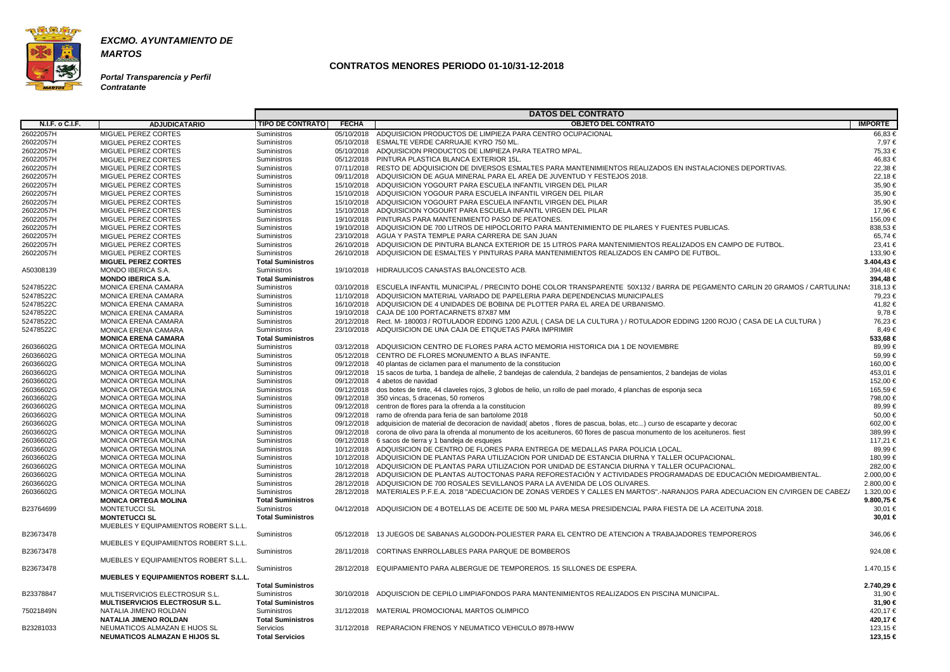

**MARTOS**

**Portal Transparencia y Perfil Contratante**

|                 |                                              |                          |              | <b>DATOS DEL CONTRATO</b>                                                                                                           |                |
|-----------------|----------------------------------------------|--------------------------|--------------|-------------------------------------------------------------------------------------------------------------------------------------|----------------|
| N.I.F. o C.I.F. | <b>ADJUDICATARIO</b>                         | <b>TIPO DE CONTRATO</b>  | <b>FECHA</b> | <b>OBJETO DEL CONTRATO</b>                                                                                                          | <b>IMPORTE</b> |
| 26022057H       | MIGUEL PEREZ CORTES                          | Suministros              |              | 05/10/2018 ADQUISICION PRODUCTOS DE LIMPIEZA PARA CENTRO OCUPACIONAL                                                                | 66,83 €        |
| 26022057H       | MIGUEL PEREZ CORTES                          | Suministros              |              | 05/10/2018 ESMALTE VERDE CARRUAJE KYRO 750 ML                                                                                       | 7,97 €         |
| 26022057H       | MIGUEL PEREZ CORTES                          | Suministros              |              | 05/10/2018 ADQUISICION PRODUCTOS DE LIMPIEZA PARA TEATRO MPAL.                                                                      | 75,33 €        |
| 26022057H       | MIGUEL PEREZ CORTES                          | Suministros              |              | 05/12/2018 PINTURA PLASTICA BLANCA EXTERIOR 15L.                                                                                    | 46,83 €        |
| 26022057H       | MIGUEL PEREZ CORTES                          | Suministros              |              | 07/11/2018 RESTO DE ADQUISICION DE DIVERSOS ESMALTES PARA MANTENIMIENTOS REALIZADOS EN INSTALACIONES DEPORTIVAS.                    | 22,38 €        |
| 26022057H       | MIGUEL PEREZ CORTES                          | Suministros              |              | 09/11/2018 ADQUISICION DE AGUA MINERAL PARA EL AREA DE JUVENTUD Y FESTEJOS 2018.                                                    | 22,18€         |
| 26022057H       | MIGUEL PEREZ CORTES                          | Suministros              |              | 15/10/2018 ADQUISICION YOGOURT PARA ESCUELA INFANTIL VIRGEN DEL PILAR                                                               | 35,90 €        |
| 26022057H       | MIGUEL PEREZ CORTES                          | Suministros              |              | 15/10/2018 ADQUISICION YOGOUR PARA ESCUELA INFANTIL VIRGEN DEL PILAR                                                                | 35,90 €        |
| 26022057H       | MIGUEL PEREZ CORTES                          | Suministros              |              | 15/10/2018 ADQUISICION YOGOURT PARA ESCUELA INFANTIL VIRGEN DEL PILAR                                                               | 35,90 €        |
| 26022057H       | MIGUEL PEREZ CORTES                          | Suministros              |              | 15/10/2018 ADQUISICION YOGOURT PARA ESCUELA INFANTIL VIRGEN DEL PILAR                                                               | 17,96 €        |
| 26022057H       | MIGUEL PEREZ CORTES                          | Suministros              |              | 19/10/2018 PINTURAS PARA MANTENIMIENTO PASO DE PEATONES.                                                                            | 156,09 €       |
| 26022057H       | MIGUEL PEREZ CORTES                          | Suministros              |              | 19/10/2018 ADQUISICION DE 700 LITROS DE HIPOCLORITO PARA MANTENIMIENTO DE PILARES Y FUENTES PUBLICAS.                               | 838,53 €       |
| 26022057H       | MIGUEL PEREZ CORTES                          | Suministros              |              | 23/10/2018 AGUA Y PASTA TEMPLE PARA CARRERA DE SAN JUAN                                                                             | 65,74 €        |
| 26022057H       | MIGUEL PEREZ CORTES                          | Suministros              |              | 26/10/2018 ADQUISICION DE PINTURA BLANCA EXTERIOR DE 15 LITROS PARA MANTENIMIENTOS REALIZADOS EN CAMPO DE FUTBOL.                   | 23,41 €        |
| 26022057H       | MIGUEL PEREZ CORTES                          | Suministros              | 26/10/2018   | ADQUISICION DE ESMALTES Y PINTURAS PARA MANTENIMIENTOS REALIZADOS EN CAMPO DE FUTBOL                                                | 133,90 €       |
|                 | <b>MIGUEL PEREZ CORTES</b>                   | <b>Total Suministros</b> |              |                                                                                                                                     | $3.404,43 \in$ |
| A50308139       | MONDO IBERICA S.A.                           | Suministros              |              | 19/10/2018 HIDRAULICOS CANASTAS BALONCESTO ACB.                                                                                     | 394,48€        |
|                 | <b>MONDO IBERICA S.A.</b>                    | <b>Total Suministros</b> |              |                                                                                                                                     | 394,48€        |
| 52478522C       | <b>MONICA ERENA CAMARA</b>                   | Suministros              |              | 03/10/2018 ESCUELA INFANTIL MUNICIPAL / PRECINTO DOHE COLOR TRANSPARENTE 50X132 / BARRA DE PEGAMENTO CARLIN 20 GRAMOS / CARTULINAS  | 318,13€        |
| 52478522C       | <b>MONICA ERENA CAMARA</b>                   | Suministros              |              | 11/10/2018 ADQUISICION MATERIAL VARIADO DE PAPELERIA PARA DEPENDENCIAS MUNICIPALES                                                  | 79,23 €        |
| 52478522C       | <b>MONICA ERENA CAMARA</b>                   | Suministros              |              | 16/10/2018 ADQUISICION DE 4 UNIDADES DE BOBINA DE PLOTTER PARA EL AREA DE URBANISMO.                                                | 41,82 €        |
| 52478522C       | <b>MONICA ERENA CAMARA</b>                   | Suministros              |              | 19/10/2018 CAJA DE 100 PORTACARNETS 87X87 MM                                                                                        | 9.78 €         |
| 52478522C       | <b>MONICA ERENA CAMARA</b>                   | Suministros              |              | 20/12/2018 Rect. M- 180003 / ROTULADOR EDDING 1200 AZUL (CASA DE LA CULTURA) / ROTULADOR EDDING 1200 ROJO (CASA DE LA CULTURA)      | 76,23 €        |
| 52478522C       | <b>MONICA ERENA CAMARA</b>                   | Suministros              | 23/10/2018   | ADQUISICION DE UNA CAJA DE ETIQUETAS PARA IMPRIMIR                                                                                  | 8,49€          |
|                 | <b>MONICA ERENA CAMARA</b>                   | <b>Total Suministros</b> |              |                                                                                                                                     | 533,68€        |
| 26036602G       | <b>MONICA ORTEGA MOLINA</b>                  | Suministros              |              | 03/12/2018 ADQUISICION CENTRO DE FLORES PARA ACTO MEMORIA HISTORICA DIA 1 DE NOVIEMBRE                                              | 89.99 €        |
| 26036602G       | MONICA ORTEGA MOLINA                         | Suministros              |              | 05/12/2018 CENTRO DE FLORES MONUMENTO A BLAS INFANTE.                                                                               | 59,99€         |
| 26036602G       | MONICA ORTEGA MOLINA                         | Suministros              |              | 09/12/2018 40 plantas de ciclamen para el manumento de la constitucion                                                              | 160,00 €       |
| 26036602G       | MONICA ORTEGA MOLINA                         | Suministros              |              | 09/12/2018 15 sacos de turba, 1 bandeja de alhelie, 2 bandejas de calendula, 2 bandejas de pensamientos, 2 bandejas de violas       | 453,01 €       |
| 26036602G       | MONICA ORTEGA MOLINA                         | Suministros              |              | 09/12/2018 4 abetos de navidad                                                                                                      | 152,00 €       |
| 26036602G       | MONICA ORTEGA MOLINA                         | Suministros              |              | 09/12/2018 dos botes de tinte, 44 claveles rojos, 3 globos de helio, un rollo de pael morado, 4 planchas de esponja seca            | 165,59€        |
| 26036602G       | MONICA ORTEGA MOLINA                         | Suministros              |              | 09/12/2018 350 vincas, 5 dracenas, 50 romeros                                                                                       | 798,00 €       |
| 26036602G       | MONICA ORTEGA MOLINA                         | Suministros              |              | 09/12/2018 centron de flores para la ofrenda a la constitucion                                                                      | 89.99 €        |
| 26036602G       | MONICA ORTEGA MOLINA                         | Suministros              | 09/12/2018   | ramo de ofrenda para feria de san bartolome 2018                                                                                    | 50,00 €        |
| 26036602G       | MONICA ORTEGA MOLINA                         | Suministros              |              | 09/12/2018 adquisicion de material de decoracion de navidad(abetos, flores de pascua, bolas, etc) curso de escaparte y decorac      | 602,00 €       |
| 26036602G       | MONICA ORTEGA MOLINA                         | Suministros              |              | 09/12/2018 corona de olivo para la ofrenda al monumento de los aceituneros, 60 flores de pascua monumento de los aceituneros. fiest | 389,99€        |
| 26036602G       | MONICA ORTEGA MOLINA                         | Suministros              |              | 09/12/2018 6 sacos de tierra y 1 bandeja de esquejes                                                                                | 117,21 €       |
| 26036602G       | <b>MONICA ORTEGA MOLINA</b>                  | Suministros              |              | 10/12/2018 ADQUISICION DE CENTRO DE FLORES PARA ENTREGA DE MEDALLAS PARA POLICIA LOCAL.                                             | 89,99€         |
| 26036602G       | MONICA ORTEGA MOLINA                         | Suministros              |              | 10/12/2018 ADQUISICION DE PLANTAS PARA UTILIZACION POR UNIDAD DE ESTANCIA DIURNA Y TALLER OCUPACIONAL.                              | 180,99 €       |
| 26036602G       | MONICA ORTEGA MOLINA                         | Suministros              |              | 10/12/2018 ADQUISICION DE PLANTAS PARA UTILIZACION POR UNIDAD DE ESTANCIA DIURNA Y TALLER OCUPACIONAL                               | 282,00 €       |
| 26036602G       | MONICA ORTEGA MOLINA                         | Suministros              |              | 28/12/2018 ADQUISICION DE PLANTAS AUTOCTONAS PARA REFORESTACIÓN Y ACTIVIDADES PROGRAMADAS DE EDUCACIÓN MEDIOAMBIENTAL.              | 2.000,00 €     |
| 26036602G       | <b>MONICA ORTEGA MOLINA</b>                  | Suministros              |              | 28/12/2018 ADQUISICION DE 700 ROSALES SEVILLANOS PARA LA AVENIDA DE LOS OLIVARES.                                                   | 2.800,00 €     |
| 26036602G       | MONICA ORTEGA MOLINA                         | Suministros              |              | 28/12/2018 MATERIALES P.F.E.A. 2018 "ADECUACION DE ZONAS VERDES Y CALLES EN MARTOS".-NARANJOS PARA ADECUACION EN C/VIRGEN DE CABEZ/ | 1.320,00 €     |
|                 | <b>MONICA ORTEGA MOLINA</b>                  | <b>Total Suministros</b> |              |                                                                                                                                     | 9.800,75 €     |
| B23764699       | <b>MONTETUCCI SL</b>                         | Suministros              |              | 04/12/2018 ADQUISICION DE 4 BOTELLAS DE ACEITE DE 500 ML PARA MESA PRESIDENCIAL PARA FIESTA DE LA ACEITUNA 2018.                    | 30,01 €        |
|                 | <b>MONTETUCCI SL</b>                         | <b>Total Suministros</b> |              |                                                                                                                                     | 30,01 €        |
|                 | MUEBLES Y EQUIPAMIENTOS ROBERT S.L.L.        |                          |              |                                                                                                                                     |                |
| B23673478       |                                              | Suministros              |              | 05/12/2018 13 JUEGOS DE SABANAS ALGODON-POLIESTER PARA EL CENTRO DE ATENCION A TRABAJADORES TEMPOREROS                              | 346,06 €       |
|                 | MUEBLES Y EQUIPAMIENTOS ROBERT S.L.L.        |                          |              |                                                                                                                                     |                |
| B23673478       |                                              | Suministros              |              | 28/11/2018 CORTINAS ENRROLLABLES PARA PARQUE DE BOMBEROS                                                                            | 924,08 €       |
|                 | MUEBLES Y EQUIPAMIENTOS ROBERT S.L.L.        |                          |              |                                                                                                                                     |                |
| B23673478       |                                              | Suministros              |              | 28/12/2018  EQUIPAMIENTO PARA ALBERGUE DE TEMPOREROS, 15 SILLONES DE ESPERA.                                                        | 1.470,15 €     |
|                 | <b>MUEBLES Y EQUIPAMIENTOS ROBERT S.L.L.</b> |                          |              |                                                                                                                                     |                |
|                 |                                              | <b>Total Suministros</b> |              |                                                                                                                                     | 2.740,29 €     |
| B23378847       | MULTISERVICIOS ELECTROSUR S.L.               | Suministros              |              | 30/10/2018 ADQUISCION DE CEPILO LIMPIAFONDOS PARA MANTENIMIENTOS REALIZADOS EN PISCINA MUNICIPAL.                                   | 31,90 €        |
|                 | <b>MULTISERVICIOS ELECTROSUR S.L.</b>        | <b>Total Suministros</b> |              |                                                                                                                                     | 31,90 €        |
| 75021849N       | NATALIA JIMENO ROLDAN                        | Suministros              |              | 31/12/2018 MATERIAL PROMOCIONAL MARTOS OLIMPICO                                                                                     | 420,17€        |
|                 | <b>NATALIA JIMENO ROLDAN</b>                 | <b>Total Suministros</b> |              |                                                                                                                                     | 420,17 €       |
| B23281033       | NEUMATICOS ALMAZAN E HIJOS SL                | Servicios                |              | 31/12/2018 REPARACION FRENOS Y NEUMATICO VEHICULO 8978-HWW                                                                          | 123,15 €       |
|                 | <b>NEUMATICOS ALMAZAN E HIJOS SL</b>         | <b>Total Servicios</b>   |              |                                                                                                                                     | 123,15 €       |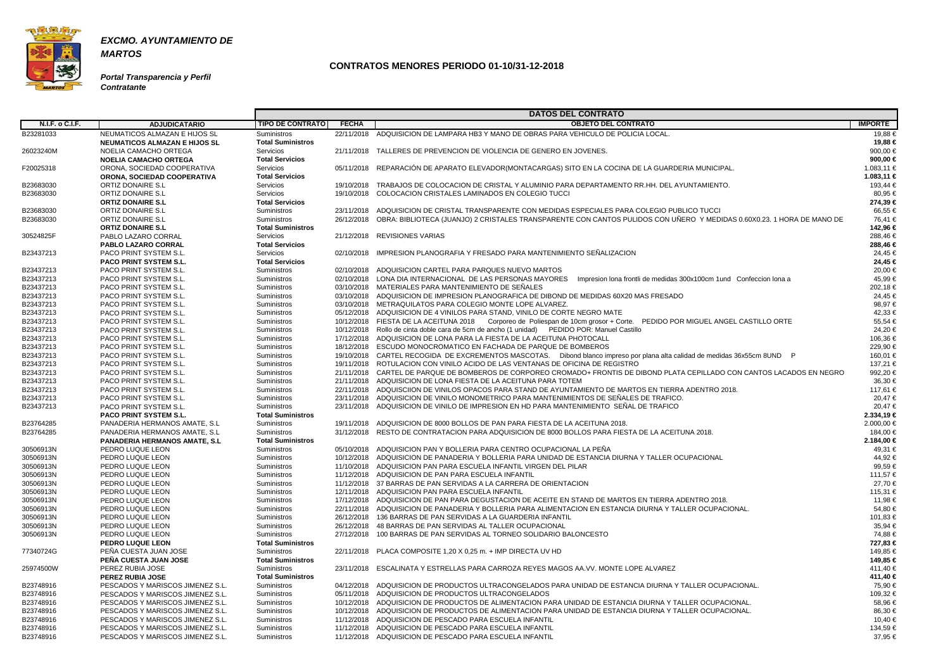

**Portal Transparencia y Perfil Contratante**

|                        |                                       |                            |              | <b>DATOS DEL CONTRATO</b>                                                                                                         |                     |
|------------------------|---------------------------------------|----------------------------|--------------|-----------------------------------------------------------------------------------------------------------------------------------|---------------------|
| N.I.F. o C.I.F.        | <b>ADJUDICATARIO</b>                  | <b>TIPO DE CONTRATO</b>    | <b>FECHA</b> | <b>OBJETO DEL CONTRATO</b>                                                                                                        | <b>IMPORTE</b>      |
| B23281033              | NEUMATICOS ALMAZAN E HIJOS SL         | Suministros                |              | 22/11/2018 ADQUISICION DE LAMPARA HB3 Y MANO DE OBRAS PARA VEHICULO DE POLICIA LOCAL                                              | 19,88 €             |
|                        | <b>NEUMATICOS ALMAZAN E HIJOS SL</b>  | <b>Total Suministros</b>   |              |                                                                                                                                   | 19,88 €             |
| 26023240M              | NOELIA CAMACHO ORTEGA                 | Servicios                  |              | 21/11/2018 TALLERES DE PREVENCION DE VIOLENCIA DE GENERO EN JOVENES.                                                              | 900,00 €            |
|                        | <b>NOELIA CAMACHO ORTEGA</b>          | <b>Total Servicios</b>     |              |                                                                                                                                   | 900,00 €            |
| F20025318              | ORONA, SOCIEDAD COOPERATIVA           | Servicios                  |              | 05/11/2018 REPARACIÓN DE APARATO ELEVADOR(MONTACARGAS) SITO EN LA COCINA DE LA GUARDERIA MUNICIPAL.                               | 1.083,11 €          |
|                        | ORONA, SOCIEDAD COOPERATIVA           | <b>Total Servicios</b>     |              |                                                                                                                                   | 1.083,11 €          |
| B23683030              | <b>ORTIZ DONAIRE S.L</b>              | Servicios                  |              | 19/10/2018 TRABAJOS DE COLOCACION DE CRISTAL Y ALUMINIO PARA DEPARTAMENTO RR.HH. DEL AYUNTAMIENTO.                                | 193,44 €            |
| B23683030              | ORTIZ DONAIRE S.L                     | Servicios                  |              | 19/10/2018 COLOCACION CRISTALES LAMINADOS EN COLEGIO TUCCI                                                                        | 80,95 €             |
|                        | <b>ORTIZ DONAIRE S.L</b>              | <b>Total Servicios</b>     |              |                                                                                                                                   | 274,39 €            |
| B23683030              | <b>ORTIZ DONAIRE S.L</b>              | Suministros                |              | 23/11/2018 ADQUISICION DE CRISTAL TRANSPARENTE CON MEDIDAS ESPECIALES PARA COLEGIO PUBLICO TUCCI                                  | 66,55 €             |
| B23683030              | ORTIZ DONAIRE S.L                     | Suministros                |              | 26/12/2018 OBRA: BIBLIOTECA (JUANJO) 2 CRISTALES TRANSPARENTE CON CANTOS PULIDOS CON UÑERO Y MEDIDAS 0.60X0.23. 1 HORA DE MANO DE | 76.41 €             |
|                        | <b>ORTIZ DONAIRE S.L</b>              | <b>Total Suministros</b>   |              |                                                                                                                                   | 142,96 €            |
| 30524825F              | PABLO LAZARO CORRAL                   | Servicios                  |              | 21/12/2018 REVISIONES VARIAS                                                                                                      | 288,46€             |
|                        | PABLO LAZARO CORRAL                   | <b>Total Servicios</b>     |              |                                                                                                                                   | 288,46 €            |
| B23437213              | PACO PRINT SYSTEM S.L.                | Servicios                  |              | 02/10/2018 IMPRESION PLANOGRAFIA Y FRESADO PARA MANTENIMIENTO SEÑALIZACION                                                        | 24,45 €             |
|                        | PACO PRINT SYSTEM S.L.                | <b>Total Servicios</b>     |              |                                                                                                                                   | 24,45 €             |
| B23437213              | PACO PRINT SYSTEM S.L.                | Suministros                |              | 02/10/2018 ADQUISICION CARTEL PARA PARQUES NUEVO MARTOS                                                                           | 20,00 €             |
| B23437213              | PACO PRINT SYSTEM S.L.                | Suministros                |              | 02/10/2018 LONA DIA INTERNACIONAL DE LAS PERSONAS MAYORES Impresion lona frontli de medidas 300x100cm 1und Confeccion lona a      | 45,99€              |
| B23437213              | PACO PRINT SYSTEM S.L.                | Suministros                |              | 03/10/2018 MATERIALES PARA MANTENIMIENTO DE SEÑALES                                                                               | 202,18€             |
| B23437213              | PACO PRINT SYSTEM S.L.                | Suministros                |              | 03/10/2018 ADQUISICION DE IMPRESION PLANOGRAFICA DE DIBOND DE MEDIDAS 60X20 MAS FRESADO                                           | 24.45 €             |
| B23437213              | PACO PRINT SYSTEM S.L.                | Suministros                |              | 03/10/2018 METRAQUILATOS PARA COLEGIO MONTE LOPE ALVAREZ.                                                                         | 98,97 €             |
| B23437213              | PACO PRINT SYSTEM S.L.                | Suministros                |              | 05/12/2018 ADQUISICION DE 4 VINILOS PARA STAND, VINILO DE CORTE NEGRO MATE                                                        | 42,33 €             |
| B23437213              | PACO PRINT SYSTEM S.L.                | Suministros                |              | 10/12/2018 FIESTA DE LA ACEITUNA 2018 Corporeo de Poliespan de 10cm grosor + Corte. PEDIDO POR MIGUEL ANGEL CASTILLO ORTE         | 55,54 €             |
| B23437213              | PACO PRINT SYSTEM S.L.                | Suministros                |              | 10/12/2018 Rollo de cinta doble cara de 5cm de ancho (1 unidad) PEDIDO POR: Manuel Castillo                                       | 24,20€              |
| B23437213              | PACO PRINT SYSTEM S.L.                | Suministros                |              | 17/12/2018 ADQUISICION DE LONA PARA LA FIESTA DE LA ACEITUNA PHOTOCALL                                                            | 106,36 €            |
| B23437213              | PACO PRINT SYSTEM S.L.                | Suministros                |              | 18/12/2018 ESCUDO MONOCROMATICO EN FACHADA DE PARQUE DE BOMBEROS                                                                  | 229,90 €            |
| B23437213              | PACO PRINT SYSTEM S.L.                | Suministros                |              | 19/10/2018 CARTEL RECOGIDA DE EXCREMENTOS MASCOTAS. Dibond blanco impreso por plana alta calidad de medidas 36x55cm 8UND P        | 160,01 €            |
| B23437213              | PACO PRINT SYSTEM S.L.                | Suministros                |              | 19/11/2018 ROTULACION CON VINILO ACIDO DE LAS VENTANAS DE OFICINA DE REGISTRO                                                     | 137,21 €            |
| B23437213              | PACO PRINT SYSTEM S.L.                | Suministros                |              | 21/11/2018 CARTEL DE PARQUE DE BOMBEROS DE CORPOREO CROMADO+ FRONTIS DE DIBOND PLATA CEPILLADO CON CANTOS LACADOS EN NEGRO        | 992,20€             |
| B23437213              | PACO PRINT SYSTEM S.L.                | Suministros                |              | 21/11/2018 ADQUISICION DE LONA FIESTA DE LA ACEITUNA PARA TOTEM                                                                   | 36,30 €             |
| B23437213              | PACO PRINT SYSTEM S.L.                | Suministros                |              | 22/11/2018 ADQUISCIION DE VINILOS OPACOS PARA STAND DE AYUNTAMIENTO DE MARTOS EN TIERRA ADENTRO 2018.                             | 117,61 €            |
| B23437213              | PACO PRINT SYSTEM S.L.                | Suministros                |              | 23/11/2018 ADQUISICION DE VINILO MONOMETRICO PARA MANTENIMIENTOS DE SEÑALES DE TRAFICO.                                           | 20.47€              |
| B23437213              | PACO PRINT SYSTEM S.L.                | <b>Suministros</b>         |              | 23/11/2018 ADQUISICION DE VINILO DE IMPRESION EN HD PARA MANTENIMIENTO SEÑAL DE TRAFICO                                           | 20,47€              |
|                        | <b>PACO PRINT SYSTEM S.L.</b>         | <b>Total Suministros</b>   |              |                                                                                                                                   | 2.334,19 €          |
| B23764285              | PANADERIA HERMANOS AMATE, S.L.        | Suministros                |              | 19/11/2018 ADQUISICION DE 8000 BOLLOS DE PAN PARA FIESTA DE LA ACEITUNA 2018.                                                     | 2.000,00 €          |
| B23764285              | PANADERIA HERMANOS AMATE, S.L.        | Suministros                |              | 31/12/2018 RESTO DE CONTRATACION PARA ADQUISICION DE 8000 BOLLOS PARA FIESTA DE LA ACEITUNA 2018.                                 | 184,00 €            |
|                        | <b>PANADERIA HERMANOS AMATE, S.L.</b> | <b>Total Suministros</b>   |              |                                                                                                                                   | 2.184,00 €          |
| 30506913N              | PEDRO LUQUE LEON                      | Suministros                |              | 05/10/2018 ADQUISICION PAN Y BOLLERIA PARA CENTRO OCUPACIONAL LA PEÑA                                                             | 49,31 €             |
| 30506913N              | PEDRO LUQUE LEON                      | Suministros                |              | 10/12/2018 ADQUISICION DE PANADERIA Y BOLLERIA PARA UNIDAD DE ESTANCIA DIURNA Y TALLER OCUPACIONAL                                | 44,92 €             |
|                        | PEDRO LUQUE LEON                      | Suministros                |              |                                                                                                                                   | 99,59€              |
| 30506913N<br>30506913N | PEDRO LUQUE LEON                      |                            |              | 11/10/2018 ADQUISICION PAN PARA ESCUELA INFANTIL VIRGEN DEL PILAR<br>11/12/2018 ADQUISICION DE PAN PARA ESCUELA INFANTIL          | 111,57 €            |
| 30506913N              |                                       | Suministros                |              | 11/12/2018 37 BARRAS DE PAN SERVIDAS A LA CARRERA DE ORIENTACION                                                                  |                     |
|                        | PEDRO LUQUE LEON<br>PEDRO LUQUE LEON  | Suministros<br>Suministros |              | 12/11/2018 ADQUISICION PAN PARA ESCUELA INFANTIL                                                                                  | 27,70 €<br>115,31 € |
| 30506913N              |                                       |                            |              | 17/12/2018 ADQUISICION DE PAN PARA DEGUSTACION DE ACEITE EN STAND DE MARTOS EN TIERRA ADENTRO 2018.                               | 11,98 €             |
| 30506913N              | PEDRO LUQUE LEON                      | Suministros                |              |                                                                                                                                   |                     |
| 30506913N              | PEDRO LUQUE LEON                      | Suministros                |              | 22/11/2018 ADQUISICION DE PANADERIA Y BOLLERIA PARA ALIMENTACION EN ESTANCIA DIURNA Y TALLER OCUPACIONAL.                         | 54,80 €             |
| 30506913N              | PEDRO LUQUE LEON                      | Suministros                |              | 26/12/2018 136 BARRAS DE PAN SERVIDAS A LA GUARDERIA INFANTIL                                                                     | 101,83 €            |
| 30506913N              | PEDRO LUQUE LEON                      | Suministros                |              | 26/12/2018 48 BARRAS DE PAN SERVIDAS AL TALLER OCUPACIONAL                                                                        | 35,94 €             |
| 30506913N              | PEDRO LUQUE LEON                      | Suministros                |              | 27/12/2018 100 BARRAS DE PAN SERVIDAS AL TORNEO SOLIDARIO BALONCESTO                                                              | 74,88 €             |
|                        | <b>PEDRO LUQUE LEON</b>               | <b>Total Suministros</b>   |              |                                                                                                                                   | 727,83 €            |
| 77340724G              | PEÑA CUESTA JUAN JOSE                 | Suministros                |              | 22/11/2018 PLACA COMPOSITE 1.20 X 0.25 m, + IMP DIRECTA UV HD                                                                     | 149,85 €            |
|                        | PEÑA CUESTA JUAN JOSE                 | <b>Total Suministros</b>   |              |                                                                                                                                   | 149,85 €            |
| 25974500W              | PEREZ RUBIA JOSE                      | <b>Suministros</b>         |              | 23/11/2018  ESCALINATA Y ESTRELLAS PARA CARROZA REYES MAGOS AA.VV. MONTE LOPE ALVAREZ                                             | 411,40 €            |
|                        | <b>PEREZ RUBIA JOSE</b>               | <b>Total Suministros</b>   |              |                                                                                                                                   | 411,40 €            |
| B23748916              | PESCADOS Y MARISCOS JIMENEZ S.L.      | Suministros                |              | 04/12/2018 ADQUISICION DE PRODUCTOS ULTRACONGELADOS PARA UNIDAD DE ESTANCIA DIURNA Y TALLER OCUPACIONAL.                          | 75,90 €             |
| B23748916              | PESCADOS Y MARISCOS JIMENEZ S.L.      | Suministros                |              | 05/11/2018 ADQUISICION DE PRODUCTOS ULTRACONGELADOS                                                                               | 109,32 €            |
| B23748916              | PESCADOS Y MARISCOS JIMENEZ S.L.      | Suministros                |              | 10/12/2018 ADQUISICION DE PRODUCTOS DE ALIMENTACION PARA UNIDAD DE ESTANCIA DIURNA Y TALLER OCUPACIONAL.                          | 58,96 €             |
| B23748916              | PESCADOS Y MARISCOS JIMENEZ S.L.      | Suministros                |              | 10/12/2018 ADQUISICION DE PRODUCTOS DE ALIMENTACION PARA UNIDAD DE ESTANCIA DIURNA Y TALLER OCUPACIONAL.                          | 86,30 €             |
| B23748916              | PESCADOS Y MARISCOS JIMENEZ S.L.      | Suministros                |              | 11/12/2018 ADQUISICION DE PESCADO PARA ESCUELA INFANTIL                                                                           | 10,40 €             |
| B23748916              | PESCADOS Y MARISCOS JIMENEZ S.L.      | Suministros                |              | 11/12/2018 ADQUISICION DE PESCADO PARA ESCUELA INFANTIL                                                                           | 134,59€             |
| B23748916              | PESCADOS Y MARISCOS JIMENEZ S.L.      | Suministros                |              | 11/12/2018 ADQUISICION DE PESCADO PARA ESCUELA INFANTIL                                                                           | 37,95 €             |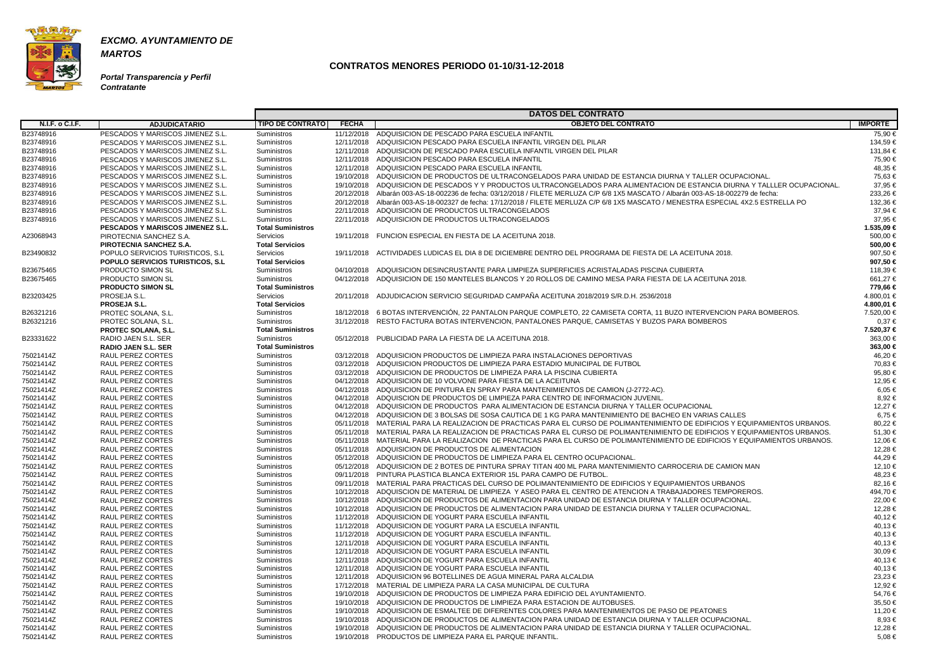

**MARTOS**

**Portal Transparencia y Perfil Contratante**

|                        |                                          | <b>DATOS DEL CONTRATO</b> |              |                                                                                                                                    |                |  |  |
|------------------------|------------------------------------------|---------------------------|--------------|------------------------------------------------------------------------------------------------------------------------------------|----------------|--|--|
| <b>N.I.F. o C.I.F.</b> | <b>ADJUDICATARIO</b>                     | <b>TIPO DE CONTRATO</b>   | <b>FECHA</b> | <b>OBJETO DEL CONTRATO</b>                                                                                                         | <b>IMPORTE</b> |  |  |
| B23748916              | PESCADOS Y MARISCOS JIMENEZ S.L.         | Suministros               |              | 11/12/2018 ADQUISICION DE PESCADO PARA ESCUELA INFANTIL                                                                            | 75,90 €        |  |  |
| B23748916              | PESCADOS Y MARISCOS JIMENEZ S.L.         | Suministros               |              | 12/11/2018 ADQUISICION PESCADO PARA ESCUELA INFANTIL VIRGEN DEL PILAR                                                              | 134,59€        |  |  |
| B23748916              | PESCADOS Y MARISCOS JIMENEZ S.L.         | Suministros               |              | 12/11/2018 ADQUISICION DE PESCADO PARA ESCUELA INFANTIL VIRGEN DEL PILAR                                                           | 131,84 €       |  |  |
| B23748916              | PESCADOS Y MARISCOS JIMENEZ S.L.         | Suministros               |              | 12/11/2018 ADQUISICION PESCADO PARA ESCUELA INFANTIL                                                                               | 75,90 €        |  |  |
| B23748916              | PESCADOS Y MARISCOS JIMENEZ S.L.         | Suministros               |              | 12/11/2018 ADQUISICION PESCADO PARA ESCUELA INFANTIL                                                                               | 48,35 €        |  |  |
| B23748916              | PESCADOS Y MARISCOS JIMENEZ S.L.         | Suministros               |              | 19/10/2018 ADQUISICION DE PRODUCTOS DE ULTRACONGELADOS PARA UNIDAD DE ESTANCIA DIURNA Y TALLER OCUPACIONAL                         | 75,63 €        |  |  |
| B23748916              | PESCADOS Y MARISCOS JIMENEZ S.L.         | Suministros               |              | 19/10/2018 ADQUISICION DE PESCADOS Y Y PRODUCTOS ULTRACONGELADOS PARA ALIMENTACION DE ESTANCIA DIURNA Y TALLLER OCUPACIONAL.       | 37,95 €        |  |  |
| B23748916              | PESCADOS Y MARISCOS JIMENEZ S.L.         | Suministros               |              | 20/12/2018 Albarán 003-AS-18-002236 de fecha: 03/12/2018 / FILETE MERLUZA C/P 6/8 1X5 MASCATO / Albarán 003-AS-18-002279 de fecha: | 233,26€        |  |  |
| B23748916              | PESCADOS Y MARISCOS JIMENEZ S.L.         | Suministros               | 20/12/2018   | Albarán 003-AS-18-002327 de fecha: 17/12/2018 / FILETE MERLUZA C/P 6/8 1X5 MASCATO / MENESTRA ESPECIAL 4X2.5 ESTRELLA PO           | 132,36 €       |  |  |
| B23748916              | PESCADOS Y MARISCOS JIMENEZ S.L.         | Suministros               | 22/11/2018   | ADQUISICION DE PRODUCTOS ULTRACONGELADOS                                                                                           | 37,94 €        |  |  |
| B23748916              | PESCADOS Y MARISCOS JIMENEZ S.L.         | Suministros               | 22/11/2018   | ADQUISICION DE PRODUCTOS ULTRACONGELADOS                                                                                           | 37,95 €        |  |  |
|                        | PESCADOS Y MARISCOS JIMENEZ S.L.         | <b>Total Suministros</b>  |              |                                                                                                                                    | 1.535,09 €     |  |  |
| A23068943              | PIROTECNIA SANCHEZ S.A.                  | Servicios                 |              | 19/11/2018 FUNCION ESPECIAL EN FIESTA DE LA ACEITUNA 2018.                                                                         | 500,00 €       |  |  |
|                        | PIROTECNIA SANCHEZ S.A.                  | <b>Total Servicios</b>    |              |                                                                                                                                    | 500,00 €       |  |  |
| B23490832              | POPULO SERVICIOS TURISTICOS, S.L.        | Servicios                 | 19/11/2018   | ACTIVIDADES LUDICAS EL DIA 8 DE DICIEMBRE DENTRO DEL PROGRAMA DE FIESTA DE LA ACEITUNA 2018.                                       | 907,50 €       |  |  |
|                        | <b>POPULO SERVICIOS TURISTICOS, S.L.</b> | <b>Total Servicios</b>    |              |                                                                                                                                    | 907,50 €       |  |  |
| B23675465              | PRODUCTO SIMON SL                        | <b>Suministros</b>        |              | 04/10/2018 ADQUISICION DESINCRUSTANTE PARA LIMPIEZA SUPERFICIES ACRISTALADAS PISCINA CUBIERTA                                      | 118,39 €       |  |  |
| B23675465              | PRODUCTO SIMON SL                        | <b>Suministros</b>        |              | 04/12/2018 ADQUISICION DE 150 MANTELES BLANCOS Y 20 ROLLOS DE CAMINO MESA PARA FIESTA DE LA ACEITUNA 2018.                         | 661,27 €       |  |  |
|                        | <b>PRODUCTO SIMON SL</b>                 | <b>Total Suministros</b>  |              |                                                                                                                                    | 779,66 €       |  |  |
| B23203425              | PROSEJA S.L.                             | Servicios                 |              | 20/11/2018 ADJUDICACION SERVICIO SEGURIDAD CAMPAÑA ACEITUNA 2018/2019 S/R.D.H. 2536/2018                                           | 4.800,01 €     |  |  |
|                        | PROSEJA S.L.                             | <b>Total Servicios</b>    |              |                                                                                                                                    | 4.800,01 €     |  |  |
| B26321216              | PROTEC SOLANA, S.L.                      | Suministros               |              | 18/12/2018 6 BOTAS INTERVENCIÓN, 22 PANTALON PARQUE COMPLETO, 22 CAMISETA CORTA, 11 BUZO INTERVENCION PARA BOMBEROS.               | 7.520,00 €     |  |  |
| B26321216              | PROTEC SOLANA, S.L.                      | <b>Suministros</b>        |              | 31/12/2018 RESTO FACTURA BOTAS INTERVENCION, PANTALONES PARQUE, CAMISETAS Y BUZOS PARA BOMBEROS                                    | $0,37 \in$     |  |  |
|                        | <b>PROTEC SOLANA, S.L.</b>               | <b>Total Suministros</b>  |              |                                                                                                                                    | 7.520,37 €     |  |  |
| B23331622              | RADIO JAEN S.L. SER                      | Suministros               | 05/12/2018   | PUBLICIDAD PARA LA FIESTA DE LA ACEITUNA 2018.                                                                                     | 363,00 €       |  |  |
|                        | <b>RADIO JAEN S.L. SER</b>               | <b>Total Suministros</b>  |              |                                                                                                                                    | 363,00 €       |  |  |
| 75021414Z              | RAUL PEREZ CORTES                        | Suministros               |              | 03/12/2018 ADQUISICION PRODUCTOS DE LIMPIEZA PARA INSTALACIONES DEPORTIVAS                                                         | 46,20€         |  |  |
| 75021414Z              | RAUL PEREZ CORTES                        | Suministros               |              | 03/12/2018 ADQUISICION PRODUCTOS DE LIMPIEZA PARA ESTADIO MUNICIPAL DE FUTBOL                                                      | 70,83 €        |  |  |
| 75021414Z              | RAUL PEREZ CORTES                        | Suministros               |              | 03/12/2018 ADQUISICION DE PRODUCTOS DE LIMPIEZA PARA LA PISCINA CUBIERTA                                                           | 95,80 €        |  |  |
| 75021414Z              | RAUL PEREZ CORTES                        | Suministros               |              | 04/12/2018 ADQUISICION DE 10 VOLVONE PARA FIESTA DE LA ACEITUNA                                                                    | 12,95 €        |  |  |
| 75021414Z              | RAUL PEREZ CORTES                        | Suministros               |              | 04/12/2018 ADQUISICION DE PINTURA EN SPRAY PARA MANTENIMIENTOS DE CAMION (J-2772-AC).                                              | $6,05 \in$     |  |  |
| 75021414Z              | <b>RAUL PEREZ CORTES</b>                 | Suministros               |              | 04/12/2018 ADQUISCION DE PRODUCTOS DE LIMPIEZA PARA CENTRO DE INFORMACION JUVENIL                                                  | 8,92€          |  |  |
| 75021414Z              | RAUL PEREZ CORTES                        | Suministros               |              | 04/12/2018 ADQUISICION DE PRODUCTOS PARA ALIMENTACION DE ESTANCIA DIURNA Y TALLER OCUPACIONAL                                      | 12,27 €        |  |  |
| 75021414Z              | RAUL PEREZ CORTES                        | Suministros               | 04/12/2018   | ADQUISICION DE 3 BOLSAS DE SOSA CAUTICA DE 1 KG PARA MANTENIMIENTO DE BACHEO EN VARIAS CALLES                                      | 6,75 €         |  |  |
| 75021414Z              | <b>RAUL PEREZ CORTES</b>                 | <b>Suministros</b>        |              | 05/11/2018 MATERIAL PARA LA REALIZACION DE PRACTICAS PARA EL CURSO DE POLIMANTENIMIENTO DE EDIFICIOS Y EQUIPAMIENTOS URBANOS.      | 80,22€         |  |  |
| 75021414Z              | RAUL PEREZ CORTES                        | Suministros               |              | 05/11/2018 MATERIAL PARA LA REALIZACION DE PRACTICAS PARA EL CURSO DE POLIMANTENIMIENTO DE EDIFICIOS Y EQUIPAMIENTOS URBANOS.      | 51,30 €        |  |  |
| 75021414Z              | RAUL PEREZ CORTES                        | Suministros               |              | 05/11/2018 MATERIAL PARA LA REALIZACION DE PRACTICAS PARA EL CURSO DE POLIMANTENIMIENTO DE EDIFICIOS Y EQUIPAMIENTOS URBANOS.      | 12,06 €        |  |  |
| 75021414Z              | <b>RAUL PEREZ CORTES</b>                 | Suministros               |              | 05/11/2018 ADQUISICION DE PRODUCTOS DE ALIMENTACION                                                                                | 12,28 €        |  |  |
| 75021414Z              | RAUL PEREZ CORTES                        | <b>Suministros</b>        |              | 05/12/2018 ADQUISICION DE PRODUCTOS DE LIMPIEZA PARA EL CENTRO OCUPACIONAL.                                                        | 44,29€         |  |  |
| 75021414Z              | RAUL PEREZ CORTES                        | Suministros               |              | 05/12/2018 ADQUISICION DE 2 BOTES DE PINTURA SPRAY TITAN 400 ML PARA MANTENIMIENTO CARROCERIA DE CAMION MAN                        | 12,10 €        |  |  |
| 75021414Z              | RAUL PEREZ CORTES                        | Suministros               |              | 09/11/2018 PINTURA PLASTICA BLANCA EXTERIOR 15L PARA CAMPO DE FUTBOL.                                                              | 48,23 €        |  |  |
| 75021414Z              | <b>RAUL PEREZ CORTES</b>                 | Suministros               |              | 09/11/2018 MATERIAL PARA PRACTICAS DEL CURSO DE POLIMANTENIMIENTO DE EDIFICIOS Y EQUIPAMIENTOS URBANOS                             | 82,16€         |  |  |
| 75021414Z              | RAUL PEREZ CORTES                        | Suministros               |              | 10/12/2018 ADQUISCION DE MATERIAL DE LIMPIEZA Y ASEO PARA EL CENTRO DE ATENCION A TRABAJADORES TEMPOREROS.                         | 494,70 €       |  |  |
| 75021414Z              | RAUL PEREZ CORTES                        | Suministros               |              | 10/12/2018 ADQUISICION DE PRODUCTOS DE ALIMENTACION PARA UNIDAD DE ESTANCIA DIURNA Y TALLER OCUPACIONAL.                           | 22,00 €        |  |  |
| 75021414Z              | RAUL PEREZ CORTES                        | Suministros               |              | 10/12/2018 ADQUISICION DE PRODUCTOS DE ALIMENTACION PARA UNIDAD DE ESTANCIA DIURNA Y TALLER OCUPACIONAL.                           | 12,28 €        |  |  |
| 75021414Z              | RAUL PEREZ CORTES                        | Suministros               |              | 11/12/2018 ADQUISICION DE YOGURT PARA ESCUELA INFANTIL                                                                             | 40,12 €        |  |  |
| 75021414Z              | RAUL PEREZ CORTES                        | Suministros               |              | 11/12/2018 ADQUISICION DE YOGURT PARA LA ESCUELA INFANTIL                                                                          | 40,13 €        |  |  |
| 75021414Z              | RAUL PEREZ CORTES                        | Suministros               |              | 11/12/2018 ADQUISICION DE YOGURT PARA ESCUELA INFANTIL.                                                                            | 40,13 €        |  |  |
| 75021414Z              | RAUL PEREZ CORTES                        | Suministros               |              | 12/11/2018 ADQUISICION DE YOGURT PARA ESCUELA INFANTIL                                                                             | 40,13 €        |  |  |
| 75021414Z              | RAUL PEREZ CORTES                        | Suministros               |              | 12/11/2018 ADQUISICION DE YOGURT PARA ESCUELA INFANTIL                                                                             | 30,09 €        |  |  |
| 75021414Z              | RAUL PEREZ CORTES                        | <b>Suministros</b>        |              | 12/11/2018 ADQUISICION DE YOGURT PARA ESCUELA INFANTIL                                                                             | 40,13 €        |  |  |
| 75021414Z              | RAUL PEREZ CORTES                        | Suministros               |              | 12/11/2018 ADQUISICION DE YOGURT PARA ESCUELA INFANTIL                                                                             | 40,13 €        |  |  |
| 75021414Z              | RAUL PEREZ CORTES                        | Suministros               |              | 12/11/2018 ADQUISICION 96 BOTELLINES DE AGUA MINERAL PARA ALCALDIA                                                                 | 23,23 €        |  |  |
| 75021414Z              | RAUL PEREZ CORTES                        | Suministros               |              | 17/12/2018 MATERIAL DE LIMPIEZA PARA LA CASA MUNICIPAL DE CULTURA                                                                  | 12,92 €        |  |  |
| 75021414Z              | RAUL PEREZ CORTES                        | Suministros               |              | 19/10/2018 ADQUISICION DE PRODUCTOS DE LIMPIEZA PARA EDIFICIO DEL AYUNTAMIENTO.                                                    | 54,76 €        |  |  |
| 75021414Z              | RAUL PEREZ CORTES                        | Suministros               |              | 19/10/2018 ADQUISICION DE PRODUCTOS DE LIMPIEZA PARA ESTACION DE AUTOBUSES.                                                        | 35,50 €        |  |  |
| 75021414Z              | RAUL PEREZ CORTES                        | Suministros               |              | 19/10/2018 ADQUISICION DE ESMALTEE DE DIFERENTES COLORES PARA MANTENIMIENTOS DE PASO DE PEATONES                                   | 11,20 €        |  |  |
| 75021414Z              | RAUL PEREZ CORTES                        | Suministros               |              | 19/10/2018 ADQUISICION DE PRODUCTOS DE ALIMENTACION PARA UNIDAD DE ESTANCIA DIURNA Y TALLER OCUPACIONAL.                           | 8,93 €         |  |  |
| 75021414Z              | RAUL PEREZ CORTES                        | <b>Suministros</b>        |              | 19/10/2018 ADQUISICION DE PRODUCTOS DE ALIMENTACION PARA UNIDAD DE ESTANCIA DIURNA Y TALLER OCUPACIONAL.                           | 12,28 €        |  |  |
| 75021414Z              | RAUL PEREZ CORTES                        | Suministros               |              | 19/10/2018 PRODUCTOS DE LIMPIEZA PARA EL PARQUE INFANTIL.                                                                          | 5,08 €         |  |  |
|                        |                                          |                           |              |                                                                                                                                    |                |  |  |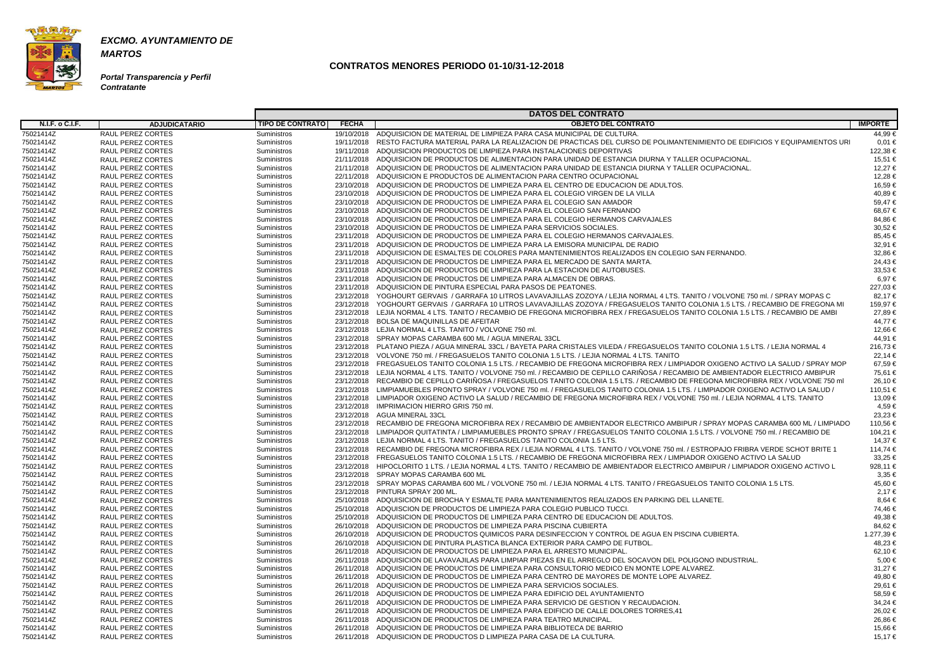

**MARTOS**

**Portal Transparencia y Perfil Contratante**

|                        |                          |                         |              | <b>DATOS DEL CONTRATO</b>                                                                                                           |                |
|------------------------|--------------------------|-------------------------|--------------|-------------------------------------------------------------------------------------------------------------------------------------|----------------|
| <b>N.I.F. o C.I.F.</b> | <b>ADJUDICATARIO</b>     | <b>TIPO DE CONTRATO</b> | <b>FECHA</b> | <b>OBJETO DEL CONTRATO</b>                                                                                                          | <b>IMPORTE</b> |
| 75021414Z              | RAUL PEREZ CORTES        | Suministros             |              | 19/10/2018 ADQUISICION DE MATERIAL DE LIMPIEZA PARA CASA MUNICIPAL DE CULTURA.                                                      | 44,99€         |
| 75021414Z              | RAUL PEREZ CORTES        | <b>Suministros</b>      |              | 19/11/2018 RESTO FACTURA MATERIAL PARA LA REALIZACION DE PRACTICAS DEL CURSO DE POLIMANTENIMIENTO DE EDIFICIOS Y EQUIPAMIENTOS URI  | $0,01 \in$     |
| 75021414Z              | <b>RAUL PEREZ CORTES</b> | <b>Suministros</b>      |              | 19/11/2018 ADQUISICION PRODUCTOS DE LIMPIEZA PARA INSTALACIONES DEPORTIVAS                                                          | 122,38 €       |
| 75021414Z              | RAUL PEREZ CORTES        | Suministros             |              | 21/11/2018 ADQUISICION DE PRODUCTOS DE ALIMENTACION PARA UNIDAD DE ESTANCIA DIURNA Y TALLER OCUPACIONAL.                            | 15,51 €        |
| 75021414Z              | RAUL PEREZ CORTES        | Suministros             | 21/11/2018   | ADQUISICION DE PRODUCTOS DE ALIMENTACION PARA UNIDAD DE ESTANCIA DIURNA Y TALLER OCUPACIONAL.                                       | 12,27€         |
| 75021414Z              | RAUL PEREZ CORTES        | <b>Suministros</b>      | 22/11/2018   | ADQUISICION E PRODUCTOS DE ALIMENTACION PARA CENTRO OCUPACIONAL                                                                     | 12,28 €        |
| 75021414Z              | RAUL PEREZ CORTES        | <b>Suministros</b>      |              | 23/10/2018 ADQUISICION DE PRODUCTOS DE LIMPIEZA PARA EL CENTRO DE EDUCACION DE ADULTOS.                                             | 16,59€         |
| 75021414Z              | RAUL PEREZ CORTES        | <b>Suministros</b>      |              | 23/10/2018 ADQUISICION DE PRODUCTOS DE LIMPIEZA PARA EL COLEGIO VIRGEN DE LA VILLA                                                  | 40,89€         |
| 75021414Z              | RAUL PEREZ CORTES        | Suministros             |              | 23/10/2018 ADQUISICION DE PRODUCTOS DE LIMPIEZA PARA EL COLEGIO SAN AMADOR                                                          | 59,47€         |
| 75021414Z              | <b>RAUL PEREZ CORTES</b> | <b>Suministros</b>      | 23/10/2018   | ADQUISICION DE PRODUCTOS DE LIMPIEZA PARA EL COLEGIO SAN FERNANDO                                                                   | 68,67€         |
| 75021414Z              | RAUL PEREZ CORTES        | <b>Suministros</b>      | 23/10/2018   | ADQUISICION DE PRODUCTOS DE LIMPIEZA PARA EL COLEGIO HERMANOS CARVAJALES                                                            | 84,86€         |
| 75021414Z              | RAUL PEREZ CORTES        | <b>Suministros</b>      |              | 23/10/2018 ADQUISICION DE PRODUCTOS DE LIMPIEZA PARA SERVICIOS SOCIALES.                                                            | 30,52€         |
| 75021414Z              | RAUL PEREZ CORTES        | <b>Suministros</b>      |              | 23/11/2018 ADQUISICION DE PRODUCTOS DE LIMPIEZA PARA EL COLEGIO HERMANOS CARVAJALES.                                                | 85,45 €        |
| 75021414Z              | RAUL PEREZ CORTES        | Suministros             |              | 23/11/2018 ADQUISICION DE PRODUCTOS DE LIMPIEZA PARA LA EMISORA MUNICIPAL DE RADIO                                                  | 32.91 €        |
| 75021414Z              | RAUL PEREZ CORTES        | Suministros             | 23/11/2018   | ADQUISICION DE ESMALTES DE COLORES PARA MANTENIMIENTOS REALIZADOS EN COLEGIO SAN FERNANDO.                                          | 32,86 €        |
| 75021414Z              | RAUL PEREZ CORTES        | <b>Suministros</b>      | 23/11/2018   | ADQUISICION DE PRODUCTOS DE LIMPIEZA PARA EL MERCADO DE SANTA MARTA.                                                                | 24,43€         |
| 75021414Z              | RAUL PEREZ CORTES        | <b>Suministros</b>      |              | 23/11/2018 ADQUISICION DE PRODUCTOS DE LIMPIEZA PARA LA ESTACION DE AUTOBUSES.                                                      | 33,53 €        |
| 75021414Z              | <b>RAUL PEREZ CORTES</b> | <b>Suministros</b>      | 23/11/2018   | ADQUISICION DE PRODUCTOS DE LIMPIEZA PARA ALMACEN DE OBRAS.                                                                         | 6,97€          |
| 75021414Z              | RAUL PEREZ CORTES        | <b>Suministros</b>      | 23/11/2018   | ADQUISICION DE PINTURA ESPECIAL PARA PASOS DE PEATONES.                                                                             | 227,03 €       |
| 75021414Z              | <b>RAUL PEREZ CORTES</b> | <b>Suministros</b>      | 23/12/2018   | YOGHOURT GERVAIS / GARRAFA 10 LITROS LAVAVAJILLAS ZOZOYA / LEJIA NORMAL 4 LTS. TANITO / VOLVONE 750 ml. / SPRAY MOPAS C             | 82,17€         |
| 75021414Z              | RAUL PEREZ CORTES        | <b>Suministros</b>      |              | 23/12/2018 YOGHOURT GERVAIS / GARRAFA 10 LITROS LAVAVAJILLAS ZOZOYA / FREGASUELOS TANITO COLONIA 1.5 LTS. / RECAMBIO DE FREGONA MI  | 159.97 €       |
| 75021414Z              | RAUL PEREZ CORTES        | Suministros             |              | 23/12/2018 LEJIA NORMAL 4 LTS. TANITO / RECAMBIO DE FREGONA MICROFIBRA REX / FREGASUELOS TANITO COLONIA 1.5 LTS. / RECAMBIO DE AMBI | 27.89 €        |
| 75021414Z              | RAUL PEREZ CORTES        | Suministros             |              | 23/12/2018 BOLSA DE MAQUINILLAS DE AFEITAR                                                                                          | 44.77 €        |
| 75021414Z              | RAUL PEREZ CORTES        | <b>Suministros</b>      | 23/12/2018   | LEJIA NORMAL 4 LTS. TANITO / VOLVONE 750 ml                                                                                         | 12,66 €        |
| 75021414Z              | RAUL PEREZ CORTES        | <b>Suministros</b>      |              | 23/12/2018 SPRAY MOPAS CARAMBA 600 ML / AGUA MINERAL 33CL                                                                           | 44,91 €        |
| 75021414Z              | RAUL PEREZ CORTES        | <b>Suministros</b>      |              | 23/12/2018 PLATANO PIEZA / AGUA MINERAL 33CL / BAYETA PARA CRISTALES VILEDA / FREGASUELOS TANITO COLONIA 1.5 LTS. / LEJIA NORMAL 4  | 216,73 €       |
| 75021414Z              | RAUL PEREZ CORTES        | <b>Suministros</b>      |              | 23/12/2018 VOLVONE 750 ml. / FREGASUELOS TANITO COLONIA 1.5 LTS. / LEJIA NORMAL 4 LTS. TANITO                                       | 22,14 €        |
| 75021414Z              | RAUL PEREZ CORTES        | <b>Suministros</b>      |              | 23/12/2018 FREGASUELOS TANITO COLONIA 1.5 LTS. / RECAMBIO DE FREGONA MICROFIBRA REX / LIMPIADOR OXIGENO ACTIVO LA SALUD / SPRAY MOP | 67.59€         |
| 75021414Z              | RAUL PEREZ CORTES        | <b>Suministros</b>      |              | 23/12/2018 LEJIA NORMAL 4 LTS. TANITO / VOLVONE 750 ml. / RECAMBIO DE CEPILLO CARIÑOSA / RECAMBIO DE AMBIENTADOR ELECTRICO AMBIPUR  | 75,61 €        |
| 75021414Z              | RAUL PEREZ CORTES        | Suministros             |              | 23/12/2018 RECAMBIO DE CEPILLO CARIÑOSA / FREGASUELOS TANITO COLONIA 1.5 LTS. / RECAMBIO DE FREGONA MICROFIBRA REX / VOLVONE 750 ml | 26,10 €        |
| 75021414Z              | RAUL PEREZ CORTES        | Suministros             | 23/12/2018   | LIMPIAMUEBLES PRONTO SPRAY / VOLVONE 750 ml. / FREGASUELOS TANITO COLONIA 1.5 LTS. / LIMPIADOR OXIGENO ACTIVO LA SALUD /            | 110,51 €       |
| 75021414Z              | <b>RAUL PEREZ CORTES</b> | <b>Suministros</b>      | 23/12/2018   | LIMPIADOR OXIGENO ACTIVO LA SALUD / RECAMBIO DE FREGONA MICROFIBRA REX / VOLVONE 750 ml. / LEJIA NORMAL 4 LTS. TANITO               | 13,09 €        |
| 75021414Z              | RAUL PEREZ CORTES        | <b>Suministros</b>      | 23/12/2018   | IMPRIMACION HIERRO GRIS 750 ml.                                                                                                     | 4,59€          |
| 75021414Z              | RAUL PEREZ CORTES        | <b>Suministros</b>      | 23/12/2018   | AGUA MINERAL 33CL                                                                                                                   | 23,23 €        |
| 75021414Z              | RAUL PEREZ CORTES        | <b>Suministros</b>      |              | 23/12/2018 RECAMBIO DE FREGONA MICROFIBRA REX / RECAMBIO DE AMBIENTADOR ELECTRICO AMBIPUR / SPRAY MOPAS CARAMBA 600 ML / LIMPIADO   | 110,56 €       |
| 75021414Z              | RAUL PEREZ CORTES        | <b>Suministros</b>      |              | 23/12/2018 LIMPIADOR QUITATINTA / LIMPIAMUEBLES PRONTO SPRAY / FREGASUELOS TANITO COLONIA 1.5 LTS. / VOLVONE 750 ml. / RECAMBIO DE  | 104.21 €       |
| 75021414Z              | RAUL PEREZ CORTES        | <b>Suministros</b>      |              | 23/12/2018 LEJIA NORMAL 4 LTS. TANITO / FREGASUELOS TANITO COLONIA 1.5 LTS.                                                         | 14.37 €        |
| 75021414Z              | RAUL PEREZ CORTES        | Suministros             | 23/12/2018   | RECAMBIO DE FREGONA MICROFIBRA REX / LEJIA NORMAL 4 LTS. TANITO / VOLVONE 750 ml. / ESTROPAJO FRIBRA VERDE SCHOT BRITE 1            | 114,74 €       |
| 75021414Z              | RAUL PEREZ CORTES        | <b>Suministros</b>      |              | 23/12/2018 FREGASUELOS TANITO COLONIA 1.5 LTS. / RECAMBIO DE FREGONA MICROFIBRA REX / LIMPIADOR OXIGENO ACTIVO LA SALUD             | 33,25 €        |
| 75021414Z              | RAUL PEREZ CORTES        | Suministros             |              | 23/12/2018 HIPOCLORITO 1 LTS. / LEJIA NORMAL 4 LTS. TANITO / RECAMBIO DE AMBIENTADOR ELECTRICO AMBIPUR / LIMPIADOR OXIGENO ACTIVO L | 928,11 €       |
| 75021414Z              | RAUL PEREZ CORTES        | Suministros             |              | 23/12/2018 SPRAY MOPAS CARAMBA 600 ML                                                                                               | $3.35 \in$     |
| 75021414Z              | RAUL PEREZ CORTES        | Suministros             |              | 23/12/2018 SPRAY MOPAS CARAMBA 600 ML / VOLVONE 750 ml. / LEJIA NORMAL 4 LTS. TANITO / FREGASUELOS TANITO COLONIA 1.5 LTS.          | 45,60 €        |
| 75021414Z              | RAUL PEREZ CORTES        | Suministros             |              | 23/12/2018 PINTURA SPRAY 200 ML.                                                                                                    | 2,17€          |
| 75021414Z              | RAUL PEREZ CORTES        | Suministros             |              | 25/10/2018 ADQUISICION DE BROCHA Y ESMALTE PARA MANTENIMIENTOS REALIZADOS EN PARKING DEL LLANETE.                                   | 8,64 €         |
| 75021414Z              | RAUL PEREZ CORTES        | Suministros             |              | 25/10/2018 ADQUISCION DE PRODUCTOS DE LIMPIEZA PARA COLEGIO PUBLICO TUCCI.                                                          | 74,46€         |
| 75021414Z              | RAUL PEREZ CORTES        | Suministros             |              | 25/10/2018 ADQUISICION DE PRODUCTOS DE LIMPIEZA PARA CENTRO DE EDUCACION DE ADULTOS.                                                | 49,38€         |
| 75021414Z              | RAUL PEREZ CORTES        | Suministros             |              | 26/10/2018 ADQUISICION DE PRODUCTOS DE LIMPIEZA PARA PISCINA CUBIERTA                                                               | 84,62€         |
| 75021414Z              | RAUL PEREZ CORTES        | Suministros             |              | 26/10/2018 ADQUISICION DE PRODUCTOS QUIMICOS PARA DESINFECCION Y CONTROL DE AGUA EN PISCINA CUBIERTA.                               | 1.277,39 €     |
| 75021414Z              | RAUL PEREZ CORTES        | Suministros             |              | 26/10/2018 ADQUISICION DE PINTURA PLASTICA BLANCA EXTERIOR PARA CAMPO DE FUTBOL.                                                    | 48,23 €        |
| 75021414Z              | RAUL PEREZ CORTES        | Suministros             |              | 26/11/2018 ADQUISICION DE PRODUCTOS DE LIMPIEZA PARA EL ARRESTO MUNICIPAL.                                                          | 62,10 €        |
| 75021414Z              | RAUL PEREZ CORTES        | Suministros             |              | 26/11/2018 ADQUISICION DE LAVAVAJILAS PARA LIMPIAR PIEZAS EN EL ARREGLO DEL SOCAVON DEL POLIGONO INDUSTRIAL.                        | 5,00 €         |
| 75021414Z              | RAUL PEREZ CORTES        | Suministros             |              | 26/11/2018 ADQUISICION DE PRODUCTOS DE LIMPIEZA PARA CONSULTORIO MEDICO EN MONTE LOPE ALVAREZ.                                      | 31,27€         |
| 75021414Z              | RAUL PEREZ CORTES        | Suministros             |              | 26/11/2018 ADQUISICION DE PRODUCTOS DE LIMPIEZA PARA CENTRO DE MAYORES DE MONTE LOPE ALVAREZ.                                       | 49,80 €        |
| 75021414Z              | RAUL PEREZ CORTES        | Suministros             |              | 26/11/2018 ADQUISICION DE PRODUCTOS DE LIMPIEZA PARA SERVICIOS SOCIALES.                                                            | 29,61 €        |
| 75021414Z              | RAUL PEREZ CORTES        | Suministros             |              | 26/11/2018 ADQUISICION DE PRODUCTOS DE LIMPIEZA PARA EDIFICIO DEL AYUNTAMIENTO                                                      | 58,59€         |
| 75021414Z              | RAUL PEREZ CORTES        | Suministros             |              | 26/11/2018 ADQUISICION DE PRODUCTOS DE LIMPIEZA PARA SERVICIO DE GESTION Y RECAUDACION.                                             | 34,24 €        |
| 75021414Z              | RAUL PEREZ CORTES        | Suministros             |              | 26/11/2018 ADQUISICION DE PRODUCTOS DE LIMPIEZA PARA EDIFICIO DE CALLE DOLORES TORRES,41                                            | 26,02 €        |
| 75021414Z              | RAUL PEREZ CORTES        | Suministros             |              | 26/11/2018 ADQUISICION DE PRODUCTOS DE LIMPIEZA PARA TEATRO MUNICIPAL.                                                              | 26,86 €        |
| 75021414Z              | RAUL PEREZ CORTES        | Suministros             |              | 26/11/2018 ADQUISICION DE PRODUCTOS DE LIMPIEZA PARA BIBLIOTECA DE BARRIO                                                           | 15,66 €        |
| 75021414Z              | RAUL PEREZ CORTES        | Suministros             |              | 26/11/2018 ADQUISICION DE PRODUCTOS D LIMPIEZA PARA CASA DE LA CULTURA.                                                             | 15,17 €        |
|                        |                          |                         |              |                                                                                                                                     |                |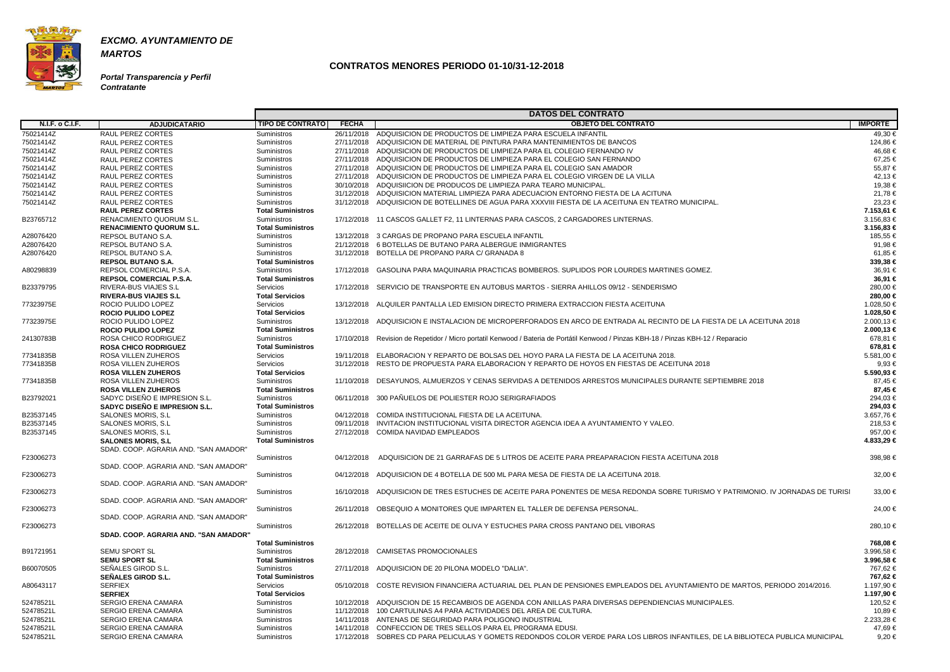

**Portal Transparencia y Perfil Contratante**

|                        |                                       |                          |              | <b>DATOS DEL CONTRATO</b>                                                                                                           |                |
|------------------------|---------------------------------------|--------------------------|--------------|-------------------------------------------------------------------------------------------------------------------------------------|----------------|
| <b>N.I.F. o C.I.F.</b> | <b>ADJUDICATARIO</b>                  | <b>TIPO DE CONTRATO</b>  | <b>FECHA</b> | <b>OBJETO DEL CONTRATO</b>                                                                                                          | <b>IMPORTE</b> |
| 75021414Z              | <b>RAUL PEREZ CORTES</b>              | Suministros              |              | 26/11/2018 ADQUISICION DE PRODUCTOS DE LIMPIEZA PARA ESCUELA INFANTIL                                                               | 49,30 €        |
| 75021414Z              | RAUL PEREZ CORTES                     | Suministros              |              | 27/11/2018 ADQUISICION DE MATERIAL DE PINTURA PARA MANTENIMIENTOS DE BANCOS                                                         | 124,86 €       |
| 75021414Z              | <b>RAUL PEREZ CORTES</b>              | Suministros              |              | 27/11/2018 ADQUISICION DE PRODUCTOS DE LIMPIEZA PARA EL COLEGIO FERNANDO IV                                                         | 46.68€         |
| 75021414Z              | <b>RAUL PEREZ CORTES</b>              | Suministros              |              | 27/11/2018 ADQUISICION DE PRODUCTOS DE LIMPIEZA PARA EL COLEGIO SAN FERNANDO                                                        | 67,25 €        |
| 75021414Z              | <b>RAUL PEREZ CORTES</b>              | Suministros              |              | 27/11/2018 ADQUISICION DE PRODUCTOS DE LIMPIEZA PARA EL COLEGIO SAN AMADOR                                                          | 55,87€         |
| 75021414Z              | RAUL PEREZ CORTES                     | Suministros              |              | 27/11/2018 ADQUISICION DE PRODUCTOS DE LIMPIEZA PARA EL COLEGIO VIRGEN DE LA VILLA                                                  | 42,13 €        |
| 75021414Z              | RAUL PEREZ CORTES                     | Suministros              |              | 30/10/2018 ADQUISIICION DE PRODUCOS DE LIMPIEZA PARA TEARO MUNICIPAL.                                                               | 19,38 €        |
| 75021414Z              | RAUL PEREZ CORTES                     | Suministros              |              | 31/12/2018 ADQUISICION MATERIAL LIMPIEZA PARA ADECUACION ENTORNO FIESTA DE LA ACITUNA                                               | 21,78 €        |
| 75021414Z              | RAUL PEREZ CORTES                     | Suministros              |              | 31/12/2018 ADQUISICION DE BOTELLINES DE AGUA PARA XXXVIII FIESTA DE LA ACEITUNA EN TEATRO MUNICIPAL.                                | 23,23 €        |
|                        | <b>RAUL PEREZ CORTES</b>              | <b>Total Suministros</b> |              |                                                                                                                                     | 7.153,61 €     |
| B23765712              | <b>RENACIMIENTO QUORUM S.L.</b>       | Suministros              |              | 17/12/2018 11 CASCOS GALLET F2, 11 LINTERNAS PARA CASCOS, 2 CARGADORES LINTERNAS.                                                   | $3.156,83 \in$ |
|                        | <b>RENACIMIENTO QUORUM S.L.</b>       | <b>Total Suministros</b> |              |                                                                                                                                     | $3.156,83 \in$ |
| A28076420              | <b>REPSOL BUTANO S.A.</b>             | Suministros              |              | 13/12/2018 3 CARGAS DE PROPANO PARA ESCUELA INFANTIL                                                                                | 185,55 €       |
| A28076420              | REPSOL BUTANO S.A.                    | Suministros              |              | 21/12/2018 6 BOTELLAS DE BUTANO PARA ALBERGUE INMIGRANTES                                                                           | 91,98€         |
| A28076420              | REPSOL BUTANO S.A.                    | Suministros              |              | 31/12/2018 BOTELLA DE PROPANO PARA C/ GRANADA 8                                                                                     | 61,85 €        |
|                        | <b>REPSOL BUTANO S.A.</b>             | <b>Total Suministros</b> |              |                                                                                                                                     | 339,38 €       |
| A80298839              | REPSOL COMERCIAL P.S.A.               | Suministros              |              | 17/12/2018  GASOLINA PARA MAQUINARIA PRACTICAS BOMBEROS, SUPLIDOS POR LOURDES MARTINES GOMEZ.                                       | 36,91 €        |
|                        | <b>REPSOL COMERCIAL P.S.A.</b>        | <b>Total Suministros</b> |              |                                                                                                                                     | 36,91 €        |
| B23379795              | RIVERA-BUS VIAJES S.L                 | Servicios                |              | 17/12/2018 SERVICIO DE TRANSPORTE EN AUTOBUS MARTOS - SIERRA AHILLOS 09/12 - SENDERISMO                                             | 280,00 €       |
|                        | <b>RIVERA-BUS VIAJES S.L</b>          | <b>Total Servicios</b>   |              |                                                                                                                                     | 280,00 €       |
| 77323975E              | ROCIO PULIDO LOPEZ                    | Servicios                |              | 13/12/2018 ALQUILER PANTALLA LED EMISION DIRECTO PRIMERA EXTRACCION FIESTA ACEITUNA                                                 | 1.028,50 €     |
|                        | <b>ROCIO PULIDO LOPEZ</b>             | <b>Total Servicios</b>   |              |                                                                                                                                     | 1.028,50 €     |
| 77323975E              | ROCIO PULIDO LOPEZ                    | Suministros              |              | 13/12/2018 ADQUISICION E INSTALACION DE MICROPERFORADOS EN ARCO DE ENTRADA AL RECINTO DE LA FIESTA DE LA ACEITUNA 2018              | 2.000,13 €     |
|                        | <b>ROCIO PULIDO LOPEZ</b>             | <b>Total Suministros</b> |              |                                                                                                                                     | 2.000,13 €     |
| 24130783B              | ROSA CHICO RODRIGUEZ                  | Suministros              |              | 17/10/2018 Revision de Repetidor / Micro portatil Kenwood / Bateria de Portátil Kenwood / Pinzas KBH-18 / Pinzas KBH-12 / Reparacio | 678,81 €       |
|                        | <b>ROSA CHICO RODRIGUEZ</b>           | <b>Total Suministros</b> |              |                                                                                                                                     | 678,81 €       |
| 77341835B              | ROSA VILLEN ZUHEROS                   | Servicios                |              | 19/11/2018 ELABORACION Y REPARTO DE BOLSAS DEL HOYO PARA LA FIESTA DE LA ACEITUNA 2018.                                             | 5.581,00 €     |
| 77341835B              | ROSA VILLEN ZUHEROS                   | Servicios                |              | 31/12/2018 RESTO DE PROPUESTA PARA ELABORACION Y REPARTO DE HOYOS EN FIESTAS DE ACEITUNA 2018                                       | $9.93 \in$     |
|                        | <b>ROSA VILLEN ZUHEROS</b>            | <b>Total Servicios</b>   |              |                                                                                                                                     | 5.590,93 €     |
| 77341835B              | ROSA VILLEN ZUHEROS                   | Suministros              |              | 11/10/2018 DESAYUNOS, ALMUERZOS Y CENAS SERVIDAS A DETENIDOS ARRESTOS MUNICIPALES DURANTE SEPTIEMBRE 2018                           | 87.45 €        |
|                        | <b>ROSA VILLEN ZUHEROS</b>            | <b>Total Suministros</b> |              |                                                                                                                                     | 87,45 €        |
| B23792021              | SADYC DISEÑO E IMPRESION S.L.         | Suministros              |              | 06/11/2018 300 PAÑUELOS DE POLIESTER ROJO SERIGRAFIADOS                                                                             | 294,03 €       |
|                        | SADYC DISEÑO E IMPRESION S.L.         | <b>Total Suministros</b> |              |                                                                                                                                     | 294,03 €       |
| B23537145              | SALONES MORIS, S.L.                   | Suministros              |              | 04/12/2018 COMIDA INSTITUCIONAL FIESTA DE LA ACEITUNA.                                                                              | 3.657,76 €     |
| B23537145              | SALONES MORIS, S.L.                   | Suministros              |              | 09/11/2018 INVITACION INSTITUCIONAL VISITA DIRECTOR AGENCIA IDEA A AYUNTAMIENTO Y VALEO.                                            | 218,53 €       |
| B23537145              | SALONES MORIS, S.L.                   | Suministros              |              | 27/12/2018 COMIDA NAVIDAD EMPLEADOS                                                                                                 | 957,00 €       |
|                        | <b>SALONES MORIS, S.L.</b>            | <b>Total Suministros</b> |              |                                                                                                                                     | 4.833,29 €     |
|                        | SDAD. COOP. AGRARIA AND. "SAN AMADOR" |                          |              |                                                                                                                                     |                |
| F23006273              |                                       | <b>Suministros</b>       |              | 04/12/2018 ADQUISICION DE 21 GARRAFAS DE 5 LITROS DE ACEITE PARA PREAPARACION FIESTA ACEITUNA 2018                                  | 398,98€        |
|                        | SDAD. COOP. AGRARIA AND. "SAN AMADOR" |                          |              |                                                                                                                                     |                |
| F23006273              |                                       | Suministros              |              | 04/12/2018 ADQUISICION DE 4 BOTELLA DE 500 ML PARA MESA DE FIESTA DE LA ACEITUNA 2018.                                              | 32,00 €        |
|                        | SDAD. COOP. AGRARIA AND. "SAN AMADOR" |                          |              |                                                                                                                                     |                |
| F23006273              |                                       | Suministros              |              | 16/10/2018 ADQUISICION DE TRES ESTUCHES DE ACEITE PARA PONENTES DE MESA REDONDA SOBRE TURISMO Y PATRIMONIO. IV JORNADAS DE TURISI   | 33,00 €        |
|                        | SDAD. COOP. AGRARIA AND. "SAN AMADOR" |                          |              |                                                                                                                                     |                |
| F23006273              |                                       | Suministros              |              | 26/11/2018 OBSEQUIO A MONITORES QUE IMPARTEN EL TALLER DE DEFENSA PERSONAL.                                                         | 24,00 €        |
|                        | SDAD, COOP, AGRARIA AND, "SAN AMADOR" |                          |              |                                                                                                                                     |                |
| F23006273              |                                       | <b>Suministros</b>       |              | 26/12/2018 BOTELLAS DE ACEITE DE OLIVA Y ESTUCHES PARA CROSS PANTANO DEL VIBORAS                                                    | 280,10 €       |
|                        | SDAD, COOP, AGRARIA AND, "SAN AMADOR" |                          |              |                                                                                                                                     |                |
|                        |                                       | <b>Total Suministros</b> |              |                                                                                                                                     | 768,08 €       |
| B91721951              | <b>SEMU SPORT SL</b>                  | Suministros              |              | 28/12/2018 CAMISETAS PROMOCIONALES                                                                                                  | 3.996,58 €     |
|                        | <b>SEMU SPORT SL</b>                  | <b>Total Suministros</b> |              |                                                                                                                                     | 3.996,58 €     |
| B60070505              | SEÑALES GIROD S.L.                    | Suministros              |              | 27/11/2018 ADQUISICION DE 20 PILONA MODELO "DALIA".                                                                                 | 767,62 €       |
|                        | <b>SEÑALES GIROD S.L.</b>             | <b>Total Suministros</b> |              |                                                                                                                                     | 767,62 €       |
| A80643117              | <b>SERFIEX</b>                        | Servicios                |              | 05/10/2018 COSTE REVISION FINANCIERA ACTUARIAL DEL PLAN DE PENSIONES EMPLEADOS DEL AYUNTAMIENTO DE MARTOS. PERIODO 2014/2016.       | 1.197,90 €     |
|                        | <b>SERFIEX</b>                        | <b>Total Servicios</b>   |              |                                                                                                                                     | 1.197,90 €     |
| 52478521L              | <b>SERGIO ERENA CAMARA</b>            | Suministros              |              | 10/12/2018 ADQUISCION DE 15 RECAMBIOS DE AGENDA CON ANILLAS PARA DIVERSAS DEPENDIENCIAS MUNICIPALES.                                | 120,52 €       |
| 52478521L              | <b>SERGIO ERENA CAMARA</b>            | Suministros              |              | 11/12/2018 100 CARTULINAS A4 PARA ACTIVIDADES DEL AREA DE CULTURA.                                                                  | 10,89 €        |
| 52478521L              | <b>SERGIO ERENA CAMARA</b>            | <b>Suministros</b>       |              | 14/11/2018 ANTENAS DE SEGURIDAD PARA POLIGONO INDUSTRIAL                                                                            | 2.233,28 €     |
| 52478521L              | <b>SERGIO ERENA CAMARA</b>            | <b>Suministros</b>       |              | 14/11/2018 CONFECCION DE TRES SELLOS PARA EL PROGRAMA EDUSI.                                                                        | 47,69 €        |
| 52478521L              | <b>SERGIO ERENA CAMARA</b>            | Suministros              |              | 17/12/2018 SOBRES CD PARA PELICULAS Y GOMETS REDONDOS COLOR VERDE PARA LOS LIBROS INFANTILES, DE LA BIBLIOTECA PUBLICA MUNICIPAL    | 9,20€          |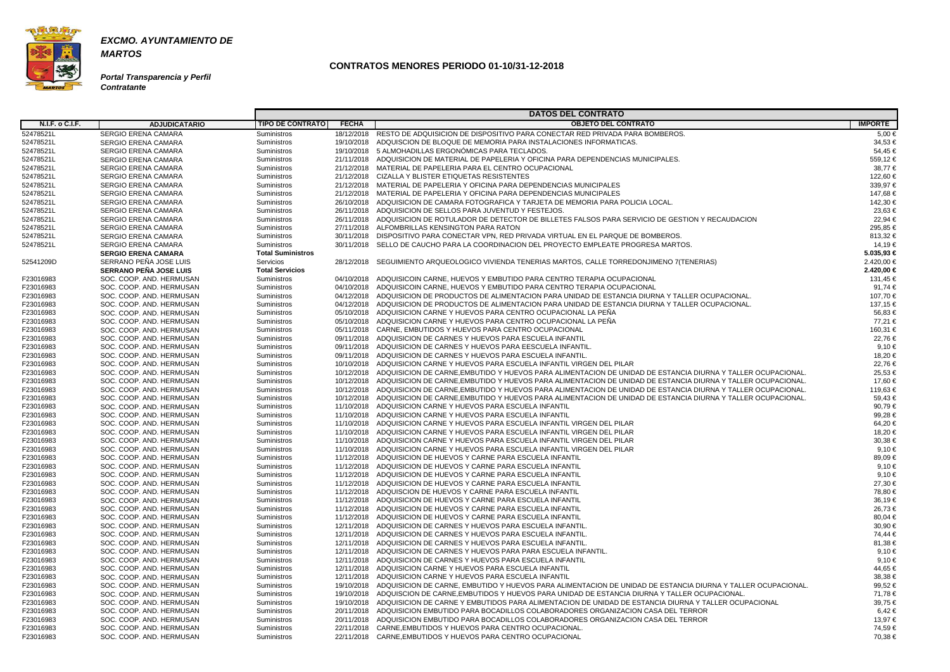

**MARTOS**

**Portal Transparencia y Perfil Contratante**

|                        |                                                      |                                   |              | <b>DATOS DEL CONTRATO</b>                                                                                                        |                  |
|------------------------|------------------------------------------------------|-----------------------------------|--------------|----------------------------------------------------------------------------------------------------------------------------------|------------------|
| <b>N.I.F. o C.I.F.</b> | <b>ADJUDICATARIO</b>                                 | <b>TIPO DE CONTRATO</b>           | <b>FECHA</b> | <b>OBJETO DEL CONTRATO</b>                                                                                                       | <b>IMPORTE</b>   |
| 52478521L              | <b>SERGIO ERENA CAMARA</b>                           | Suministros                       |              | 18/12/2018 RESTO DE ADQUISICION DE DISPOSITIVO PARA CONECTAR RED PRIVADA PARA BOMBEROS.                                          | 5,00 €           |
| 52478521L              | <b>SERGIO ERENA CAMARA</b>                           | Suministros                       | 19/10/2018   | ADQUISCION DE BLOQUE DE MEMORIA PARA INSTALACIONES INFORMATICAS.                                                                 | 34,53 €          |
| 52478521L              | <b>SERGIO ERENA CAMARA</b>                           | Suministros                       |              | 19/10/2018 5 ALMOHADILLAS ERGONÓMICAS PARA TECLADOS.                                                                             | 54,45 €          |
| 52478521L              | <b>SERGIO ERENA CAMARA</b>                           | Suministros                       |              | 21/11/2018 ADQUISICION DE MATERIAL DE PAPELERIA Y OFICINA PARA DEPENDENCIAS MUNICIPALES.                                         | 559,12€          |
| 52478521L              | <b>SERGIO ERENA CAMARA</b>                           | Suministros                       |              | 21/12/2018 MATERIAL DE PAPELERIA PARA EL CENTRO OCUPACIONAL                                                                      | 38,77 €          |
| 52478521L              | <b>SERGIO ERENA CAMARA</b>                           | Suministros                       | 21/12/2018   | CIZALLA Y BLISTER ETIQUETAS RESISTENTES                                                                                          | 122,60 €         |
| 52478521L              | <b>SERGIO ERENA CAMARA</b>                           | Suministros                       |              | 21/12/2018 MATERIAL DE PAPELERIA Y OFICINA PARA DEPENDENCIAS MUNICIPALES                                                         | 339,97€          |
| 52478521L              | <b>SERGIO ERENA CAMARA</b>                           | <b>Suministros</b>                |              | 21/12/2018 MATERIAL DE PAPELERIA Y OFICINA PARA DEPENDENCIAS MUNICIPALES                                                         | 147,68 €         |
| 52478521L              | <b>SERGIO ERENA CAMARA</b>                           | <b>Suministros</b>                |              | 26/10/2018 ADQUISICION DE CAMARA FOTOGRAFICA Y TARJETA DE MEMORIA PARA POLICIA LOCAL.                                            | 142,30 €         |
| 52478521L              | <b>SERGIO ERENA CAMARA</b>                           | Suministros                       |              | 26/11/2018 ADQUISICION DE SELLOS PARA JUVENTUD Y FESTEJOS.                                                                       | 23,63 €          |
| 52478521L              | <b>SERGIO ERENA CAMARA</b>                           | Suministros                       |              | 26/11/2018 ADQUISICION DE ROTULADOR DE DETECTOR DE BILLETES FALSOS PARA SERVICIO DE GESTION Y RECAUDACION                        | 22,94 €          |
| 52478521L              | <b>SERGIO ERENA CAMARA</b>                           | <b>Suministros</b>                |              | 27/11/2018 ALFOMBRILLAS KENSINGTON PARA RATON                                                                                    | 295,85 €         |
| 52478521L              | <b>SERGIO ERENA CAMARA</b>                           | Suministros                       |              | 30/11/2018 DISPOSITIVO PARA CONECTAR VPN. RED PRIVADA VIRTUAL EN EL PARQUE DE BOMBEROS.                                          | 813,32 €         |
| 52478521L              | <b>SERGIO ERENA CAMARA</b>                           | <b>Suministros</b>                |              | 30/11/2018 SELLO DE CAUCHO PARA LA COORDINACION DEL PROYECTO EMPLEATE PROGRESA MARTOS.                                           | 14,19 €          |
|                        | <b>SERGIO ERENA CAMARA</b>                           | <b>Total Suministros</b>          |              |                                                                                                                                  | 5.035,93 €       |
| 52541209D              | SERRANO PEÑA JOSE LUIS                               | Servicios                         | 28/12/2018   | SEGUIMIENTO ARQUEOLOGICO VIVIENDA TENERIAS MARTOS, CALLE TORREDONJIMENO 7(TENERIAS)                                              | 2.420,00 €       |
|                        | <b>SERRANO PEÑA JOSE LUIS</b>                        | <b>Total Servicios</b>            |              |                                                                                                                                  | 2.420,00 €       |
| F23016983              | SOC. COOP. AND. HERMUSAN                             | Suministros                       |              | 04/10/2018 ADQUISICOIN CARNE, HUEVOS Y EMBUTIDO PARA CENTRO TERAPIA OCUPACIONAL                                                  | 131,45 €         |
| F23016983              | SOC. COOP. AND. HERMUSAN                             | <b>Suministros</b>                |              | 04/10/2018 ADQUISICOIN CARNE, HUEVOS Y EMBUTIDO PARA CENTRO TERAPIA OCUPACIONAL                                                  | 91,74 €          |
| F23016983              | SOC. COOP. AND. HERMUSAN                             | <b>Suministros</b>                |              | 04/12/2018 ADQUISICION DE PRODUCTOS DE ALIMENTACION PARA UNIDAD DE ESTANCIA DIURNA Y TALLER OCUPACIONAL.                         | 107.70 €         |
| F23016983              | SOC. COOP. AND. HERMUSAN                             | <b>Suministros</b>                |              | 04/12/2018 ADQUISICION DE PRODUCTOS DE ALIMENTACION PARA UNIDAD DE ESTANCIA DIURNA Y TALLER OCUPACIONAL.                         | 137,15 €         |
| F23016983              | SOC. COOP. AND. HERMUSAN                             | <b>Suministros</b>                |              | 05/10/2018 ADQUISICION CARNE Y HUEVOS PARA CENTRO OCUPACIONAL LA PENA                                                            | 56,83 €          |
| F23016983              | SOC. COOP. AND. HERMUSAN                             | <b>Suministros</b>                |              | 05/10/2018 ADQUISICION CARNEY HUEVOS PARA CENTRO OCUPACIONAL LA PEÑA                                                             | 77,21 €          |
| F23016983              | SOC. COOP. AND. HERMUSAN                             | <b>Suministros</b>                | 05/11/2018   | CARNE, EMBUTIDOS Y HUEVOS PARA CENTRO OCUPACIONAL                                                                                | 160,31 €         |
| F23016983              | SOC. COOP. AND. HERMUSAN                             | Suministros                       | 09/11/2018   | ADQUISICION DE CARNES Y HUEVOS PARA ESCUELA INFANTIL                                                                             | 22,76€           |
| F23016983              | SOC. COOP. AND. HERMUSAN                             | <b>Suministros</b>                |              | 09/11/2018 ADQUISICION DE CARNES Y HUEVOS PARA EESCUELA INFANTIL                                                                 | 9,10 $\in$       |
| F23016983              | SOC. COOP. AND. HERMUSAN                             | Suministros                       |              | 09/11/2018 ADQUISICION DE CARNES Y HUEVOS PARA ESCUELA INFANTIL.                                                                 | 18,20€           |
| F23016983              | SOC. COOP. AND. HERMUSAN                             | Suministros                       |              | 10/10/2018 ADQUISICION CARNEY HUEVOS PARA ESCUELA INFANTIL VIRGEN DEL PILAR                                                      | 22,76€           |
| F23016983              | SOC. COOP. AND. HERMUSAN                             | <b>Suministros</b>                |              | 10/12/2018 ADQUISICION DE CARNE, EMBUTIDO Y HUEVOS PARA ALIMENTACION DE UNIDAD DE ESTANCIA DIURNA Y TALLER OCUPACIONAL.          | 25,53 €          |
| F23016983              | SOC. COOP. AND. HERMUSAN                             | <b>Suministros</b>                |              | 10/12/2018 ADQUISICION DE CARNE.EMBUTIDO Y HUEVOS PARA ALIMENTACION DE UNIDAD DE ESTANCIA DIURNA Y TALLER OCUPACIONAL.           | 17,60 €          |
| F23016983              | SOC. COOP. AND. HERMUSAN                             | <b>Suministros</b>                |              | 10/12/2018 ADQUISICION DE CARNE.EMBUTIDO Y HUEVOS PARA ALIMENTACION DE UNIDAD DE ESTANCIA DIURNA Y TALLER OCUPACIONAL.           | 119,63 €         |
| F23016983              | SOC. COOP. AND. HERMUSAN                             | Suministros                       |              | 10/12/2018 ADQUISICION DE CARNE.EMBUTIDO Y HUEVOS PARA ALIMENTACION DE UNIDAD DE ESTANCIA DIURNA Y TALLER OCUPACIONAL.           | 59,43 €          |
| F23016983              | SOC. COOP. AND. HERMUSAN                             | <b>Suministros</b>                |              | 11/10/2018 ADQUISICION CARNE Y HUEVOS PARA ESCUELA INFANTIL                                                                      | 90.79€           |
| F23016983              | SOC. COOP. AND. HERMUSAN                             | <b>Suministros</b>                |              | 11/10/2018 ADQUISICION CARNE Y HUEVOS PARA ESCUELA INFANTIL                                                                      | 99,28€           |
| F23016983              | SOC. COOP. AND. HERMUSAN                             | <b>Suministros</b>                |              | 11/10/2018 ADQUISICION CARNEY HUEVOS PARA ESCUELA INFANTIL VIRGEN DEL PILAR                                                      | 64,20€           |
| F23016983              | SOC. COOP. AND. HERMUSAN                             | <b>Suministros</b>                |              | 11/10/2018 ADQUISICION CARNE Y HUEVOS PARA ESCUELA INFANTIL VIRGEN DEL PILAR                                                     | 18,20 €          |
| F23016983              | SOC. COOP. AND. HERMUSAN                             | Suministros                       |              | 11/10/2018 ADQUISICION CARNE Y HUEVOS PARA ESCUELA INFANTIL VIRGEN DEL PILAR                                                     | 30,38 €          |
| F23016983              | SOC. COOP. AND. HERMUSAN                             | <b>Suministros</b>                |              | 11/10/2018 ADQUISICION CARNE Y HUEVOS PARA ESCUELA INFANTIL VIRGEN DEL PILAR                                                     | 9,10 €           |
| F23016983              | SOC. COOP. AND. HERMUSAN                             | Suministros                       |              | 11/12/2018 ADQUISICION DE HUEVOS Y CARNE PARA ESCUELA INFANTIL<br>11/12/2018 ADQUISICION DE HUEVOS Y CARNE PARA ESCUELA INFANTIL | 89,09€           |
| F23016983              | SOC. COOP. AND. HERMUSAN<br>SOC. COOP. AND. HERMUSAN | Suministros                       |              |                                                                                                                                  | $9,10 \in$       |
| F23016983<br>F23016983 | SOC. COOP. AND. HERMUSAN                             | Suministros<br>Suministros        |              | 11/12/2018 ADQUISICION DE HUEVOS Y CARNE PARA ESCUELA INFANTIL<br>11/12/2018 ADQUISICION DE HUEVOS Y CARNE PARA ESCUELA INFANTIL | 9,10€<br>27,30 € |
|                        | SOC. COOP. AND. HERMUSAN                             |                                   |              | 11/12/2018 ADQUISCION DE HUEVOS Y CARNE PARA ESCUELA INFANTIL                                                                    | 78,80 €          |
| F23016983<br>F23016983 | SOC. COOP. AND. HERMUSAN                             | <b>Suministros</b><br>Suministros |              | 11/12/2018 ADQUISICION DE HUEVOS Y CARNE PARA ESCUELA INFANTIL                                                                   | 36,19€           |
| F23016983              | SOC. COOP. AND. HERMUSAN                             | Suministros                       |              | 11/12/2018 ADQUISICION DE HUEVOS Y CARNE PARA ESCUELA INFANTIL                                                                   | 26,73 €          |
| F23016983              | SOC. COOP. AND. HERMUSAN                             | Suministros                       |              | 11/12/2018 ADQUISICION DE HUEVOS Y CARNE PARA ESCUELA INFANTIL                                                                   | 80,04 €          |
| F23016983              | SOC. COOP. AND. HERMUSAN                             | Suministros                       |              | 12/11/2018 ADQUISICION DE CARNES Y HUEVOS PARA ESCUELA INFANTIL.                                                                 | 30,90 €          |
| F23016983              | SOC. COOP. AND. HERMUSAN                             | Suministros                       |              | 12/11/2018 ADQUISICION DE CARNES Y HUEVOS PARA ESCUELA INFANTIL.                                                                 | 74,44 €          |
| F23016983              | SOC. COOP. AND. HERMUSAN                             | Suministros                       |              | 12/11/2018 ADQUISICION DE CARNES Y HUEVOS PARA ESCUELA INFANTIL.                                                                 | 81,38 €          |
| F23016983              | SOC. COOP. AND. HERMUSAN                             | Suministros                       |              | 12/11/2018 ADQUISICION DE CARNES Y HUEVOS PARA PARA ESCUELA INFANTIL.                                                            | 9,10 €           |
| F23016983              | SOC. COOP. AND. HERMUSAN                             | Suministros                       |              | 12/11/2018 ADQUISICION DE CARNES Y HUEVOS PARA ESCUELA INFANTIL                                                                  | 9,10 €           |
| F23016983              | SOC. COOP. AND. HERMUSAN                             | Suministros                       |              | 12/11/2018 ADQUISICION CARNE Y HUEVOS PARA ESCUELA INFANTIL                                                                      | 44,65 €          |
| F23016983              | SOC. COOP. AND. HERMUSAN                             | Suministros                       |              | 12/11/2018 ADQUISICION CARNE Y HUEVOS PARA ESCUELA INFANTIL                                                                      | 38,38 €          |
| F23016983              | SOC. COOP. AND. HERMUSAN                             | Suministros                       |              | 19/10/2018 ADQUISICION DE CARNE, EMBUTIDO Y HUEVOS PARA ALIMENTACION DE UNIDAD DE ESTANCIA DIURNA Y TALLER OCUPACIONAL.          | 99,52 €          |
| F23016983              | SOC. COOP. AND. HERMUSAN                             | Suministros                       |              | 19/10/2018 ADQUISCION DE CARNE,EMBUTIDOS Y HUEVOS PARA UNIDAD DE ESTANCIA DIURNA Y TALLER OCUPACIONAL.                           | 71,78 €          |
| F23016983              | SOC. COOP. AND. HERMUSAN                             | Suministros                       |              | 19/10/2018 ADQUISICION DE CARNE Y EMBUTIDOS PARA ALIMENTACION DE UNIDAD DE ESTANCIA DIURNA Y TALLER OCUPACIONAL                  | 39,75 €          |
| F23016983              | SOC. COOP. AND. HERMUSAN                             | Suministros                       |              | 20/11/2018 ADQUISICION EMBUTIDO PARA BOCADILLOS COLABORADORES ORGANIZACION CASA DEL TERROR                                       | 6,42 €           |
| F23016983              | SOC. COOP. AND. HERMUSAN                             | Suministros                       |              | 20/11/2018 ADQUISICION EMBUTIDO PARA BOCADILLOS COLABORADORES ORGANIZACION CASA DEL TERROR                                       | 13,97 €          |
| F23016983              | SOC. COOP. AND. HERMUSAN                             | Suministros                       |              | 22/11/2018 CARNE.EMBUTIDOS Y HUEVOS PARA CENTRO OCUPACIONAL.                                                                     | 74,59 €          |
| F23016983              | SOC. COOP. AND. HERMUSAN                             | Suministros                       |              | 22/11/2018 CARNE, EMBUTIDOS Y HUEVOS PARA CENTRO OCUPACIONAL                                                                     | 70,38 €          |
|                        |                                                      |                                   |              |                                                                                                                                  |                  |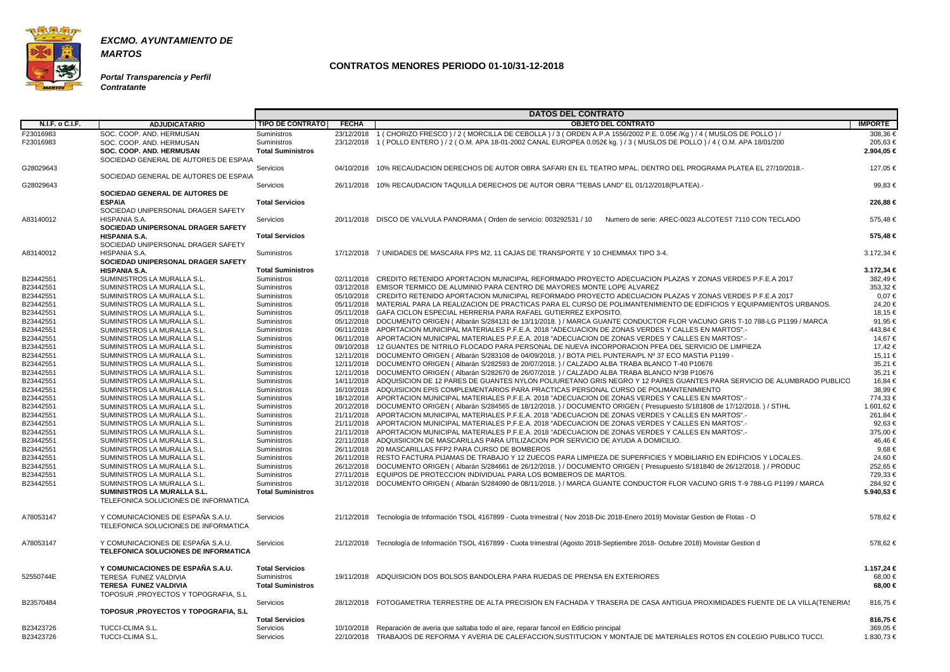

**Portal Transparencia y Perfil Contratante**

|                        |                                                 |                          |              | <b>DATOS DEL CONTRATO</b>                                                                                                           |                |
|------------------------|-------------------------------------------------|--------------------------|--------------|-------------------------------------------------------------------------------------------------------------------------------------|----------------|
| N.I.F. o C.I.F.        | <b>ADJUDICATARIO</b>                            | <b>TIPO DE CONTRATO</b>  | <b>FECHA</b> | <b>OBJETO DEL CONTRATO</b>                                                                                                          | <b>IMPORTE</b> |
| F23016983              | SOC. COOP. AND. HERMUSAN                        | Suministros              |              | 23/12/2018 1 (CHORIZO FRESCO) / 2 (MORCILLA DE CEBOLLA) / 3 (ORDEN A.P.A 1556/2002 P.E. 0.05€/Kg) / 4 (MUSLOS DE POLLO) /           | 308,36 €       |
| F23016983              | SOC. COOP. AND. HERMUSAN                        | <b>Suministros</b>       |              | 23/12/2018 1 (POLLO ENTERO ) / 2 (O.M. APA 18-01-2002 CANAL EUROPEA 0.052€ kg. ) / 3 (MUSLOS DE POLLO ) / 4 (O.M. APA 18/01/200     | 205,63€        |
|                        | <b>SOC. COOP. AND. HERMUSAN</b>                 | <b>Total Suministros</b> |              |                                                                                                                                     | 2.904,05 €     |
|                        | SOCIEDAD GENERAL DE AUTORES DE ESPA\A           |                          |              |                                                                                                                                     |                |
| G28029643              |                                                 | Servicios                | 04/10/2018   | 10% RECAUDACION DERECHOS DE AUTOR OBRA SAFARI EN EL TEATRO MPAL. DENTRO DEL PROGRAMA PLATEA EL 27/10/2018.-                         | 127.05 €       |
|                        | SOCIEDAD GENERAL DE AUTORES DE ESPAVA           |                          |              |                                                                                                                                     |                |
| G28029643              |                                                 | Servicios                |              | 26/11/2018 10% RECAUDACION TAQUILLA DERECHOS DE AUTOR OBRA "TEBAS LAND" EL 01/12/2018(PLATEA).-                                     | 99.83 €        |
|                        |                                                 |                          |              |                                                                                                                                     |                |
|                        | SOCIEDAD GENERAL DE AUTORES DE<br><b>ESPA\A</b> | <b>Total Servicios</b>   |              |                                                                                                                                     | 226,88 €       |
|                        | SOCIEDAD UNIPERSONAL DRAGER SAFETY              |                          |              |                                                                                                                                     |                |
|                        |                                                 |                          |              | Numero de serie: AREC-0023 ALCOTEST 7110 CON TECLADO                                                                                |                |
| A83140012              | HISPANIA S.A.                                   | Servicios                | 20/11/2018   | DISCO DE VALVULA PANORAMA (Orden de servicio: 003292531 / 10                                                                        | 575,48 €       |
|                        | SOCIEDAD UNIPERSONAL DRAGER SAFETY              |                          |              |                                                                                                                                     |                |
|                        | <b>HISPANIA S.A.</b>                            | <b>Total Servicios</b>   |              |                                                                                                                                     | 575,48 €       |
|                        | SOCIEDAD UNIPERSONAL DRAGER SAFETY              |                          |              |                                                                                                                                     |                |
| A83140012              | HISPANIA S.A.                                   | Suministros              |              | 17/12/2018 7 UNIDADES DE MASCARA FPS M2, 11 CAJAS DE TRANSPORTE Y 10 CHEMMAX TIPO 3-4.                                              | 3.172,34 €     |
|                        | SOCIEDAD UNIPERSONAL DRAGER SAFETY              |                          |              |                                                                                                                                     |                |
|                        | <b>HISPANIA S.A.</b>                            | <b>Total Suministros</b> |              |                                                                                                                                     | 3.172,34 €     |
| B23442551              | SUMINISTROS LA MURALLA S.L.                     | Suministros              | 02/11/2018   | CREDITO RETENIDO APORTACION MUNICIPAL REFORMADO PROYECTO ADECUACION PLAZAS Y ZONAS VERDES P.F.E.A 2017                              | 382.49€        |
| B23442551              | SUMINISTROS LA MURALLA S.L.                     | Suministros              |              | 03/12/2018 EMISOR TERMICO DE ALUMINIO PARA CENTRO DE MAYORES MONTE LOPE ALVAREZ                                                     | 353.32 €       |
| B23442551              | SUMINISTROS LA MURALLA S.L.                     | <b>Suministros</b>       | 05/10/2018   | CREDITO RETENIDO APORTACION MUNICIPAL REFORMADO PROYECTO ADECUACION PLAZAS Y ZONAS VERDES P.F.E.A 2017                              | $0.07 \in$     |
| B23442551              | SUMINISTROS LA MURALLA S.L.                     | Suministros              |              | 05/11/2018 MATERIAL PARA LA REALIZACION DE PRACTICAS PARA EL CURSO DE POLIMANTENIMIENTO DE EDIFICIOS Y EQUIPAMIENTOS URBANOS.       | 24,20€         |
| B23442551              | SUMINISTROS LA MURALLA S.L.                     | Suministros              |              | 05/11/2018 GAFA CICLON ESPECIAL HERRERIA PARA RAFAEL GUTIERREZ EXPOSITO.                                                            | 18.15 €        |
| B23442551              | SUMINISTROS LA MURALLA S.L.                     | Suministros              |              | 05/12/2018 DOCUMENTO ORIGEN (Albarán S/284131 de 13/11/2018.) / MARCA GUANTE CONDUCTOR FLOR VACUNO GRIS T-10 788-LG P1199 / MARCA   | 91.95 €        |
| B23442551              | SUMINISTROS LA MURALLA S.L.                     | Suministros              |              | 06/11/2018 APORTACION MUNICIPAL MATERIALES P.F.E.A. 2018 "ADECUACION DE ZONAS VERDES Y CALLES EN MARTOS".-                          | 443.84 €       |
| B23442551              | SUMINISTROS LA MURALLA S.L.                     | Suministros              |              | 06/11/2018 APORTACION MUNICIPAL MATERIALES P.F.E.A. 2018 "ADECUACION DE ZONAS VERDES Y CALLES EN MARTOS".                           | 14.67 €        |
| B23442551              | SUMINISTROS LA MURALLA S.L.                     | Suministros              |              | 09/10/2018 12 GUANTES DE NITRILO FLOCADO PARA PERSONAL DE NUEVA INCORPORACION PFEA DEL SERVICIO DE LIMPIEZA                         | 17,42 €        |
| B23442551              | SUMINISTROS LA MURALLA S.L.                     | Suministros              |              | 12/11/2018 DOCUMENTO ORIGEN (Albarán S/283108 de 04/09/2018.) / BOTA PIEL PUNTERA/PL Nº 37 ECO MASTIA P1199 -                       | 15,11 €        |
| B23442551              | SUMINISTROS LA MURALLA S.L.                     | Suministros              |              | 12/11/2018 DOCUMENTO ORIGEN (Albarán S/282593 de 20/07/2018.) / CALZADO ALBA TRABA BLANCO T-40 P10676                               | 35,21 €        |
| B23442551              | SUMINISTROS LA MURALLA S.L.                     | Suministros              |              | 12/11/2018 DOCUMENTO ORIGEN (Albarán S/282670 de 26/07/2018.) / CALZADO ALBA TRABA BLANCO Nº38 P10676                               | 35,21€         |
| B23442551              | SUMINISTROS LA MURALLA S.L.                     | Suministros              | 14/11/2018   | ADQUISICION DE 12 PARES DE GUANTES NYLON POLIURETANO GRIS NEGRO Y 12 PARES GUANTES PARA SERVICIO DE ALUMBRADO PUBLICO               | 16,84 €        |
| B23442551              | SUMINISTROS LA MURALLA S.L.                     | Suministros              |              | 16/10/2018 ADQUISICION EPIS COMPLEMENTARIOS PARA PRACTICAS PERSONAL CURSO DE POLIMANTENIMIENTO                                      | 38.99€         |
| B23442551              | SUMINISTROS LA MURALLA S.L.                     | Suministros              |              | 18/12/2018 APORTACION MUNICIPAL MATERIALES P.F.E.A. 2018 "ADECUACION DE ZONAS VERDES Y CALLES EN MARTOS".                           | 774,33 €       |
| B23442551              | SUMINISTROS LA MURALLA S.L.                     | Suministros              |              | 20/12/2018 DOCUMENTO ORIGEN (Albarán S/284565 de 18/12/2018.) / DOCUMENTO ORIGEN (Presupuesto S/181808 de 17/12/2018.) / STIHL      | 1.601,62 €     |
| B23442551              | SUMINISTROS LA MURALLA S.L.                     | Suministros              |              | 21/11/2018 APORTACION MUNICIPAL MATERIALES P.F.E.A. 2018 "ADECUACION DE ZONAS VERDES Y CALLES EN MARTOS".-                          | 261.84 €       |
| B23442551              | SUMINISTROS LA MURALLA S.L.                     | Suministros              |              | 21/11/2018 APORTACION MUNICIPAL MATERIALES P.F.E.A. 2018 "ADECUACION DE ZONAS VERDES Y CALLES EN MARTOS".                           | 92,63 €        |
| B23442551              | SUMINISTROS LA MURALLA S.L.                     | Suministros              |              | 21/11/2018 APORTACION MUNICIPAL MATERIALES P.F.E.A. 2018 "ADECUACION DE ZONAS VERDES Y CALLES EN MARTOS".-                          | 375,00 €       |
| B23442551              | SUMINISTROS LA MURALLA S.L.                     | Suministros              |              | 22/11/2018 ADQUISIICION DE MASCARILLAS PARA UTILIZACION POR SERVICIO DE AYUDA A DOMICILIO.                                          | 46,46€         |
|                        | SUMINISTROS LA MURALLA S.L.                     |                          | 26/11/2018   | 20 MASCARILLAS FFP2 PARA CURSO DE BOMBEROS                                                                                          | 9.68€          |
| B23442551<br>B23442551 |                                                 | Suministros              |              | 26/11/2018 RESTO FACTURA PIJAMAS DE TRABAJO Y 12 ZUECOS PARA LIMPIEZA DE SUPERFICIES Y MOBILIARIO EN EDIFICIOS Y LOCALES.           | 24,60 €        |
|                        | SUMINISTROS LA MURALLA S.L.                     | Suministros              |              |                                                                                                                                     |                |
| B23442551              | SUMINISTROS LA MURALLA S.L                      | Suministros              |              | 26/12/2018 DOCUMENTO ORIGEN (Albarán S/284661 de 26/12/2018.) / DOCUMENTO ORIGEN (Presupuesto S/181840 de 26/12/2018.) / PRODUC     | 252,65€        |
| B23442551              | SUMINISTROS LA MURALLA S.L.                     | Suministros              |              | 27/11/2018 EQUIPOS DE PROTECCION INDIVIDUAL PARA LOS BOMBEROS DE MARTOS.                                                            | 729,33 €       |
| B23442551              | SUMINISTROS LA MURALLA S.L.                     | Suministros              |              | 31/12/2018 DOCUMENTO ORIGEN (Albarán S/284090 de 08/11/2018.) / MARCA GUANTE CONDUCTOR FLOR VACUNO GRIS T-9 788-LG P1199 / MARCA    | 284,92€        |
|                        | <b>SUMINISTROS LA MURALLA S.L.</b>              | <b>Total Suministros</b> |              |                                                                                                                                     | 5.940,53 €     |
|                        | TELEFONICA SOLUCIONES DE INFORMATICA            |                          |              |                                                                                                                                     |                |
|                        |                                                 |                          |              |                                                                                                                                     |                |
| A78053147              | Y COMUNICACIONES DE ESPAÑA S.A.U.               | Servicios                |              | 21/12/2018 Tecnología de Información TSOL 4167899 - Cuota trimestral (Nov 2018-Dic 2018-Enero 2019) Movistar Gestion de Flotas - O  | 578,62 €       |
|                        | TELEFONICA SOLUCIONES DE INFORMATICA            |                          |              |                                                                                                                                     |                |
|                        |                                                 |                          |              |                                                                                                                                     |                |
| A78053147              | Y COMUNICACIONES DE ESPAÑA S.A.U.               | Servicios                |              | 21/12/2018 Tecnología de Información TSOL 4167899 - Cuota trimestral (Agosto 2018-Septiembre 2018- Octubre 2018) Movistar Gestion d | 578,62 €       |
|                        | TELEFONICA SOLUCIONES DE INFORMATICA            |                          |              |                                                                                                                                     |                |
|                        |                                                 |                          |              |                                                                                                                                     |                |
|                        | Y COMUNICACIONES DE ESPAÑA S.A.U.               | <b>Total Servicios</b>   |              |                                                                                                                                     | 1.157,24 €     |
| 52550744E              | TERESA FUNEZ VALDIVIA                           | <b>Suministros</b>       |              | 19/11/2018 ADQUISICION DOS BOLSOS BANDOLERA PARA RUEDAS DE PRENSA EN EXTERIORES                                                     | 68,00 €        |
|                        | <b>TERESA FUNEZ VALDIVIA</b>                    | <b>Total Suministros</b> |              |                                                                                                                                     | 68,00 €        |
|                        | TOPOSUR , PROYECTOS Y TOPOGRAFIA, S.L           |                          |              |                                                                                                                                     |                |
| B23570484              |                                                 | Servicios                |              | 28/12/2018 FOTOGAMETRIA TERRESTRE DE ALTA PRECISION EN FACHADA Y TRASERA DE CASA ANTIGUA PROXIMIDADES FUENTE DE LA VILLA(TENERIAS   | 816,75 €       |
|                        | <b>TOPOSUR , PROYECTOS Y TOPOGRAFIA, S.L</b>    |                          |              |                                                                                                                                     |                |
|                        |                                                 | <b>Total Servicios</b>   |              |                                                                                                                                     | 816,75 €       |
| B23423726              | TUCCI-CLIMA S.L.                                | Servicios                |              | 10/10/2018 Reparación de averia que saltaba todo el aire, reparar fancoil en Edificio principal                                     | 369,05 €       |
| B23423726              | TUCCI-CLIMA S.L.                                | Servicios                |              | 22/10/2018 TRABAJOS DE REFORMA Y AVERIA DE CALEFACCION, SUSTITUCION Y MONTAJE DE MATERIALES ROTOS EN COLEGIO PUBLICO TUCCI.         | 1.830,73 €     |

| OS DEL CONTRATO                                                                                                                                |                        |
|------------------------------------------------------------------------------------------------------------------------------------------------|------------------------|
| <b>OBJETO DEL CONTRATO</b>                                                                                                                     | <b>IMPORTE</b>         |
| ) / 3 (ORDEN A.P.A 1556/2002 P.E. 0.05€/Kg) / 4 (MUSLOS DE POLLO) /<br>L EUROPEA 0.052€ kg. ) / 3 ( MUSLOS DE POLLO ) / 4 ( O.M. APA 18/01/200 | 308,36 €<br>205,63€    |
|                                                                                                                                                | 2.904,05 €             |
| AFARI EN EL TEATRO MPAL. DENTRO DEL PROGRAMA PLATEA EL 27/10/2018.-                                                                            | 127,05 €               |
| )R OBRA "TEBAS LAND" EL 01/12/2018(PLATEA).-                                                                                                   | 99,83 €                |
|                                                                                                                                                | 226,88 €               |
| 003292531 / 10<br>Numero de serie: AREC-0023 ALCOTEST 7110 CON TECLADO                                                                         | 575,48€                |
|                                                                                                                                                | 575,48 €               |
| ANSPORTE Y 10 CHEMMAX TIPO 3-4.                                                                                                                | 3.172,34 €             |
|                                                                                                                                                | 3.172,34 €             |
| ORMADO PROYECTO ADECUACION PLAZAS Y ZONAS VERDES P.F.E.A 2017                                                                                  | 382,49€                |
| MAYORES MONTE LOPE ALVAREZ<br>ORMADO PROYECTO ADECUACION PLAZAS Y ZONAS VERDES P.F.E.A 2017                                                    | 353,32 €               |
| ARA EL CURSO DE POLIMANTENIMIENTO DE EDIFICIOS Y EQUIPAMIENTOS URBANOS.                                                                        | 0,07€<br>24,20€        |
| <b>GUTIERREZ EXPOSITO.</b>                                                                                                                     | 18,15 €                |
| 118.) / MARCA GUANTE CONDUCTOR FLOR VACUNO GRIS T-10 788-LG P1199 / MARCA                                                                      | 91,95€                 |
| 3 "ADECUACION DE ZONAS VERDES Y CALLES EN MARTOS".-                                                                                            | 443,84 €               |
| 3 "ADECUACION DE ZONAS VERDES Y CALLES EN MARTOS".-                                                                                            | 14,67 €                |
| <b>IL DE NUEVA INCORPORACION PFEA DEL SERVICIO DE LIMPIEZA</b>                                                                                 | 17,42 €                |
| 118. ) / BOTA PIEL PUNTERA/PL № 37 ECO MASTIA P1199 -                                                                                          | 15,11 €                |
| 118.) / CALZADO ALBA TRABA BLANCO T-40 P10676                                                                                                  | 35,21 €                |
| 118.) / CALZADO ALBA TRABA BLANCO №38 P10676                                                                                                   | 35,21 €                |
| )LIURETANO GRIS NEGRO Y 12 PARES GUANTES PARA SERVICIO DE ALUMBRADO PUBLICC                                                                    | 16,84 €                |
| CTICAS PERSONAL CURSO DE POLIMANTENIMIENTO                                                                                                     | 38,99€                 |
| 3 "ADECUACION DE ZONAS VERDES Y CALLES EN MARTOS".-<br>18. ) / DOCUMENTO ORIGEN ( Presupuesto S/181808 de 17/12/2018. ) / STIHL                | 774,33 €<br>1.601,62 € |
| 3 "ADECUACION DE ZONAS VERDES Y CALLES EN MARTOS".-                                                                                            | 261,84 €               |
| 3 "ADECUACION DE ZONAS VERDES Y CALLES EN MARTOS".-                                                                                            | 92,63 €                |
| 3 "ADECUACION DE ZONAS VERDES Y CALLES EN MARTOS".-                                                                                            | 375,00 €               |
| I POR SERVICIO DE AYUDA A DOMICILIO.                                                                                                           | 46,46€                 |
| S.                                                                                                                                             | $9,68 \in$             |
| OS PARA LIMPIEZA DE SUPERFICIES Y MOBILIARIO EN EDIFICIOS Y LOCALES.                                                                           | 24,60 €                |
| 18.) / DOCUMENTO ORIGEN ( Presupuesto S/181840 de 26/12/2018.) / PRODUC                                                                        | 252,65 €               |
| 3OMBEROS DE MARTOS.                                                                                                                            | 729,33 €               |
| 118.) / MARCA GUANTE CONDUCTOR FLOR VACUNO GRIS T-9 788-LG P1199 / MARCA                                                                       | 284,92 €               |
|                                                                                                                                                | 5.940,53 €             |
| stral (Nov 2018-Dic 2018-Enero 2019) Movistar Gestion de Flotas - O                                                                            | 578,62 €               |
| stral (Agosto 2018-Septiembre 2018- Octubre 2018) Movistar Gestion d                                                                           | 578,62 €               |
| DAS DE PRENSA EN EXTERIORES                                                                                                                    | 1.157,24 €<br>68,00 €  |
|                                                                                                                                                | 68,00 €                |
| EN FACHADA Y TRASERA DE CASA ANTIGUA PROXIMIDADES FUENTE DE LA VILLA(TENERIA!                                                                  | 816,75 €               |
|                                                                                                                                                | 816,75 €               |
| ncoil en Edificio principal                                                                                                                    | 369,05 €               |
| ON, SUSTITUCION Y MONTAJE DE MATERIALES ROTOS EN COLEGIO PUBLICO TUCCI.                                                                        | 1.830,73 €             |
|                                                                                                                                                |                        |